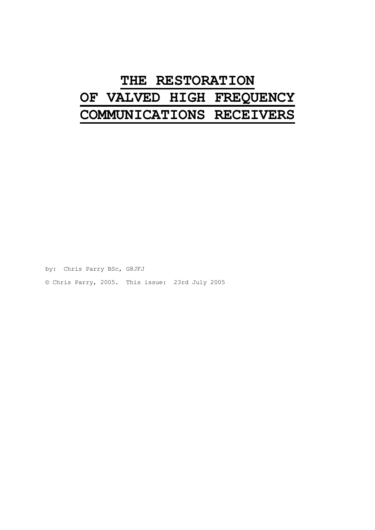# **THE RESTORATION OF VALVED HIGH FREQUENCY COMMUNICATIONS RECEIVERS**

by: Chris Parry BSc, G8JFJ © Chris Parry, 2005. This issue: 23rd July 2005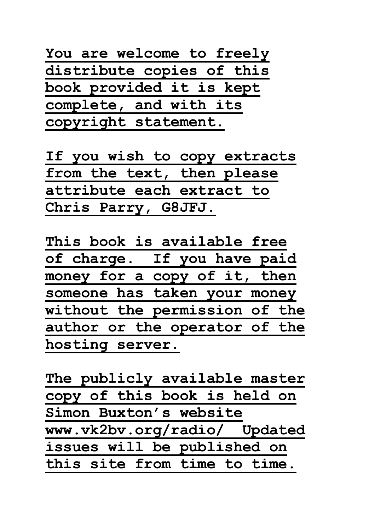**You are welcome to freely distribute copies of this book provided it is kept complete, and with its copyright statement.**

**If you wish to copy extracts from the text, then please attribute each extract to Chris Parry, G8JFJ.**

**This book is available free of charge. If you have paid**  money for a copy of it, then **someone has taken your money without the permission of the author or the operator of the hosting server.**

**The publicly available master copy of this book is held on Simon Buxton's website www.vk2bv.org/radio/ Updated issues will be published on this site from time to time.**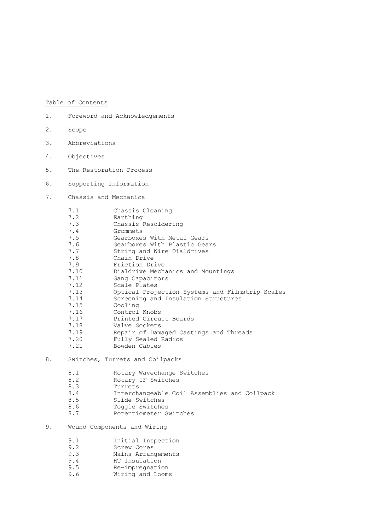# Table of Contents

- 1. Foreword and Acknowledgements
- 2. Scope
- 3. Abbreviations
- 4. Objectives
- 5. The Restoration Process
- 6. Supporting Information
- 7. Chassis and Mechanics

| 7.1  | Chassis Cleaning                                |
|------|-------------------------------------------------|
| 7.2  | Earthing                                        |
| 7.3  | Chassis Resoldering                             |
| 7.4  | Grommets                                        |
| 7.5  | Gearboxes With Metal Gears                      |
| 7.6  | Gearboxes With Plastic Gears                    |
| 7.7  | String and Wire Dialdrives                      |
| 7.8  | Chain Drive                                     |
| 7.9  | Friction Drive                                  |
| 7.10 | Dialdrive Mechanics and Mountings               |
| 7.11 | Gang Capacitors                                 |
| 7.12 | Scale Plates                                    |
| 7.13 | Optical Projection Systems and Filmstrip Scales |
| 7.14 | Screening and Insulation Structures             |
| 7.15 | Cooling                                         |
| 7.16 | Control Knobs                                   |
| 7.17 | Printed Circuit Boards                          |
| 7.18 | Valve Sockets                                   |
| 7.19 | Repair of Damaged Castings and Threads          |
| 7.20 | Fully Sealed Radios                             |
| 7.21 | Bowden Cables                                   |
|      |                                                 |

# 8. Switches, Turrets and Coilpacks

| 8.1 | Rotary Wavechange Switches                   |
|-----|----------------------------------------------|
| 8.2 | Rotary IF Switches                           |
| 8.3 | Turrets                                      |
| 8.4 | Interchangeable Coil Assemblies and Coilpack |
| 8.5 | Slide Switches                               |
| 8.6 | Toggle Switches                              |
| 87  | Potentiometer Switches                       |

# 9. Wound Components and Wiring

| 9.1 | Initial Inspection |
|-----|--------------------|
|     |                    |

- 9.2 Screw Cores<br>9.3 Mains Arrano
- 9.3 Mains Arrangements<br>9.4 HT Insulation
- 9.4 HT Insulation<br>9.5 Re-impregnation
- 9.5 Re-impregnation
- 9.6 Wiring and Looms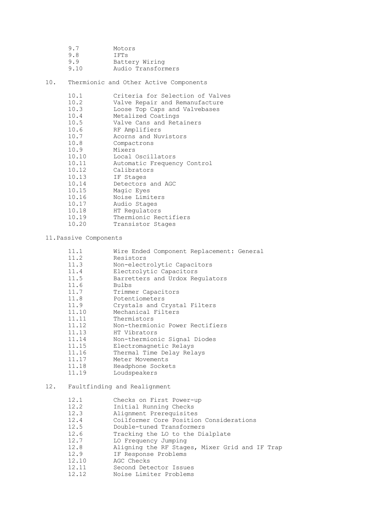| 9.7  | Motors             |
|------|--------------------|
| 9.8  | IFTS               |
| 9.9  | Battery Wiring     |
| 9.10 | Audio Transformers |

10. Thermionic and Other Active Components

| 10.1  | Criteria for Selection of Valves |
|-------|----------------------------------|
| 10.2  | Valve Repair and Remanufacture   |
| 10.3  | Loose Top Caps and Valvebases    |
| 10.4  | Metalized Coatings               |
| 10.5  | Valve Cans and Retainers         |
| 10.6  | RF Amplifiers                    |
| 10.7  | Acorns and Nuvistors             |
| 10.8  | Compactrons                      |
| 10.9  | Mixers                           |
| 10.10 | Local Oscillators                |
| 10.11 | Automatic Frequency Control      |
| 10.12 | Calibrators                      |
| 10.13 | IF Stages                        |
| 10.14 | Detectors and AGC                |
| 10.15 | Magic Eyes                       |
| 10.16 | Noise Limiters                   |
| 10.17 | Audio Stages                     |
| 10.18 | HT Regulators                    |
| 10.19 | Thermionic Rectifiers            |
| 10.20 | Transistor Stages                |

# 11.Passive Components

| 11.1  | Wire Ended Component Replacement: General |
|-------|-------------------------------------------|
| 11.2  | Resistors                                 |
| 11.3  | Non-electrolytic Capacitors               |
| 11.4  | Electrolytic Capacitors                   |
| 11.5  | Barretters and Urdox Requlators           |
| 11.6  | <b>Bulbs</b>                              |
| 11.7  | Trimmer Capacitors                        |
| 11.8  | Potentiometers                            |
| 11.9  | Crystals and Crystal Filters              |
| 11.10 | Mechanical Filters                        |
| 11.11 | Thermistors                               |
| 11.12 | Non-thermionic Power Rectifiers           |
| 11.13 | HT Vibrators                              |
| 11.14 | Non-thermionic Signal Diodes              |
| 11.15 | Electromagnetic Relays                    |
| 11.16 | Thermal Time Delay Relays                 |
| 11.17 | Meter Movements                           |
| 11.18 | Headphone Sockets                         |
| 11.19 | Loudspeakers                              |

# 12. Faultfinding and Realignment

| 12.1  | Checks on First Power-up                       |
|-------|------------------------------------------------|
| 12.2  | Initial Running Checks                         |
| 12.3  | Alignment Prerequisites                        |
| 12.4  | Coilformer Core Position Considerations        |
| 12.5  | Double-tuned Transformers                      |
| 12.6  | Tracking the LO to the Dialplate               |
| 12.7  | LO Frequency Jumping                           |
| 12.8  | Aligning the RF Stages, Mixer Grid and IF Trap |
| 12.9  | IF Response Problems                           |
| 12.10 | AGC Checks                                     |
| 12.11 | Second Detector Issues                         |
| 12.12 | Noise Limiter Problems                         |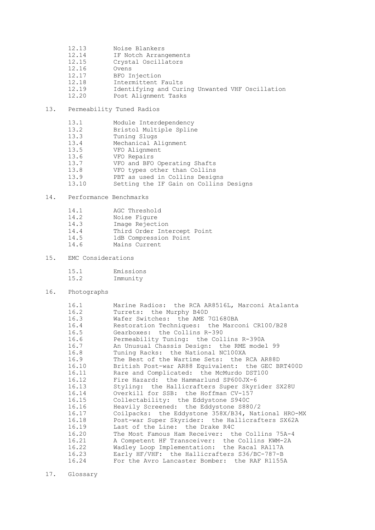- 12.13 Noise Blankers 12.14 IF Notch Arrangements 12.15 Crystal Oscillators 12.16 Ovens 12.17 BFO Injection<br>12.18 Intermittent I 12.18 Intermittent Faults<br>12.19 Identifying and Cur: 12.19 Identifying and Curing Unwanted VHF Oscillation Post Alignment Tasks
- 13. Permeability Tuned Radios

| 13.1  | Module Interdependency                 |
|-------|----------------------------------------|
| 13.2  | Bristol Multiple Spline                |
| 13.3  | Tuning Slugs                           |
| 13.4  | Mechanical Alignment                   |
| 13.5  | VFO Alignment                          |
| 13.6  | VFO Repairs                            |
| 13.7  | VFO and BFO Operating Shafts           |
| 13.8  | VFO types other than Collins           |
| 13.9  | PBT as used in Collins Designs         |
| 13.10 | Setting the IF Gain on Collins Designs |

# 14. Performance Benchmarks

| 14.1 | AGC Threshold               |
|------|-----------------------------|
| 14.2 | Noise Fiqure                |
| 14.3 | Image Rejection             |
| 14.4 | Third Order Intercept Point |
| 14.5 | 1dB Compression Point       |
| 14.6 | Mains Current               |

# 15. EMC Considerations

| 15.1 | Emissions |
|------|-----------|
| 15.2 | Immunity  |

# 16. Photographs

| 16.1  | Marine Radios: the RCA AR8516L, Marconi Atalanta   |
|-------|----------------------------------------------------|
| 16.2  | Turrets: the Murphy B40D                           |
| 16.3  | Wafer Switches: the AME 7G1680BA                   |
| 16.4  | Restoration Techniques: the Marconi CR100/B28      |
| 16.5  | Gearboxes: the Collins R-390                       |
| 16.6  | Permeability Tuning: the Collins R-390A            |
| 16.7  | An Unusual Chassis Design: the RME model 99        |
| 16.8  | Tuning Racks: the National NC100XA                 |
| 16.9  | The Best of the Wartime Sets: the RCA AR88D        |
| 16.10 | British Post-war AR88 Equivalent: the GEC BRT400D  |
| 16.11 | Rare and Complicated: the McMurdo DST100           |
| 16.12 | Fire Hazard: the Hammarlund SP600JX-6              |
| 16.13 | Styling: the Hallicrafters Super Skyrider SX28U    |
| 16.14 | Overkill for SSB: the Hoffman CV-157               |
| 16.15 | Collectability: the Eddystone S940C                |
| 16.16 | Heavily Screened: the Eddystone S880/2             |
| 16.17 | Coilpacks: the Eddystone 358X/B34, National HRO-MX |
| 16.18 | Post-war Super Skyrider: the Hallicrafters SX62A   |
| 16.19 | Last of the Line: the Drake R4C                    |
| 16.20 | The Most Famous Ham Receiver: the Collins 75A-4    |
| 16.21 | A Competent HF Transceiver: the Collins KWM-2A     |
| 16.22 | Wadley Loop Implementation: the Racal RA117A       |
| 16.23 | Early HF/VHF: the Hallicrafters S36/BC-787-B       |
| 16.24 | For the Avro Lancaster Bomber: the RAF R1155A      |
|       |                                                    |

17. Glossary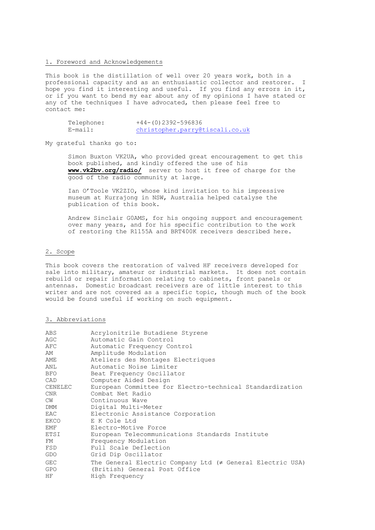#### 1. Foreword and Acknowledgements

This book is the distillation of well over 20 years work, both in a professional capacity and as an enthusiastic collector and restorer. I hope you find it interesting and useful. If you find any errors in it, or if you want to bend my ear about any of my opinions I have stated or any of the techniques I have advocated, then please feel free to contact me:

| Telephone: | +44-(0)2392-596836              |
|------------|---------------------------------|
| E-mail:    | christopher.parry@tiscali.co.uk |

My grateful thanks go to:

Simon Buxton VK2UA, who provided great encouragement to get this book published, and kindly offered the use of his **www.vk2bv.org/radio/** server to host it free of charge for the good of the radio community at large.

Ian O'Toole VK2ZIO, whose kind invitation to his impressive museum at Kurrajong in NSW, Australia helped catalyse the publication of this book.

Andrew Sinclair G0AMS, for his ongoing support and encouragement over many years, and for his specific contribution to the work of restoring the R1155A and BRT400K receivers described here.

#### 2. Scope

This book covers the restoration of valved HF receivers developed for sale into military, amateur or industrial markets. It does not contain rebuild or repair information relating to cabinets, front panels or antennas. Domestic broadcast receivers are of little interest to this writer and are not covered as a specific topic, though much of the book would be found useful if working on such equipment.

## 3. Abbreviations

| ABS        | Acrylonitrile Butadiene Styrene                                |
|------------|----------------------------------------------------------------|
| AGC        | Automatic Gain Control                                         |
| AFC        | Automatic Frequency Control                                    |
| AM         | Amplitude Modulation                                           |
| AME        | Ateliers des Montages Electriques                              |
| ANL        | Automatic Noise Limiter                                        |
| BFO.       | Beat Frequency Oscillator                                      |
| CAD        | Computer Aided Design                                          |
| CENELEC    | European Committee for Electro-technical Standardization       |
| CNR        | Combat Net Radio                                               |
| CW         | Continuous Wave                                                |
| DMM        | Digital Multi-Meter                                            |
| EAC        | Electronic Assistance Corporation                              |
| EKCO       | E K Cole Ltd                                                   |
| EMF        | Electro-Motive Force                                           |
| ETSI       | European Telecommunications Standards Institute                |
| FM         | Frequency Modulation                                           |
| FSD        | Full Scale Deflection                                          |
| GDO        | Grid Dip Oscillator                                            |
| <b>GEC</b> | The General Electric Company Ltd $(\neq$ General Electric USA) |
| <b>GPO</b> | (British) General Post Office                                  |
| HF.        | High Frequency                                                 |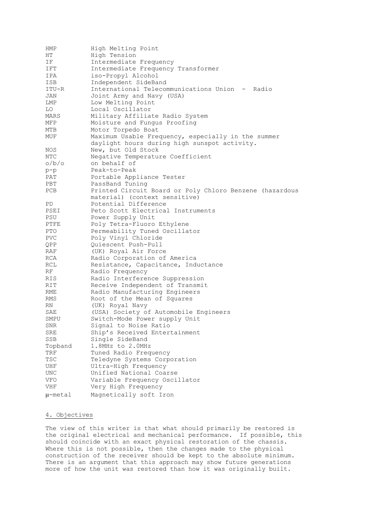| HMP          | High Melting Point                                      |
|--------------|---------------------------------------------------------|
| ΗT           | High Tension                                            |
| ΙF           | Intermediate Frequency                                  |
| IFT          | Intermediate Frequency Transformer                      |
| IPA          | iso-Propyl Alcohol                                      |
| ISB          | Independent SideBand                                    |
| ITU-R        | International Telecommunications Union - Radio          |
| JAN          | Joint Army and Navy (USA)                               |
|              | Low Melting Point                                       |
| LMP          |                                                         |
| LO           | Local Oscillator                                        |
| MARS         | Military Affiliate Radio System                         |
| MFP          | Moisture and Fungus Proofing                            |
| MTB          | Motor Torpedo Boat                                      |
| MUF          | Maximum Usable Frequency, especially in the summer      |
|              | daylight hours during high sunspot activity.            |
| NOS          | New, but Old Stock                                      |
| NTC          | Negative Temperature Coefficient                        |
| o/b/o        | on behalf of                                            |
| $p-p$        | Peak-to-Peak                                            |
| PAT          | Portable Appliance Tester                               |
| PBT          | PassBand Tuning                                         |
| <b>PCB</b>   | Printed Circuit Board or Poly Chloro Benzene (hazardous |
|              | material) (context sensitive)                           |
| PD           | Potential Difference                                    |
| PSEI         | Peto Scott Electrical Instruments                       |
| PSU          | Power Supply Unit                                       |
| PTFE         |                                                         |
|              | Poly Tetra-Fluoro Ethylene                              |
| PTO          | Permeability Tuned Oscillator                           |
| PVC          | Poly Vinyl Chloride                                     |
| QPP          | Quiescent Push-Pull                                     |
| RAF          | (UK) Royal Air Force                                    |
| RCA          | Radio Corporation of America                            |
| RCL          | Resistance, Capacitance, Inductance                     |
| RF           | Radio Frequency                                         |
| RIS.         | Radio Interference Suppression                          |
| RIT          | Receive Independent of Transmit                         |
| RME          | Radio Manufacturing Engineers                           |
| RMS          | Root of the Mean of Squares                             |
| RN           | (UK) Royal Navy                                         |
| SAE          | (USA) Society of Automobile Engineers                   |
| SMPU         | Switch-Mode Power supply Unit                           |
| SNR          | Signal to Noise Ratio                                   |
| SRE          | Ship's Received Entertainment                           |
| <b>SSB</b>   | Single SideBand                                         |
| Topband      | 1.8MHz to 2.0MHz                                        |
|              |                                                         |
| TRF          | Tuned Radio Frequency                                   |
| TSC          | Teledyne Systems Corporation                            |
| UHF          | Ultra-High Frequency                                    |
| <b>UNC</b>   | Unified National Coarse                                 |
| VFO          | Variable Frequency Oscillator                           |
| VHF          | Very High Frequency                                     |
| $\mu$ -metal | Magnetically soft Iron                                  |

# 4. Objectives

The view of this writer is that what should primarily be restored is the original electrical and mechanical performance. If possible, this should coincide with an exact physical restoration of the chassis. Where this is not possible, then the changes made to the physical construction of the receiver should be kept to the absolute minimum. There is an argument that this approach may show future generations more of how the unit was restored than how it was originally built.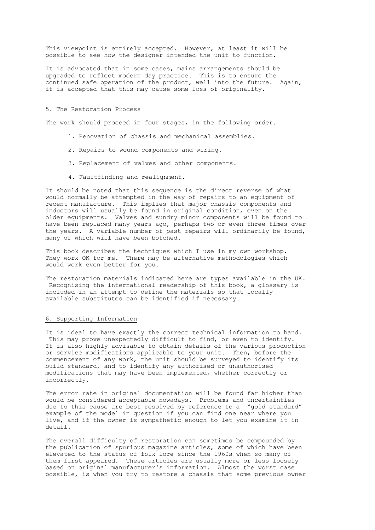This viewpoint is entirely accepted. However, at least it will be possible to see how the designer intended the unit to function.

It is advocated that in some cases, mains arrangements should be upgraded to reflect modern day practice. This is to ensure the continued safe operation of the product, well into the future. Again, it is accepted that this may cause some loss of originality.

#### 5. The Restoration Process

The work should proceed in four stages, in the following order.

- 1. Renovation of chassis and mechanical assemblies.
- 2. Repairs to wound components and wiring.
- 3. Replacement of valves and other components.
- 4. Faultfinding and realignment.

It should be noted that this sequence is the direct reverse of what would normally be attempted in the way of repairs to an equipment of recent manufacture. This implies that major chassis components and inductors will usually be found in original condition, even on the older equipments. Valves and sundry minor components will be found to have been replaced many years ago, perhaps two or even three times over the years. A variable number of past repairs will ordinarily be found, many of which will have been botched.

This book describes the techniques which I use in my own workshop. They work OK for me. There may be alternative methodologies which would work even better for you.

The restoration materials indicated here are types available in the UK. Recognising the international readership of this book, a glossary is included in an attempt to define the materials so that locally available substitutes can be identified if necessary.

#### 6. Supporting Information

It is ideal to have exactly the correct technical information to hand. This may prove unexpectedly difficult to find, or even to identify. It is also highly advisable to obtain details of the various production or service modifications applicable to your unit. Then, before the commencement of any work, the unit should be surveyed to identify its build standard, and to identify any authorised or unauthorised modifications that may have been implemented, whether correctly or incorrectly.

The error rate in original documentation will be found far higher than would be considered acceptable nowadays. Problems and uncertainties due to this cause are best resolved by reference to a "gold standard" example of the model in question if you can find one near where you live, and if the owner is sympathetic enough to let you examine it in detail.

The overall difficulty of restoration can sometimes be compounded by the publication of spurious magazine articles, some of which have been elevated to the status of folk lore since the 1960s when so many of them first appeared. These articles are usually more or less loosely based on original manufacturer's information. Almost the worst case possible, is when you try to restore a chassis that some previous owner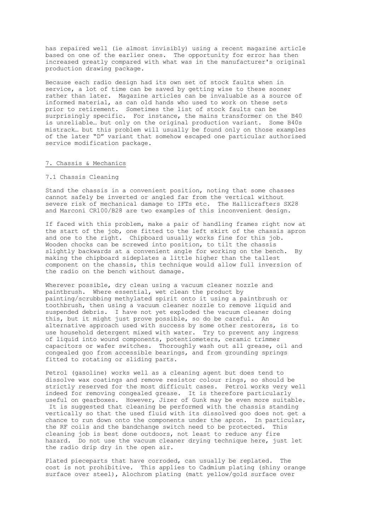has repaired well (ie almost invisibly) using a recent magazine article based on one of the earlier ones. The opportunity for error has then increased greatly compared with what was in the manufacturer's original production drawing package.

Because each radio design had its own set of stock faults when in service, a lot of time can be saved by getting wise to these sooner rather than later. Magazine articles can be invaluable as a source of informed material, as can old hands who used to work on these sets prior to retirement. Sometimes the list of stock faults can be surprisingly specific. For instance, the mains transformer on the B40 is unreliable… but only on the original production variant. Some B40s mistrack… but this problem will usually be found only on those examples of the later "D" variant that somehow escaped one particular authorised service modification package.

#### 7. Chassis & Mechanics

#### 7.1 Chassis Cleaning

Stand the chassis in a convenient position, noting that some chasses cannot safely be inverted or angled far from the vertical without severe risk of mechanical damage to IFTs etc. The Hallicrafters SX28 and Marconi CR100/B28 are two examples of this inconvenient design.

If faced with this problem, make a pair of handling frames right now at the start of the job, one fitted to the left skirt of the chassis apron and one to the right. Chipboard usually works fine for this job. Wooden chocks can be screwed into position, to tilt the chassis slightly backwards at a convenient angle for working on the bench. By making the chipboard sideplates a little higher than the tallest component on the chassis, this technique would allow full inversion of the radio on the bench without damage.

Wherever possible, dry clean using a vacuum cleaner nozzle and paintbrush. Where essential, wet clean the product by painting/scrubbing methylated spirit onto it using a paintbrush or toothbrush, then using a vacuum cleaner nozzle to remove liquid and suspended debris. I have not yet exploded the vacuum cleaner doing this, but it might just prove possible, so do be careful. An alternative approach used with success by some other restorers, is to use household detergent mixed with water. Try to prevent any ingress of liquid into wound components, potentiometers, ceramic trimmer capacitors or wafer switches. Thoroughly wash out all grease, oil and congealed goo from accessible bearings, and from grounding springs fitted to rotating or sliding parts.

Petrol (gasoline) works well as a cleaning agent but does tend to dissolve wax coatings and remove resistor colour rings, so should be strictly reserved for the most difficult cases. Petrol works very well indeed for removing congealed grease. It is therefore particularly useful on gearboxes. However, Jizer of Gunk may be even more suitable. It is suggested that cleaning be performed with the chassis standing vertically so that the used fluid with its dissolved goo does not get a chance to run down onto the components under the apron. In particular, the RF coils and the bandchange switch need to be protected. This cleaning job is best done outdoors, not least to reduce any fire hazard. Do not use the vacuum cleaner drying technique here, just let the radio drip dry in the open air.

Plated pieceparts that have corroded, can usually be replated. The cost is not prohibitive. This applies to Cadmium plating (shiny orange surface over steel), Alochrom plating (matt yellow/gold surface over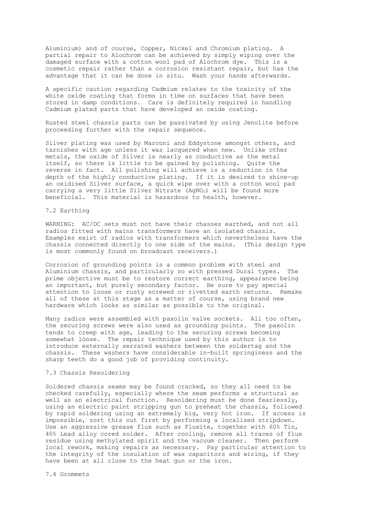Aluminium) and of course, Copper, Nickel and Chromium plating. A partial repair to Alochrom can be achieved by simply wiping over the damaged surface with a cotton wool pad of Alochrom dye. This is a cosmetic repair rather than a corrosion resistant repair, but has the advantage that it can be done in situ. Wash your hands afterwards.

A specific caution regarding Cadmium relates to the toxicity of the white oxide coating that forms in time on surfaces that have been stored in damp conditions. Care is definitely required in handling Cadmium plated parts that have developed an oxide coating.

Rusted steel chassis parts can be passivated by using Jenolite before proceeding further with the repair sequence.

Silver plating was used by Marconi and Eddystone amongst others, and tarnishes with age unless it was lacquered when new. Unlike other metals, the oxide of Silver is nearly as conductive as the metal itself, so there is little to be gained by polishing. Quite the reverse in fact. All polishing will achieve is a reduction in the depth of the highly conductive plating. If it is desired to shine-up an oxidised Silver surface, a quick wipe over with a cotton wool pad carrying a very little Silver Nitrate  $(AqNO<sub>3</sub>)$  will be found more beneficial. This material is hazardous to health, however.

# 7.2 Earthing

WARNING: AC/DC sets must not have their chasses earthed, and not all radios fitted with mains transformers have an isolated chassis. Examples exist of radios with transformers which nevertheless have the chassis connected directly to one side of the mains. (This design type is most commonly found on broadcast receivers.)

Corrosion of grounding points is a common problem with steel and Aluminium chassis, and particularly so with pressed Dural types. The prime objective must be to restore correct earthing, appearance being an important, but purely secondary factor. Be sure to pay special attention to loose or rusty screwed or rivetted earth returns. Remake all of these at this stage as a matter of course, using brand new hardware which looks as similar as possible to the original.

Many radios were assembled with paxolin valve sockets. All too often, the securing screws were also used as grounding points. The paxolin tends to creep with age, leading to the securing screws becoming somewhat loose. The repair technique used by this author is to introduce externally serrated washers between the soldertag and the chassis. These washers have considerable in-built springiness and the sharp teeth do a good job of providing continuity.

#### 7.3 Chassis Resoldering

Soldered chassis seams may be found cracked, so they all need to be checked carefully, especially where the seam performs a structural as well as an electrical function. Resoldering must be done fearlessly, using an electric paint stripping gun to preheat the chassis, followed by rapid soldering using an extremely big, very hot iron. If access is impossible, sort this out first by performing a localised stripdown. Use an aggressive grease flux such as Fluxite, together with 60% Tin, 40% Lead alloy cored solder. After cooling, remove all traces of flux residue using methylated spirit and the vacuum cleaner. Then perform local rework, making repairs as necessary. Pay particular attention to the integrity of the insulation of wax capacitors and wiring, if they have been at all close to the heat gun or the iron.

7.4 Grommets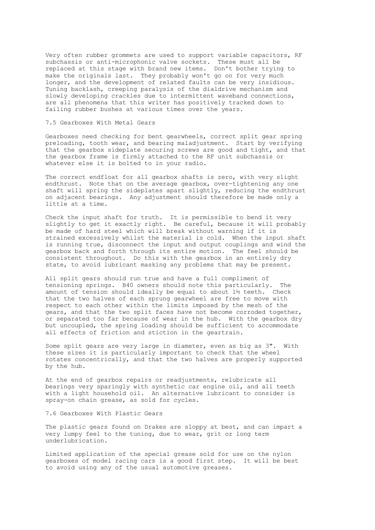Very often rubber grommets are used to support variable capacitors, RF subchassis or anti-microphonic valve sockets. These must all be replaced at this stage with brand new items. Don't bother trying to make the originals last. They probably won't go on for very much longer, and the development of related faults can be very insidious. Tuning backlash, creeping paralysis of the dialdrive mechanism and slowly developing crackles due to intermittent waveband connections, are all phenomena that this writer has positively tracked down to failing rubber bushes at various times over the years.

#### 7.5 Gearboxes With Metal Gears

Gearboxes need checking for bent gearwheels, correct split gear spring preloading, tooth wear, and bearing maladjustment. Start by verifying that the gearbox sideplate securing screws are good and tight, and that the gearbox frame is firmly attached to the RF unit subchassis or whatever else it is bolted to in your radio.

The correct endfloat for all gearbox shafts is zero, with very slight endthrust. Note that on the average gearbox, over-tightening any one shaft will spring the sideplates apart slightly, reducing the endthrust on adjacent bearings. Any adjustment should therefore be made only a little at a time.

Check the input shaft for truth. It is permissible to bend it very slightly to get it exactly right. Be careful, because it will probably be made of hard steel which will break without warning if it is strained excessively whilst the material is cold. When the input shaft is running true, disconnect the input and output couplings and wind the gearbox back and forth through its entire motion. The feel should be consistent throughout. Do this with the gearbox in an entirely dry state, to avoid lubricant masking any problems that may be present.

All split gears should run true and have a full compliment of tensioning springs. B40 owners should note this particularly. The amount of tension should ideally be equal to about 1½ teeth. Check that the two halves of each sprung gearwheel are free to move with respect to each other within the limits imposed by the mesh of the gears, and that the two split faces have not become corroded together, or separated too far because of wear in the hub. With the gearbox dry but uncoupled, the spring loading should be sufficient to accommodate all effects of friction and stiction in the geartrain.

Some split gears are very large in diameter, even as big as 3". With these sizes it is particularly important to check that the wheel rotates concentrically, and that the two halves are properly supported by the hub.

At the end of gearbox repairs or readjustments, relubricate all bearings very sparingly with synthetic car engine oil, and all teeth with a light household oil. An alternative lubricant to consider is spray-on chain grease, as sold for cycles.

#### 7.6 Gearboxes With Plastic Gears

The plastic gears found on Drakes are sloppy at best, and can impart a very lumpy feel to the tuning, due to wear, grit or long term underlubrication.

Limited application of the special grease sold for use on the nylon gearboxes of model racing cars is a good first step. It will be best to avoid using any of the usual automotive greases.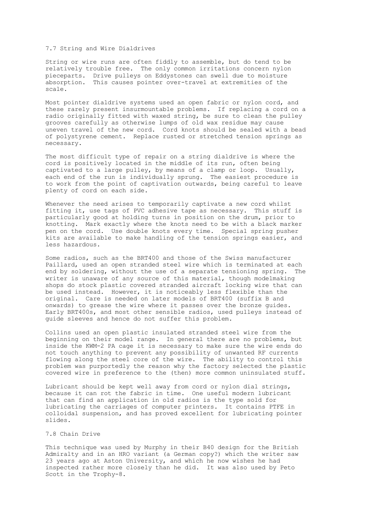#### 7.7 String and Wire Dialdrives

String or wire runs are often fiddly to assemble, but do tend to be relatively trouble free. The only common irritations concern nylon pieceparts. Drive pulleys on Eddystones can swell due to moisture absorption. This causes pointer over-travel at extremities of the scale.

Most pointer dialdrive systems used an open fabric or nylon cord, and these rarely present insurmountable problems. If replacing a cord on a radio originally fitted with waxed string, be sure to clean the pulley grooves carefully as otherwise lumps of old wax residue may cause uneven travel of the new cord. Cord knots should be sealed with a bead of polystyrene cement. Replace rusted or stretched tension springs as necessary.

The most difficult type of repair on a string dialdrive is where the cord is positively located in the middle of its run, often being captivated to a large pulley, by means of a clamp or loop. Usually, each end of the run is individually sprung. The easiest procedure is to work from the point of captivation outwards, being careful to leave plenty of cord on each side.

Whenever the need arises to temporarily captivate a new cord whilst fitting it, use tags of PVC adhesive tape as necessary. This stuff is particularly good at holding turns in position on the drum, prior to knotting. Mark exactly where the knots need to be with a black marker pen on the cord. Use double knots every time. Special spring pusher kits are available to make handling of the tension springs easier, and less hazardous.

Some radios, such as the BRT400 and those of the Swiss manufacturer Paillard, used an open stranded steel wire which is terminated at each end by soldering, without the use of a separate tensioning spring. The writer is unaware of any source of this material, though modelmaking shops do stock plastic covered stranded aircraft locking wire that can be used instead. However, it is noticeably less flexible than the original. Care is needed on later models of BRT400 (suffix B and onwards) to grease the wire where it passes over the bronze guides. Early BRT400s, and most other sensible radios, used pulleys instead of guide sleeves and hence do not suffer this problem.

Collins used an open plastic insulated stranded steel wire from the beginning on their model range. In general there are no problems, but inside the KWM-2 PA cage it is necessary to make sure the wire ends do not touch anything to prevent any possibility of unwanted RF currents flowing along the steel core of the wire. The ability to control this problem was purportedly the reason why the factory selected the plastic covered wire in preference to the (then) more common uninsulated stuff.

Lubricant should be kept well away from cord or nylon dial strings, because it can rot the fabric in time. One useful modern lubricant that can find an application in old radios is the type sold for lubricating the carriages of computer printers. It contains PTFE in colloidal suspension, and has proved excellent for lubricating pointer slides.

#### 7.8 Chain Drive

This technique was used by Murphy in their B40 design for the British Admiralty and in an HRO variant (a German copy?) which the writer saw 23 years ago at Aston University, and which he now wishes he had inspected rather more closely than he did. It was also used by Peto Scott in the Trophy-8.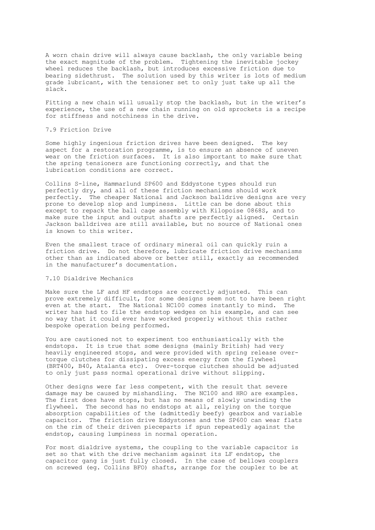A worn chain drive will always cause backlash, the only variable being the exact magnitude of the problem. Tightening the inevitable jockey wheel reduces the backlash, but introduces excessive friction due to bearing sidethrust. The solution used by this writer is lots of medium grade lubricant, with the tensioner set to only just take up all the slack.

Fitting a new chain will usually stop the backlash, but in the writer's experience, the use of a new chain running on old sprockets is a recipe for stiffness and notchiness in the drive.

# 7.9 Friction Drive

Some highly ingenious friction drives have been designed. The key aspect for a restoration programme, is to ensure an absence of uneven wear on the friction surfaces. It is also important to make sure that the spring tensioners are functioning correctly, and that the lubrication conditions are correct.

Collins S-line, Hammarlund SP600 and Eddystone types should run perfectly dry, and all of these friction mechanisms should work perfectly. The cheaper National and Jackson balldrive designs are very prone to develop slop and lumpiness. Little can be done about this except to repack the ball cage assembly with Kilopoise 0868S, and to make sure the input and output shafts are perfectly aligned. Certain Jackson balldrives are still available, but no source of National ones is known to this writer.

Even the smallest trace of ordinary mineral oil can quickly ruin a friction drive. Do not therefore, lubricate friction drive mechanisms other than as indicated above or better still, exactly as recommended in the manufacturer's documentation.

# 7.10 Dialdrive Mechanics

Make sure the LF and HF endstops are correctly adjusted. This can prove extremely difficult, for some designs seem not to have been right even at the start. The National NC100 comes instantly to mind. The writer has had to file the endstop wedges on his example, and can see no way that it could ever have worked properly without this rather bespoke operation being performed.

You are cautioned not to experiment too enthusiastically with the endstops. It is true that some designs (mainly British) had very heavily engineered stops, and were provided with spring release overtorque clutches for dissipating excess energy from the flywheel (BRT400, B40, Atalanta etc). Over-torque clutches should be adjusted to only just pass normal operational drive without slipping.

Other designs were far less competent, with the result that severe damage may be caused by mishandling. The NC100 and HRO are examples. The first does have stops, but has no means of slowly unwinding the flywheel. The second has no endstops at all, relying on the torque absorption capabilities of the (admittedly beefy) gearbox and variable capacitor. The friction drive Eddystones and the SP600 can wear flats on the rim of their driven pieceparts if spun repeatedly against the endstop, causing lumpiness in normal operation.

For most dialdrive systems, the coupling to the variable capacitor is set so that with the drive mechanism against its LF endstop, the capacitor gang is just fully closed. In the case of bellows couplers on screwed (eg. Collins BFO) shafts, arrange for the coupler to be at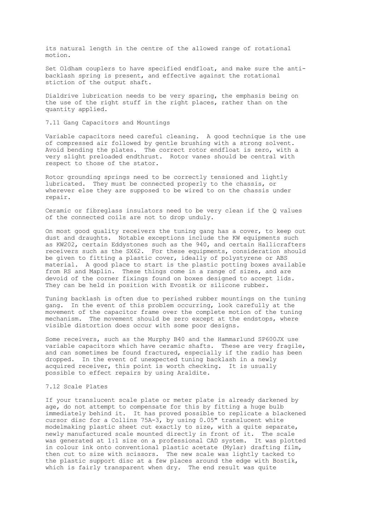its natural length in the centre of the allowed range of rotational motion.

Set Oldham couplers to have specified endfloat, and make sure the antibacklash spring is present, and effective against the rotational stiction of the output shaft.

Dialdrive lubrication needs to be very sparing, the emphasis being on the use of the right stuff in the right places, rather than on the quantity applied.

7.11 Gang Capacitors and Mountings

Variable capacitors need careful cleaning. A good technique is the use of compressed air followed by gentle brushing with a strong solvent. Avoid bending the plates. The correct rotor endfloat is zero, with a very slight preloaded endthrust. Rotor vanes should be central with respect to those of the stator.

Rotor grounding springs need to be correctly tensioned and lightly lubricated. They must be connected properly to the chassis, or wherever else they are supposed to be wired to on the chassis under repair.

Ceramic or fibreglass insulators need to be very clean if the Q values of the connected coils are not to drop unduly.

On most good quality receivers the tuning gang has a cover, to keep out dust and draughts. Notable exceptions include the KW equipments such as KW202, certain Eddystones such as the 940, and certain Hallicrafters receivers such as the SX62. For these equipments, consideration should be given to fitting a plastic cover, ideally of polystyrene or ABS material. A good place to start is the plastic potting boxes available from RS and Maplin. These things come in a range of sizes, and are devoid of the corner fixings found on boxes designed to accept lids. They can be held in position with Evostik or silicone rubber.

Tuning backlash is often due to perished rubber mountings on the tuning gang. In the event of this problem occurring, look carefully at the movement of the capacitor frame over the complete motion of the tuning mechanism. The movement should be zero except at the endstops, where visible distortion does occur with some poor designs.

Some receivers, such as the Murphy B40 and the Hammarlund SP600JX use variable capacitors which have ceramic shafts. These are very fragile, and can sometimes be found fractured, especially if the radio has been dropped. In the event of unexpected tuning backlash in a newly acquired receiver, this point is worth checking. It is usually possible to effect repairs by using Araldite.

#### 7.12 Scale Plates

If your translucent scale plate or meter plate is already darkened by age, do not attempt to compensate for this by fitting a huge bulb immediately behind it. It has proved possible to replicate a blackened cursor disc for a Collins 75A-3, by using 0.05" translucent white modelmaking plastic sheet cut exactly to size, with a quite separate, newly manufactured scale mounted directly in front of it. The scale was generated at 1:1 size on a professional CAD system. It was plotted in colour ink onto conventional plastic acetate (Mylar) drafting film, then cut to size with scissors. The new scale was lightly tacked to the plastic support disc at a few places around the edge with Bostik, which is fairly transparent when dry. The end result was quite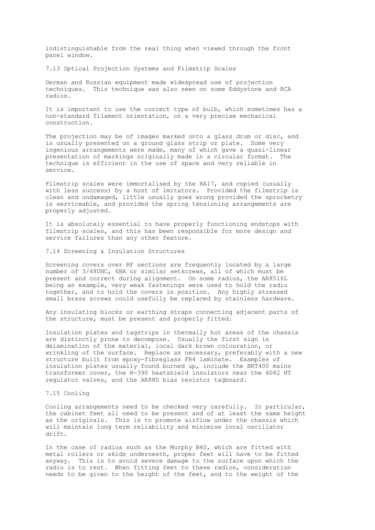indistinguishable from the real thing when viewed through the front panel window.

7.13 Optical Projection Systems and Filmstrip Scales

German and Russian equipment made widespread use of projection techniques. This technique was also seen on some Eddystone and RCA radios.

It is important to use the correct type of bulb, which sometimes has a non-standard filament orientation, or a very precise mechanical construction.

The projection may be of images marked onto a glass drum or disc, and is usually presented on a ground glass strip or plate. Some very ingenious arrangements were made, many of which gave a quasi-linear presentation of markings originally made in a circular format. The technique is efficient in the use of space and very reliable in service.

Filmstrip scales were immortalised by the RA17, and copied (usually with less success) by a host of imitators. Provided the filmstrip is clean and undamaged, little usually goes wrong provided the sprocketry is serviceable, and provided the spring tensioning arrangements are properly adjusted.

It is absolutely essential to have properly functioning endstops with filmstrip scales, and this has been responsible for more design and service failures than any other feature.

7.14 Screening & Insulation Structures

Screening covers over RF sections are frequently located by a large number of 3/48UNC, 6BA or similar setscrews, all of which must be present and correct during alignment. On some radios, the AR8516L being an example, very weak fastenings were used to hold the radio together, and to hold the covers in position. Any highly stressed small brass screws could usefully be replaced by stainless hardware.

Any insulating blocks or earthing straps connecting adjacent parts of the structure, must be present and properly fitted.

Insulation plates and tagstrips in thermally hot areas of the chassis are distinctly prone to decompose. Usually the first sign is delamination of the material, local dark brown colouration, or wrinkling of the surface. Replace as necessary, preferably with a new structure built from epoxy-fibreglass FR4 laminate. Examples of insulation plates usually found burned up, include the BRT400 mains transformer cover, the R-390 heatshield insulators near the 6082 HT regulator valves, and the AR88D bias resistor tagboard.

#### 7.15 Cooling

Cooling arrangements need to be checked very carefully. In particular, the cabinet feet all need to be present and of at least the same height as the originals. This is to promote airflow under the chassis which will maintain long term reliability and minimise local oscillator drift.

In the case of radios such as the Murphy B40, which are fitted with metal rollers or skids underneath, proper feet will have to be fitted anyway. This is to avoid severe damage to the surface upon which the radio is to rest. When fitting feet to these radios, consideration needs to be given to the height of the feet, and to the weight of the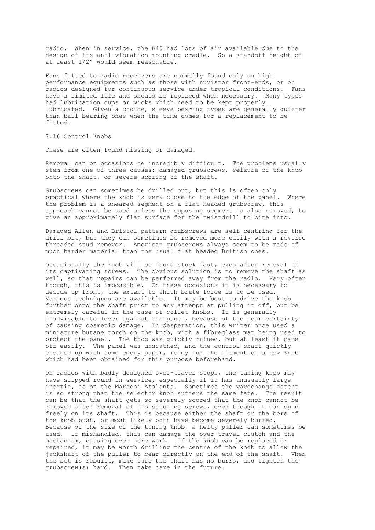radio. When in service, the B40 had lots of air available due to the design of its anti-vibration mounting cradle. So a standoff height of at least 1/2" would seem reasonable.

Fans fitted to radio receivers are normally found only on high performance equipments such as those with nuvistor front-ends, or on radios designed for continuous service under tropical conditions. Fans have a limited life and should be replaced when necessary. Many types had lubrication cups or wicks which need to be kept properly lubricated. Given a choice, sleeve bearing types are generally quieter than ball bearing ones when the time comes for a replacement to be fitted.

7.16 Control Knobs

These are often found missing or damaged.

Removal can on occasions be incredibly difficult. The problems usually stem from one of three causes: damaged grubscrews, seizure of the knob onto the shaft, or severe scoring of the shaft.

Grubscrews can sometimes be drilled out, but this is often only practical where the knob is very close to the edge of the panel. Where the problem is a sheared segment on a flat headed grubscrew, this approach cannot be used unless the opposing segment is also removed, to give an approximately flat surface for the twistdrill to bite into.

Damaged Allen and Bristol pattern grubscrews are self centring for the drill bit, but they can sometimes be removed more easily with a reverse threaded stud remover. American grubscrews always seem to be made of much harder material than the usual flat headed British ones.

Occasionally the knob will be found stuck fast, even after removal of its captivating screws. The obvious solution is to remove the shaft as well, so that repairs can be performed away from the radio. Very often though, this is impossible. On these occasions it is necessary to decide up front, the extent to which brute force is to be used. Various techniques are available. It may be best to drive the knob further onto the shaft prior to any attempt at pulling it off, but be extremely careful in the case of collet knobs. It is generally inadvisable to lever against the panel, because of the near certainty of causing cosmetic damage. In desperation, this writer once used a miniature butane torch on the knob, with a fibreglass mat being used to protect the panel. The knob was quickly ruined, but at least it came off easily. The panel was unscathed, and the control shaft quickly cleaned up with some emery paper, ready for the fitment of a new knob which had been obtained for this purpose beforehand.

On radios with badly designed over-travel stops, the tuning knob may have slipped round in service, especially if it has unusually large inertia, as on the Marconi Atalanta. Sometimes the wavechange detent is so strong that the selector knob suffers the same fate. The result can be that the shaft gets so severely scored that the knob cannot be removed after removal of its securing screws, even though it can spin freely on its shaft. This is because either the shaft or the bore of the knob bush, or most likely both have become severely burred. Because of the size of the tuning knob, a hefty puller can sometimes be used. If mishandled, this can damage the over-travel clutch and the mechanism, causing even more work. If the knob can be replaced or repaired, it may be worth drilling the centre of the knob to allow the jackshaft of the puller to bear directly on the end of the shaft. When the set is rebuilt, make sure the shaft has no burrs, and tighten the grubscrew(s) hard. Then take care in the future.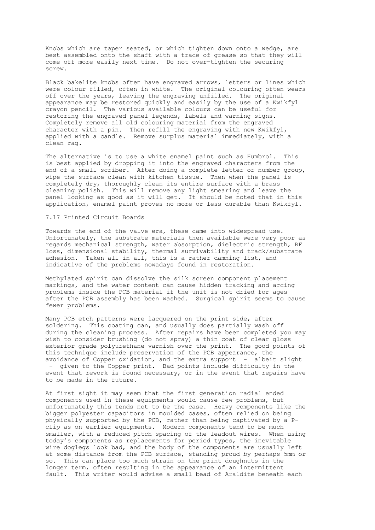Knobs which are taper seated, or which tighten down onto a wedge, are best assembled onto the shaft with a trace of grease so that they will come off more easily next time. Do not over-tighten the securing screw.

Black bakelite knobs often have engraved arrows, letters or lines which were colour filled, often in white. The original colouring often wears off over the years, leaving the engraving unfilled. The original appearance may be restored quickly and easily by the use of a Kwikfyl crayon pencil. The various available colours can be useful for restoring the engraved panel legends, labels and warning signs. Completely remove all old colouring material from the engraved character with a pin. Then refill the engraving with new Kwikfyl, applied with a candle. Remove surplus material immediately, with a clean rag.

The alternative is to use a white enamel paint such as Humbrol. This is best applied by dropping it into the engraved characters from the end of a small scriber. After doing a complete letter or number group, wipe the surface clean with kitchen tissue. Then when the panel is completely dry, thoroughly clean its entire surface with a brass cleaning polish. This will remove any light smearing and leave the panel looking as good as it will get. It should be noted that in this application, enamel paint proves no more or less durable than Kwikfyl.

# 7.17 Printed Circuit Boards

Towards the end of the valve era, these came into widespread use. Unfortunately, the substrate materials then available were very poor as regards mechanical strength, water absorption, dielectric strength, RF loss, dimensional stability, thermal survivability and track/substrate adhesion. Taken all in all, this is a rather damning list, and indicative of the problems nowadays found in restoration.

Methylated spirit can dissolve the silk screen component placement markings, and the water content can cause hidden tracking and arcing problems inside the PCB material if the unit is not dried for ages after the PCB assembly has been washed. Surgical spirit seems to cause fewer problems.

Many PCB etch patterns were lacquered on the print side, after soldering. This coating can, and usually does partially wash off during the cleaning process. After repairs have been completed you may wish to consider brushing (do not spray) a thin coat of clear gloss exterior grade polyurethane varnish over the print. The good points of this technique include preservation of the PCB appearance, the avoidance of Copper oxidation, and the extra support - albeit slight - given to the Copper print. Bad points include difficulty in the event that rework is found necessary, or in the event that repairs have to be made in the future.

At first sight it may seem that the first generation radial ended components used in these equipments would cause few problems, but unfortunately this tends not to be the case. Heavy components like the bigger polyester capacitors in moulded cases, often relied on being physically supported by the PCB, rather than being captivated by a Pclip as on earlier equipments. Modern components tend to be much smaller, with a reduced pitch spacing of the leadout wires. When using today's components as replacements for period types, the inevitable wire doglegs look bad, and the body of the components are usually left at some distance from the PCB surface, standing proud by perhaps 5mm or so. This can place too much strain on the print doughnuts in the longer term, often resulting in the appearance of an intermittent fault. This writer would advise a small bead of Araldite beneath each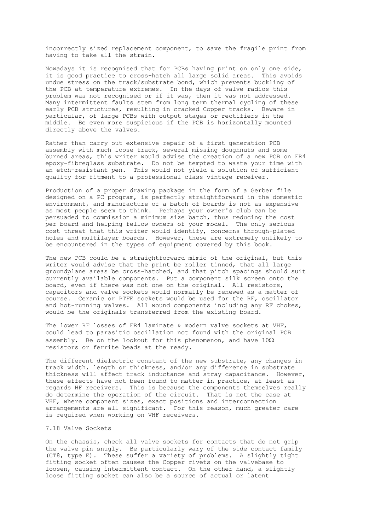incorrectly sized replacement component, to save the fragile print from having to take all the strain.

Nowadays it is recognised that for PCBs having print on only one side, it is good practice to cross-hatch all large solid areas. This avoids undue stress on the track/substrate bond, which prevents buckling of the PCB at temperature extremes. In the days of valve radios this problem was not recognised or if it was, then it was not addressed. Many intermittent faults stem from long term thermal cycling of these early PCB structures, resulting in cracked Copper tracks. Beware in particular, of large PCBs with output stages or rectifiers in the middle. Be even more suspicious if the PCB is horizontally mounted directly above the valves.

Rather than carry out extensive repair of a first generation PCB assembly with much loose track, several missing doughnuts and some burned areas, this writer would advise the creation of a new PCB on FR4 epoxy-fibreglass substrate. Do not be tempted to waste your time with an etch-resistant pen. This would not yield a solution of sufficient quality for fitment to a professional class vintage receiver.

Production of a proper drawing package in the form of a Gerber file designed on a PC program, is perfectly straightforward in the domestic environment, and manufacture of a batch of boards is not as expensive as most people seem to think. Perhaps your owner's club can be persuaded to commission a minimum size batch, thus reducing the cost per board and helping fellow owners of your model. The only serious cost threat that this writer would identify, concerns through-plated holes and multilayer boards. However, these are extremely unlikely to be encountered in the types of equipment covered by this book.

The new PCB could be a straightforward mimic of the original, but this writer would advise that the print be roller tinned, that all large groundplane areas be cross-hatched, and that pitch spacings should suit currently available components. Put a component silk screen onto the board, even if there was not one on the original. All resistors, capacitors and valve sockets would normally be renewed as a matter of course. Ceramic or PTFE sockets would be used for the RF, oscillator and hot-running valves. All wound components including any RF chokes, would be the originals transferred from the existing board.

The lower RF losses of FR4 laminate & modern valve sockets at VHF, could lead to parasitic oscillation not found with the original PCB assembly. Be on the lookout for this phenomenon, and have  $10\Omega$ resistors or ferrite beads at the ready.

The different dielectric constant of the new substrate, any changes in track width, length or thickness, and/or any difference in substrate thickness will affect track inductance and stray capacitance. However, these effects have not been found to matter in practice, at least as regards HF receivers. This is because the components themselves really do determine the operation of the circuit. That is not the case at VHF, where component sizes, exact positions and interconnection arrangements are all significant. For this reason, much greater care is required when working on VHF receivers.

#### 7.18 Valve Sockets

On the chassis, check all valve sockets for contacts that do not grip the valve pin snugly. Be particularly wary of the side contact family (CT8, type E). These suffer a variety of problems. A slightly tight fitting socket often causes the Copper rivets on the valvebase to loosen, causing intermittent contact. On the other hand, a slightly loose fitting socket can also be a source of actual or latent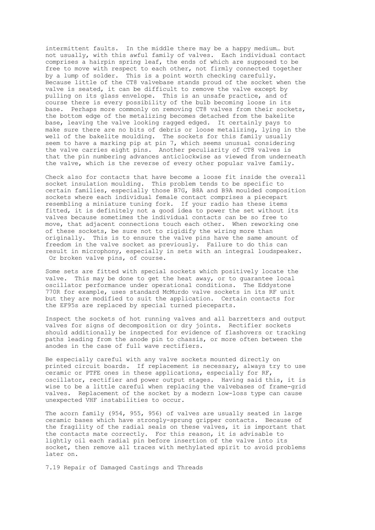intermittent faults. In the middle there may be a happy medium… but not usually, with this awful family of valves. Each individual contact comprises a hairpin spring leaf, the ends of which are supposed to be free to move with respect to each other, not firmly connected together by a lump of solder. This is a point worth checking carefully. Because little of the CT8 valvebase stands proud of the socket when the valve is seated, it can be difficult to remove the valve except by pulling on its glass envelope. This is an unsafe practice, and of course there is every possibility of the bulb becoming loose in its base. Perhaps more commonly on removing CT8 valves from their sockets, the bottom edge of the metalizing becomes detached from the bakelite base, leaving the valve looking ragged edged. It certainly pays to make sure there are no bits of debris or loose metalizing, lying in the well of the bakelite moulding. The sockets for this family usually seem to have a marking pip at pin 7, which seems unusual considering the valve carries eight pins. Another peculiarity of CT8 valves is that the pin numbering advances anticlockwise as viewed from underneath the valve, which is the reverse of every other popular valve family.

Check also for contacts that have become a loose fit inside the overall socket insulation moulding. This problem tends to be specific to certain families, especially those B7G, B8A and B9A moulded composition sockets where each individual female contact comprises a piecepart resembling a miniature tuning fork. If your radio has these items fitted, it is definitely not a good idea to power the set without its valves because sometimes the individual contacts can be so free to move, that adjacent connections touch each other. When reworking one of these sockets, be sure not to rigidify the wiring more than originally. This is to ensure the valve pins have the same amount of freedom in the valve socket as previously. Failure to do this can result in microphony, especially in sets with an integral loudspeaker. Or broken valve pins, of course.

Some sets are fitted with special sockets which positively locate the valve. This may be done to get the heat away, or to guarantee local oscillator performance under operational conditions. The Eddystone 770R for example, uses standard McMurdo valve sockets in its RF unit but they are modified to suit the application. Certain contacts for the EF95s are replaced by special turned pieceparts.

Inspect the sockets of hot running valves and all barretters and output valves for signs of decomposition or dry joints. Rectifier sockets should additionally be inspected for evidence of flashovers or tracking paths leading from the anode pin to chassis, or more often between the anodes in the case of full wave rectifiers.

Be especially careful with any valve sockets mounted directly on printed circuit boards. If replacement is necessary, always try to use ceramic or PTFE ones in these applications, especially for RF, oscillator, rectifier and power output stages. Having said this, it is wise to be a little careful when replacing the valvebases of frame-grid valves. Replacement of the socket by a modern low-loss type can cause unexpected VHF instabilities to occur.

The acorn family (954, 955, 956) of valves are usually seated in large ceramic bases which have strongly-sprung gripper contacts. Because of the fragility of the radial seals on these valves, it is important that the contacts mate correctly. For this reason, it is advisable to lightly oil each radial pin before insertion of the valve into its socket, then remove all traces with methylated spirit to avoid problems later on.

7.19 Repair of Damaged Castings and Threads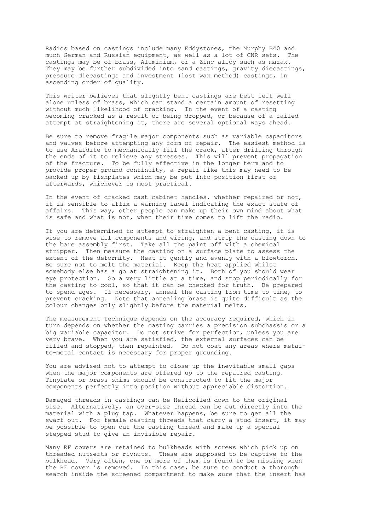Radios based on castings include many Eddystones, the Murphy B40 and much German and Russian equipment, as well as a lot of CNR sets. The castings may be of brass, Aluminium, or a Zinc alloy such as mazak. They may be further subdivided into sand castings, gravity diecastings, pressure diecastings and investment (lost wax method) castings, in ascending order of quality.

This writer believes that slightly bent castings are best left well alone unless of brass, which can stand a certain amount of resetting without much likelihood of cracking. In the event of a casting becoming cracked as a result of being dropped, or because of a failed attempt at straightening it, there are several optional ways ahead.

Be sure to remove fragile major components such as variable capacitors and valves before attempting any form of repair. The easiest method is to use Araldite to mechanically fill the crack, after drilling through the ends of it to relieve any stresses. This will prevent propagation of the fracture. To be fully effective in the longer term and to provide proper ground continuity, a repair like this may need to be backed up by fishplates which may be put into position first or afterwards, whichever is most practical.

In the event of cracked cast cabinet handles, whether repaired or not, it is sensible to affix a warning label indicating the exact state of affairs. This way, other people can make up their own mind about what is safe and what is not, when their time comes to lift the radio.

If you are determined to attempt to straighten a bent casting, it is wise to remove all components and wiring, and strip the casting down to the bare assembly first. Take all the paint off with a chemical stripper. Then measure the casting on a surface plate to assess the extent of the deformity. Heat it gently and evenly with a blowtorch. Be sure not to melt the material. Keep the heat applied whilst somebody else has a go at straightening it. Both of you should wear eye protection. Go a very little at a time, and stop periodically for the casting to cool, so that it can be checked for truth. Be prepared to spend ages. If necessary, anneal the casting from time to time, to prevent cracking. Note that annealing brass is quite difficult as the colour changes only slightly before the material melts.

The measurement technique depends on the accuracy required, which in turn depends on whether the casting carries a precision subchassis or a big variable capacitor. Do not strive for perfection, unless you are very brave. When you are satisfied, the external surfaces can be filled and stopped, then repainted. Do not coat any areas where metalto-metal contact is necessary for proper grounding.

You are advised not to attempt to close up the inevitable small gaps when the major components are offered up to the repaired casting. Tinplate or brass shims should be constructed to fit the major components perfectly into position without appreciable distortion.

Damaged threads in castings can be Helicoiled down to the original size. Alternatively, an over-size thread can be cut directly into the material with a plug tap. Whatever happens, be sure to get all the swarf out. For female casting threads that carry a stud insert, it may be possible to open out the casting thread and make up a special stepped stud to give an invisible repair.

Many RF covers are retained to bulkheads with screws which pick up on threaded nutserts or rivnuts. These are supposed to be captive to the bulkhead. Very often, one or more of them is found to be missing when the RF cover is removed. In this case, be sure to conduct a thorough search inside the screened compartment to make sure that the insert has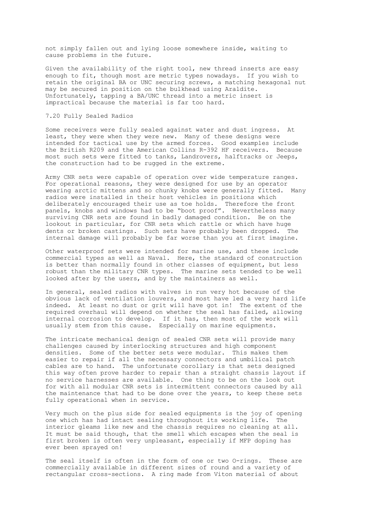not simply fallen out and lying loose somewhere inside, waiting to cause problems in the future.

Given the availability of the right tool, new thread inserts are easy enough to fit, though most are metric types nowadays. If you wish to retain the original BA or UNC securing screws, a matching hexagonal nut may be secured in position on the bulkhead using Araldite. Unfortunately, tapping a BA/UNC thread into a metric insert is impractical because the material is far too hard.

#### 7.20 Fully Sealed Radios

Some receivers were fully sealed against water and dust ingress. At least, they were when they were new. Many of these designs were intended for tactical use by the armed forces. Good examples include the British R209 and the American Collins R-392 HF receivers. Because most such sets were fitted to tanks, Landrovers, halftracks or Jeeps, the construction had to be rugged in the extreme.

Army CNR sets were capable of operation over wide temperature ranges. For operational reasons, they were designed for use by an operator wearing arctic mittens and so chunky knobs were generally fitted. Many radios were installed in their host vehicles in positions which deliberately encouraged their use as toe holds. Therefore the front panels, knobs and windows had to be "boot proof". Nevertheless many surviving CNR sets are found in badly damaged condition. Be on the lookout in particular, for CNR sets which rattle or which have huge dents or broken castings. Such sets have probably been dropped. The internal damage will probably be far worse than you at first imagine.

Other waterproof sets were intended for marine use, and these include commercial types as well as Naval. Here, the standard of construction is better than normally found in other classes of equipment, but less robust than the military CNR types. The marine sets tended to be well looked after by the users, and by the maintainers as well.

In general, sealed radios with valves in run very hot because of the obvious lack of ventilation louvers, and most have led a very hard life indeed. At least no dust or grit will have got in! The extent of the required overhaul will depend on whether the seal has failed, allowing internal corrosion to develop. If it has, then most of the work will usually stem from this cause. Especially on marine equipments.

The intricate mechanical design of sealed CNR sets will provide many challenges caused by interlocking structures and high component densities. Some of the better sets were modular. This makes them easier to repair if all the necessary connectors and umbilical patch cables are to hand. The unfortunate corollary is that sets designed this way often prove harder to repair than a straight chassis layout if no service harnesses are available. One thing to be on the look out for with all modular CNR sets is intermittent connectors caused by all the maintenance that had to be done over the years, to keep these sets fully operational when in service.

Very much on the plus side for sealed equipments is the joy of opening one which has had intact sealing throughout its working life. The interior gleams like new and the chassis requires no cleaning at all. It must be said though, that the smell which escapes when the seal is first broken is often very unpleasant, especially if MFP doping has ever been sprayed on!

The seal itself is often in the form of one or two O-rings. These are commercially available in different sizes of round and a variety of rectangular cross-sections. A ring made from Viton material of about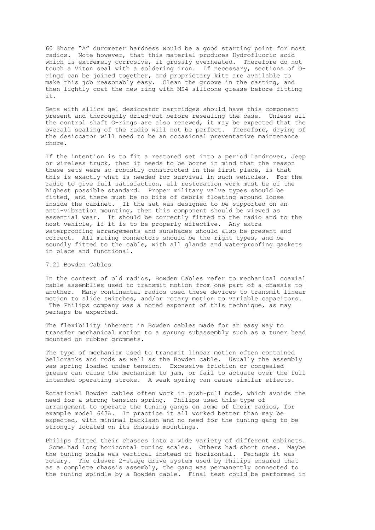60 Shore "A" durometer hardness would be a good starting point for most radios. Note however, that this material produces Hydrofluoric acid which is extremely corrosive, if grossly overheated. Therefore do not touch a Viton seal with a soldering iron. If necessary, sections of Orings can be joined together, and proprietary kits are available to make this job reasonably easy. Clean the groove in the casting, and then lightly coat the new ring with MS4 silicone grease before fitting it.

Sets with silica gel desiccator cartridges should have this component present and thoroughly dried-out before resealing the case. Unless all the control shaft O-rings are also renewed, it may be expected that the overall sealing of the radio will not be perfect. Therefore, drying of the desiccator will need to be an occasional preventative maintenance chore.

If the intention is to fit a restored set into a period Landrover, Jeep or wireless truck, then it needs to be borne in mind that the reason these sets were so robustly constructed in the first place, is that this is exactly what is needed for survival in such vehicles. For the radio to give full satisfaction, all restoration work must be of the highest possible standard. Proper military valve types should be fitted, and there must be no bits of debris floating around loose inside the cabinet. If the set was designed to be supported on an anti-vibration mounting, then this component should be viewed as essential wear. It should be correctly fitted to the radio and to the host vehicle, if it is to be properly effective. Any extra waterproofing arrangements and sunshades should also be present and correct. All mating connectors should be the right types, and be soundly fitted to the cable, with all glands and waterproofing gaskets in place and functional.

#### 7.21 Bowden Cables

In the context of old radios, Bowden Cables refer to mechanical coaxial cable assemblies used to transmit motion from one part of a chassis to another. Many continental radios used these devices to transmit linear motion to slide switches, and/or rotary motion to variable capacitors. The Philips company was a noted exponent of this technique, as may perhaps be expected.

The flexibility inherent in Bowden cables made for an easy way to transfer mechanical motion to a sprung subassembly such as a tuner head mounted on rubber grommets.

The type of mechanism used to transmit linear motion often contained bellcranks and rods as well as the Bowden cable. Usually the assembly was spring loaded under tension. Excessive friction or congealed grease can cause the mechanism to jam, or fail to actuate over the full intended operating stroke. A weak spring can cause similar effects.

Rotational Bowden cables often work in push-pull mode, which avoids the need for a strong tension spring. Philips used this type of arrangement to operate the tuning gangs on some of their radios, for example model 643A. In practice it all worked better than may be expected, with minimal backlash and no need for the tuning gang to be strongly located on its chassis mountings.

Philips fitted their chasses into a wide variety of different cabinets. Some had long horizontal tuning scales. Others had short ones. Maybe the tuning scale was vertical instead of horizontal. Perhaps it was rotary. The clever 2-stage drive system used by Philips ensured that as a complete chassis assembly, the gang was permanently connected to the tuning spindle by a Bowden cable. Final test could be performed in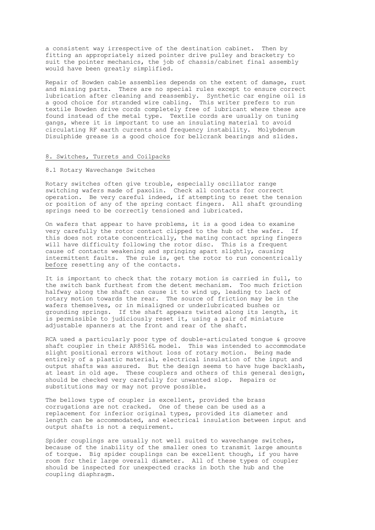a consistent way irrespective of the destination cabinet. Then by fitting an appropriately sized pointer drive pulley and bracketry to suit the pointer mechanics, the job of chassis/cabinet final assembly would have been greatly simplified.

Repair of Bowden cable assemblies depends on the extent of damage, rust and missing parts. There are no special rules except to ensure correct lubrication after cleaning and reassembly. Synthetic car engine oil is a good choice for stranded wire cabling. This writer prefers to run textile Bowden drive cords completely free of lubricant where these are found instead of the metal type. Textile cords are usually on tuning gangs, where it is important to use an insulating material to avoid circulating RF earth currents and frequency instability. Molybdenum Disulphide grease is a good choice for bellcrank bearings and slides.

#### 8. Switches, Turrets and Coilpacks

## 8.1 Rotary Wavechange Switches

Rotary switches often give trouble, especially oscillator range switching wafers made of paxolin. Check all contacts for correct operation. Be very careful indeed, if attempting to reset the tension or position of any of the spring contact fingers. All shaft grounding springs need to be correctly tensioned and lubricated.

On wafers that appear to have problems, it is a good idea to examine very carefully the rotor contact clipped to the hub of the wafer. If this does not rotate concentrically, the mating contact spring fingers will have difficulty following the rotor disc. This is a frequent cause of contacts weakening and springing apart slightly, causing intermittent faults. The rule is, get the rotor to run concentrically before resetting any of the contacts.

It is important to check that the rotary motion is carried in full, to the switch bank furthest from the detent mechanism. Too much friction halfway along the shaft can cause it to wind up, leading to lack of rotary motion towards the rear. The source of friction may be in the wafers themselves, or in misaligned or underlubricated bushes or grounding springs. If the shaft appears twisted along its length, it is permissible to judiciously reset it, using a pair of miniature adjustable spanners at the front and rear of the shaft.

RCA used a particularly poor type of double-articulated tongue & groove shaft coupler in their AR8516L model. This was intended to accommodate slight positional errors without loss of rotary motion. Being made entirely of a plastic material, electrical insulation of the input and output shafts was assured. But the design seems to have huge backlash, at least in old age. These couplers and others of this general design, should be checked very carefully for unwanted slop. Repairs or substitutions may or may not prove possible.

The bellows type of coupler is excellent, provided the brass corrugations are not cracked. One of these can be used as a replacement for inferior original types, provided its diameter and length can be accommodated, and electrical insulation between input and output shafts is not a requirement.

Spider couplings are usually not well suited to wavechange switches, because of the inability of the smaller ones to transmit large amounts of torque. Big spider couplings can be excellent though, if you have room for their large overall diameter. All of these types of coupler should be inspected for unexpected cracks in both the hub and the coupling diaphragm.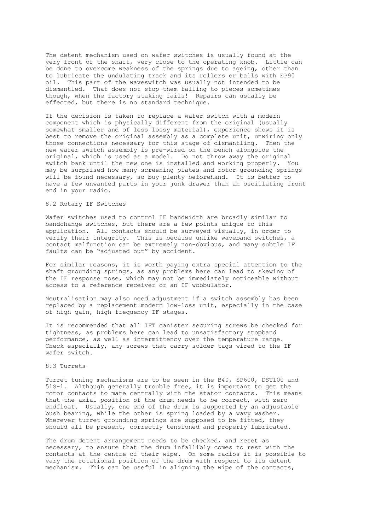The detent mechanism used on wafer switches is usually found at the very front of the shaft, very close to the operating knob. Little can be done to overcome weakness of the springs due to ageing, other than to lubricate the undulating track and its rollers or balls with EP90 oil. This part of the waveswitch was usually not intended to be dismantled. That does not stop them falling to pieces sometimes though, when the factory staking fails! Repairs can usually be effected, but there is no standard technique.

If the decision is taken to replace a wafer switch with a modern component which is physically different from the original (usually somewhat smaller and of less lossy material), experience shows it is best to remove the original assembly as a complete unit, unwiring only those connections necessary for this stage of dismantling. Then the new wafer switch assembly is pre-wired on the bench alongside the original, which is used as a model. Do not throw away the original switch bank until the new one is installed and working properly. You may be surprised how many screening plates and rotor grounding springs will be found necessary, so buy plenty beforehand. It is better to have a few unwanted parts in your junk drawer than an oscillating front end in your radio.

# 8.2 Rotary IF Switches

Wafer switches used to control IF bandwidth are broadly similar to bandchange switches, but there are a few points unique to this application. All contacts should be surveyed visually, in order to verify their integrity. This is because unlike waveband switches, a contact malfunction can be extremely non-obvious, and many subtle IF faults can be "adjusted out" by accident.

For similar reasons, it is worth paying extra special attention to the shaft grounding springs, as any problems here can lead to skewing of the IF response nose, which may not be immediately noticeable without access to a reference receiver or an IF wobbulator.

Neutralisation may also need adjustment if a switch assembly has been replaced by a replacement modern low-loss unit, especially in the case of high gain, high frequency IF stages.

It is recommended that all IFT canister securing screws be checked for tightness, as problems here can lead to unsatisfactory stopband performance, as well as intermittency over the temperature range. Check especially, any screws that carry solder tags wired to the IF wafer switch.

# 8.3 Turrets

Turret tuning mechanisms are to be seen in the B40, SP600, DST100 and 51S-1. Although generally trouble free, it is important to get the rotor contacts to mate centrally with the stator contacts. This means that the axial position of the drum needs to be correct, with zero endfloat. Usually, one end of the drum is supported by an adjustable bush bearing, while the other is spring loaded by a wavy washer. Wherever turret grounding springs are supposed to be fitted, they should all be present, correctly tensioned and properly lubricated.

The drum detent arrangement needs to be checked, and reset as necessary, to ensure that the drum infallibly comes to rest with the contacts at the centre of their wipe. On some radios it is possible to vary the rotational position of the drum with respect to its detent mechanism. This can be useful in aligning the wipe of the contacts,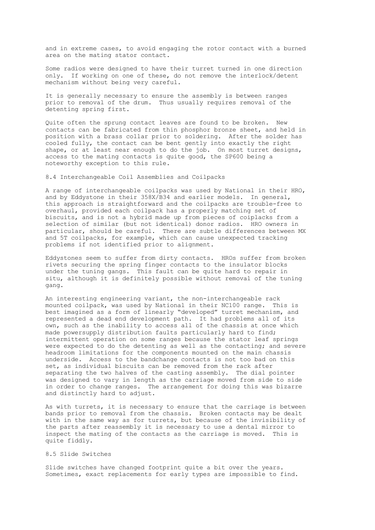and in extreme cases, to avoid engaging the rotor contact with a burned area on the mating stator contact.

Some radios were designed to have their turret turned in one direction only. If working on one of these, do not remove the interlock/detent mechanism without being very careful.

It is generally necessary to ensure the assembly is between ranges prior to removal of the drum. Thus usually requires removal of the detenting spring first.

Quite often the sprung contact leaves are found to be broken. New contacts can be fabricated from thin phosphor bronze sheet, and held in position with a brass collar prior to soldering. After the solder has cooled fully, the contact can be bent gently into exactly the right shape, or at least near enough to do the job. On most turret designs, access to the mating contacts is quite good, the SP600 being a noteworthy exception to this rule.

8.4 Interchangeable Coil Assemblies and Coilpacks

A range of interchangeable coilpacks was used by National in their HRO, and by Eddystone in their 358X/B34 and earlier models. In general, this approach is straightforward and the coilpacks are trouble-free to overhaul, provided each coilpack has a properly matching set of biscuits, and is not a hybrid made up from pieces of coiplacks from a selection of similar (but not identical) donor radios. HRO owners in particular, should be careful. There are subtle differences between MX and 5T coilpacks, for example, which can cause unexpected tracking problems if not identified prior to alignment.

Eddystones seem to suffer from dirty contacts. HROs suffer from broken rivets securing the spring finger contacts to the insulator blocks under the tuning gangs. This fault can be quite hard to repair in situ, although it is definitely possible without removal of the tuning gang.

An interesting engineering variant, the non-interchangeable rack mounted coilpack, was used by National in their NC100 range. This is best imagined as a form of linearly "developed" turret mechanism, and represented a dead end development path. It had problems all of its own, such as the inability to access all of the chassis at once which made powersupply distribution faults particularly hard to find; intermittent operation on some ranges because the stator leaf springs were expected to do the detenting as well as the contacting; and severe headroom limitations for the components mounted on the main chassis underside. Access to the bandchange contacts is not too bad on this set, as individual biscuits can be removed from the rack after separating the two halves of the casting assembly. The dial pointer was designed to vary in length as the carriage moved from side to side in order to change ranges. The arrangement for doing this was bizarre and distinctly hard to adjust.

As with turrets, it is necessary to ensure that the carriage is between bands prior to removal from the chassis. Broken contacts may be dealt with in the same way as for turrets, but because of the invisibility of the parts after reassembly it is necessary to use a dental mirror to inspect the mating of the contacts as the carriage is moved. This is quite fiddly.

# 8.5 Slide Switches

Slide switches have changed footprint quite a bit over the years. Sometimes, exact replacements for early types are impossible to find.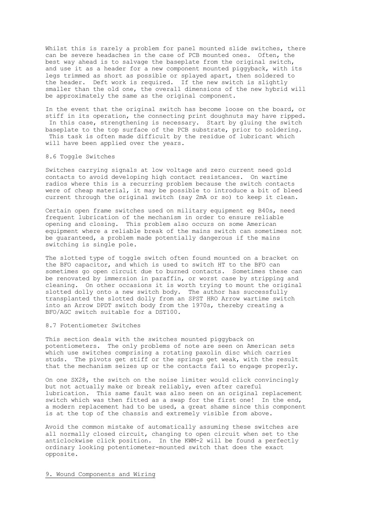Whilst this is rarely a problem for panel mounted slide switches, there can be severe headaches in the case of PCB mounted ones. Often, the best way ahead is to salvage the baseplate from the original switch, and use it as a header for a new component mounted piggyback, with its legs trimmed as short as possible or splayed apart, then soldered to the header. Deft work is required. If the new switch is slightly smaller than the old one, the overall dimensions of the new hybrid will be approximately the same as the original component.

In the event that the original switch has become loose on the board, or stiff in its operation, the connecting print doughnuts may have ripped. In this case, strengthening is necessary. Start by gluing the switch baseplate to the top surface of the PCB substrate, prior to soldering. This task is often made difficult by the residue of lubricant which will have been applied over the years.

#### 8.6 Toggle Switches

Switches carrying signals at low voltage and zero current need gold contacts to avoid developing high contact resistances. On wartime radios where this is a recurring problem because the switch contacts were of cheap material, it may be possible to introduce a bit of bleed current through the original switch (say 2mA or so) to keep it clean.

Certain open frame switches used on military equipment eg B40s, need frequent lubrication of the mechanism in order to ensure reliable opening and closing. This problem also occurs on some American equipment where a reliable break of the mains switch can sometimes not be guaranteed, a problem made potentially dangerous if the mains switching is single pole.

The slotted type of toggle switch often found mounted on a bracket on the BFO capacitor, and which is used to switch HT to the BFO can sometimes go open circuit due to burned contacts. Sometimes these can be renovated by immersion in paraffin, or worst case by stripping and cleaning. On other occasions it is worth trying to mount the original slotted dolly onto a new switch body. The author has successfully transplanted the slotted dolly from an SPST HRO Arrow wartime switch into an Arrow DPDT switch body from the 1970s, thereby creating a BFO/AGC switch suitable for a DST100.

#### 8.7 Potentiometer Switches

This section deals with the switches mounted piggyback on potentiometers. The only problems of note are seen on American sets which use switches comprising a rotating paxolin disc which carries studs. The pivots get stiff or the springs get weak, with the result that the mechanism seizes up or the contacts fail to engage properly.

On one SX28, the switch on the noise limiter would click convincingly but not actually make or break reliably, even after careful lubrication. This same fault was also seen on an original replacement switch which was then fitted as a swap for the first one! In the end, a modern replacement had to be used, a great shame since this component is at the top of the chassis and extremely visible from above.

Avoid the common mistake of automatically assuming these switches are all normally closed circuit, changing to open circuit when set to the anticlockwise click position. In the KWM-2 will be found a perfectly ordinary looking potentiometer-mounted switch that does the exact opposite.

#### 9. Wound Components and Wiring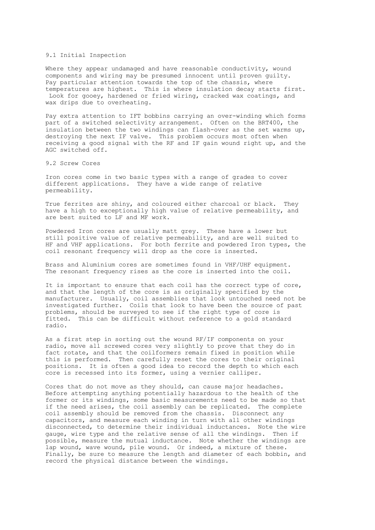#### 9.1 Initial Inspection

Where they appear undamaged and have reasonable conductivity, wound components and wiring may be presumed innocent until proven guilty. Pay particular attention towards the top of the chassis, where temperatures are highest. This is where insulation decay starts first. Look for gooey, hardened or fried wiring, cracked wax coatings, and wax drips due to overheating.

Pay extra attention to IFT bobbins carrying an over-winding which forms part of a switched selectivity arrangement. Often on the BRT400, the insulation between the two windings can flash-over as the set warms up, destroying the next IF valve. This problem occurs most often when receiving a good signal with the RF and IF gain wound right up, and the AGC switched off.

#### 9.2 Screw Cores

Iron cores come in two basic types with a range of grades to cover different applications. They have a wide range of relative permeability.

True ferrites are shiny, and coloured either charcoal or black. They have a high to exceptionally high value of relative permeability, and are best suited to LF and MF work.

Powdered Iron cores are usually matt grey. These have a lower but still positive value of relative permeability, and are well suited to HF and VHF applications. For both ferrite and powdered Iron types, the coil resonant frequency will drop as the core is inserted.

Brass and Aluminium cores are sometimes found in VHF/UHF equipment. The resonant frequency rises as the core is inserted into the coil.

It is important to ensure that each coil has the correct type of core, and that the length of the core is as originally specified by the manufacturer. Usually, coil assemblies that look untouched need not be investigated further. Coils that look to have been the source of past problems, should be surveyed to see if the right type of core is fitted. This can be difficult without reference to a gold standard radio.

As a first step in sorting out the wound RF/IF components on your radio, move all screwed cores very slightly to prove that they do in fact rotate, and that the coilformers remain fixed in position while this is performed. Then carefully reset the cores to their original positions. It is often a good idea to record the depth to which each core is recessed into its former, using a vernier calliper.

Cores that do not move as they should, can cause major headaches. Before attempting anything potentially hazardous to the health of the former or its windings, some basic measurements need to be made so that if the need arises, the coil assembly can be replicated. The complete coil assembly should be removed from the chassis. Disconnect any capacitors, and measure each winding in turn with all other windings disconnected, to determine their individual inductances. Note the wire gauge, wire type and the relative sense of all the windings. Then if possible, measure the mutual inductance. Note whether the windings are lap wound, wave wound, pile wound. Or indeed, a mixture of these. Finally, be sure to measure the length and diameter of each bobbin, and record the physical distance between the windings.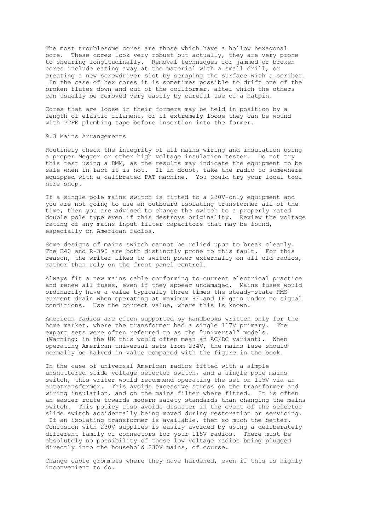The most troublesome cores are those which have a hollow hexagonal bore. These cores look very robust but actually, they are very prone to shearing longitudinally. Removal techniques for jammed or broken cores include eating away at the material with a small drill, or creating a new screwdriver slot by scraping the surface with a scriber. In the case of hex cores it is sometimes possible to drift one of the

broken flutes down and out of the coilformer, after which the others can usually be removed very easily by careful use of a hatpin.

Cores that are loose in their formers may be held in position by a length of elastic filament, or if extremely loose they can be wound with PTFE plumbing tape before insertion into the former.

#### 9.3 Mains Arrangements

Routinely check the integrity of all mains wiring and insulation using a proper Megger or other high voltage insulation tester. Do not try this test using a DMM, as the results may indicate the equipment to be safe when in fact it is not. If in doubt, take the radio to somewhere equipped with a calibrated PAT machine. You could try your local tool hire shop.

If a single pole mains switch is fitted to a 230V-only equipment and you are not going to use an outboard isolating transformer all of the time, then you are advised to change the switch to a properly rated double pole type even if this destroys originality. Review the voltage rating of any mains input filter capacitors that may be found, especially on American radios.

Some designs of mains switch cannot be relied upon to break cleanly. The B40 and R-390 are both distinctly prone to this fault. For this reason, the writer likes to switch power externally on all old radios, rather than rely on the front panel control.

Always fit a new mains cable conforming to current electrical practice and renew all fuses, even if they appear undamaged. Mains fuses would ordinarily have a value typically three times the steady-state RMS current drain when operating at maximum HF and IF gain under no signal conditions. Use the correct value, where this is known.

American radios are often supported by handbooks written only for the home market, where the transformer had a single 117V primary. The export sets were often referred to as the "universal" models. (Warning: in the UK this would often mean an AC/DC variant). When operating American universal sets from 234V, the mains fuse should normally be halved in value compared with the figure in the book.

In the case of universal American radios fitted with a simple unshuttered slide voltage selector switch, and a single pole mains switch, this writer would recommend operating the set on 115V via an autotransformer. This avoids excessive stress on the transformer and wiring insulation, and on the mains filter where fitted. It is often an easier route towards modern safety standards than changing the mains switch. This policy also avoids disaster in the event of the selector slide switch accidentally being moved during restoration or servicing. If an isolating transformer is available, then so much the better. Confusion with 230V supplies is easily avoided by using a deliberately different family of connectors for your 115V radios. There must be absolutely no possibility of these low voltage radios being plugged directly into the household 230V mains, of course.

Change cable grommets where they have hardened, even if this is highly inconvenient to do.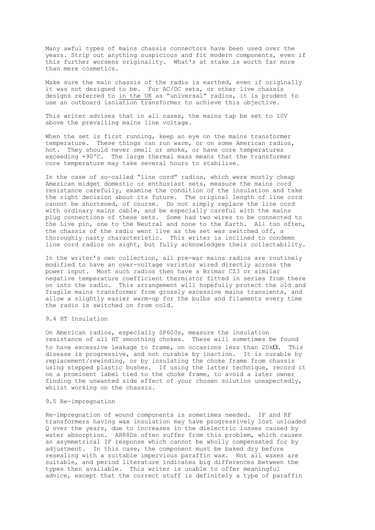Many awful types of mains chassis connectors have been used over the years. Strip out anything suspicious and fit modern components, even if this further worsens originality. What's at stake is worth far more than mere cosmetics.

Make sure the main chassis of the radio is earthed, even if originally it was not designed to be. For AC/DC sets, or other live chassis designs referred to in the UK as "universal" radios, it is prudent to use an outboard isolation transformer to achieve this objective.

This writer advises that in all cases, the mains tap be set to 10V above the prevailing mains line voltage.

When the set is first running, keep an eye on the mains transformer temperature. These things can run warm, or on some American radios, hot. They should never smell or smoke, or have core temperatures exceeding +90ºC. The large thermal mass means that the transformer core temperature may take several hours to stabilise.

In the case of so-called "line cord" radios, which were mostly cheap American midget domestic or enthusiast sets, measure the mains cord resistance carefully, examine the condition of the insulation and take the right decision about its future. The original length of line cord cannot be shortened, of course. Do not simply replace the line cord with ordinary mains cable, and be especially careful with the mains plug connections of these sets. Some had two wires to be connected to the Live pin, one to the Neutral and none to the Earth. All too often, the chassis of the radio went live as the set was switched off, a thoroughly nasty characteristic. This writer is inclined to condemn line cord radios on sight, but fully acknowledges their collectability.

In the writer's own collection, all pre-war mains radios are routinely modified to have an over-voltage varistor wired directly across the power input. Most such radios then have a Brimar CZ3 or similar negative temperature coefficient thermistor fitted in series from there on into the radio. This arrangement will hopefully protect the old and fragile mains transformer from grossly excessive mains transients, and allow a slightly easier warm-up for the bulbs and filaments every time the radio is switched on from cold.

#### 9.4 HT Insulation

On American radios, especially SP600s, measure the insulation resistance of all HT smoothing chokes. These will sometimes be found to have excessive leakage to frame, on occasions less than  $20k\Omega$ . This disease is progressive, and not curable by inaction. It is curable by replacement/rewinding, or by insulating the choke frame from chassis using stepped plastic bushes. If using the latter technique, record it on a prominent label tied to the choke frame, to avoid a later owner finding the unwanted side effect of your chosen solution unexpectedly, whilst working on the chassis.

#### 9.5 Re-impregnation

Re-impregnation of wound components is sometimes needed. IF and RF transformers having wax insulation may have progressively lost unloaded Q over the years, due to increases in the dielectric losses caused by water absorption. AR88Ds often suffer from this problem, which causes an asymmetrical IF response which cannot be wholly compensated for by adjustment. In this case, the component must be baked dry before resealing with a suitable impervious paraffin wax. Not all waxes are suitable, and period literature indicates big differences between the types then available. This writer is unable to offer meaningful advice, except that the correct stuff is definitely a type of paraffin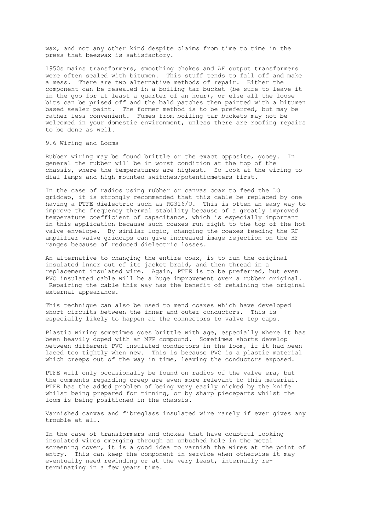wax, and not any other kind despite claims from time to time in the press that beeswax is satisfactory.

1950s mains transformers, smoothing chokes and AF output transformers were often sealed with bitumen. This stuff tends to fall off and make a mess. There are two alternative methods of repair. Either the component can be resealed in a boiling tar bucket (be sure to leave it in the goo for at least a quarter of an hour), or else all the loose bits can be prised off and the bald patches then painted with a bitumen based sealer paint. The former method is to be preferred, but may be rather less convenient. Fumes from boiling tar buckets may not be welcomed in your domestic environment, unless there are roofing repairs to be done as well.

#### 9.6 Wiring and Looms

Rubber wiring may be found brittle or the exact opposite, gooey. In general the rubber will be in worst condition at the top of the chassis, where the temperatures are highest. So look at the wiring to dial lamps and high mounted switches/potentiometers first.

In the case of radios using rubber or canvas coax to feed the LO gridcap, it is strongly recommended that this cable be replaced by one having a PTFE dielectric such as RG316/U. This is often an easy way to improve the frequency thermal stability because of a greatly improved temperature coefficient of capacitance, which is especially important in this application because such coaxes run right to the top of the hot valve envelope. By similar logic, changing the coaxes feeding the RF amplifier valve gridcaps can give increased image rejection on the HF ranges because of reduced dielectric losses.

An alternative to changing the entire coax, is to run the original insulated inner out of its jacket braid, and then thread in a replacement insulated wire. Again, PTFE is to be preferred, but even PVC insulated cable will be a huge improvement over a rubber original. Repairing the cable this way has the benefit of retaining the original external appearance.

This technique can also be used to mend coaxes which have developed short circuits between the inner and outer conductors. This is especially likely to happen at the connectors to valve top caps.

Plastic wiring sometimes goes brittle with age, especially where it has been heavily doped with an MFP compound. Sometimes shorts develop between different PVC insulated conductors in the loom, if it had been laced too tightly when new. This is because PVC is a plastic material which creeps out of the way in time, leaving the conductors exposed.

PTFE will only occasionally be found on radios of the valve era, but the comments regarding creep are even more relevant to this material. PTFE has the added problem of being very easily nicked by the knife whilst being prepared for tinning, or by sharp pieceparts whilst the loom is being positioned in the chassis.

Varnished canvas and fibreglass insulated wire rarely if ever gives any trouble at all.

In the case of transformers and chokes that have doubtful looking insulated wires emerging through an unbushed hole in the metal screening cover, it is a good idea to varnish the wires at the point of entry. This can keep the component in service when otherwise it may eventually need rewinding or at the very least, internally reterminating in a few years time.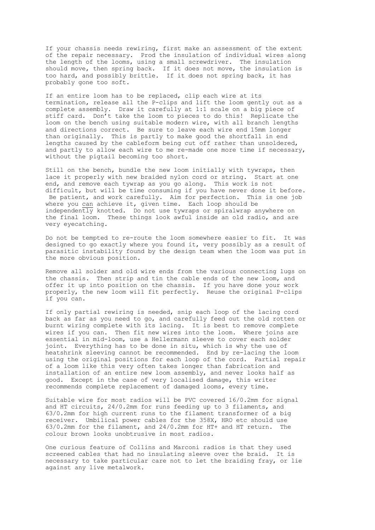If your chassis needs rewiring, first make an assessment of the extent of the repair necessary. Prod the insulation of individual wires along the length of the looms, using a small screwdriver. The insulation should move, then spring back. If it does not move, the insulation is too hard, and possibly brittle. If it does not spring back, it has probably gone too soft.

If an entire loom has to be replaced, clip each wire at its termination, release all the P-clips and lift the loom gently out as a complete assembly. Draw it carefully at 1:1 scale on a big piece of stiff card. Don't take the loom to pieces to do this! Replicate the loom on the bench using suitable modern wire, with all branch lengths and directions correct. Be sure to leave each wire end 15mm longer than originally. This is partly to make good the shortfall in end lengths caused by the cableform being cut off rather than unsoldered, and partly to allow each wire to me re-made one more time if necessary, without the pigtail becoming too short.

Still on the bench, bundle the new loom initially with tywraps, then lace it properly with new braided nylon cord or string. Start at one end, and remove each tywrap as you go along. This work is not difficult, but will be time consuming if you have never done it before. Be patient, and work carefully. Aim for perfection. This is one job where you can achieve it, given time. Each loop should be independently knotted. Do not use tywraps or spiralwrap anywhere on the final loom. These things look awful inside an old radio, and are very eyecatching.

Do not be tempted to re-route the loom somewhere easier to fit. It was designed to go exactly where you found it, very possibly as a result of parasitic instability found by the design team when the loom was put in the more obvious position.

Remove all solder and old wire ends from the various connecting lugs on the chassis. Then strip and tin the cable ends of the new loom, and offer it up into position on the chassis. If you have done your work properly, the new loom will fit perfectly. Reuse the original P-clips if you can.

If only partial rewiring is needed, snip each loop of the lacing cord back as far as you need to go, and carefully feed out the old rotten or burnt wiring complete with its lacing. It is best to remove complete wires if you can. Then fit new wires into the loom. Where joins are essential in mid-loom, use a Hellermann sleeve to cover each solder joint. Everything has to be done in situ, which is why the use of heatshrink sleeving cannot be recommended. End by re-lacing the loom using the original positions for each loop of the cord. Partial repair of a loom like this very often takes longer than fabrication and installation of an entire new loom assembly, and never looks half as good. Except in the case of very localised damage, this writer recommends complete replacement of damaged looms, every time.

Suitable wire for most radios will be PVC covered 16/0.2mm for signal and HT circuits, 24/0.2mm for runs feeding up to 3 filaments, and 63/0.2mm for high current runs to the filament transformer of a big receiver. Umbilical power cables for the 358X, HRO etc should use 63/0.2mm for the filament, and 24/0.2mm for HT+ and HT return. The colour brown looks unobtrusive in most radios.

One curious feature of Collins and Marconi radios is that they used screened cables that had no insulating sleeve over the braid. It is necessary to take particular care not to let the braiding fray, or lie against any live metalwork.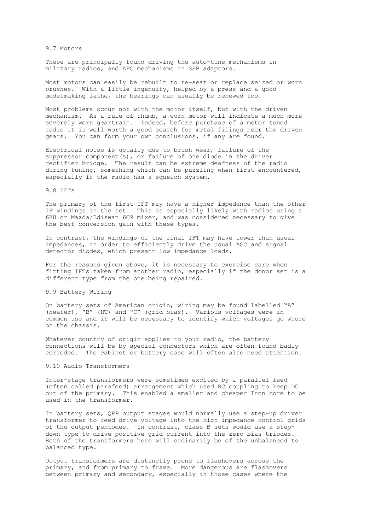#### 9.7 Motors

These are principally found driving the auto-tune mechanisms in military radios, and AFC mechanisms in SSB adaptors.

Most motors can easily be rebuilt to re-seat or replace seized or worn brushes. With a little ingenuity, helped by a press and a good modelmaking lathe, the bearings can usually be renewed too.

Most problems occur not with the motor itself, but with the driven mechanism. As a rule of thumb, a worn motor will indicate a much more severely worn geartrain. Indeed, before purchase of a motor tuned radio it is well worth a good search for metal filings near the driven gears. You can form your own conclusions, if any are found.

Electrical noise is usually due to brush wear, failure of the suppressor component(s), or failure of one diode in the driver rectifier bridge. The result can be extreme deafness of the radio during tuning, something which can be puzzling when first encountered, especially if the radio has a squelch system.

# 9.8 IFTs

The primary of the first IFT may have a higher impedance than the other IF windings in the set. This is especially likely with radios using a 6K8 or Mazda/Ediswan 6C9 mixer, and was considered necessary to give the best conversion gain with these types.

In contrast, the windings of the final IFT may have lower than usual impedances, in order to efficiently drive the usual AGC and signal detector diodes, which present low impedance loads.

For the reasons given above, it is necessary to exercise care when fitting IFTs taken from another radio, especially if the donor set is a different type from the one being repaired.

#### 9.9 Battery Wiring

On battery sets of American origin, wiring may be found labelled "A" (heater), "B" (HT) and "C" (grid bias). Various voltages were in common use and it will be necessary to identify which voltages go where on the chassis.

Whatever country of origin applies to your radio, the battery connections will be by special connectors which are often found badly corroded. The cabinet or battery case will often also need attention.

#### 9.10 Audio Transformers

Inter-stage transformers were sometimes excited by a parallel feed (often called parafeed) arrangement which used RC coupling to keep DC out of the primary. This enabled a smaller and cheaper Iron core to be used in the transformer.

In battery sets, QPP output stages would normally use a step-up driver transformer to feed drive voltage into the high impedance control grids of the output pentodes. In contrast, class B sets would use a stepdown type to drive positive grid current into the zero bias triodes. Both of the transformers here will ordinarily be of the unbalanced to balanced type.

Output transformers are distinctly prone to flashovers across the primary, and from primary to frame. More dangerous are flashovers between primary and secondary, especially in those cases where the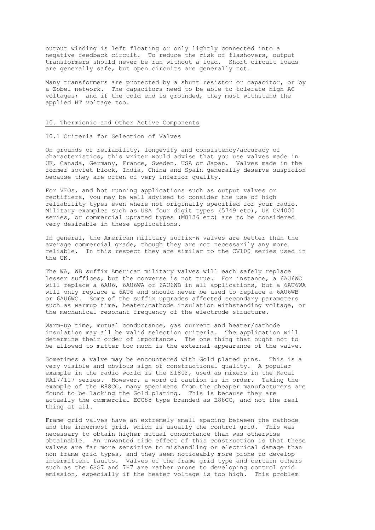output winding is left floating or only lightly connected into a negative feedback circuit. To reduce the risk of flashovers, output transformers should never be run without a load. Short circuit loads are generally safe, but open circuits are generally not.

Many transformers are protected by a shunt resistor or capacitor, or by a Zobel network. The capacitors need to be able to tolerate high AC voltages; and if the cold end is grounded, they must withstand the applied HT voltage too.

#### 10. Thermionic and Other Active Components

#### 10.1 Criteria for Selection of Valves

On grounds of reliability, longevity and consistency/accuracy of characteristics, this writer would advise that you use valves made in UK, Canada, Germany, France, Sweden, USA or Japan. Valves made in the former soviet block, India, China and Spain generally deserve suspicion because they are often of very inferior quality.

For VFOs, and hot running applications such as output valves or rectifiers, you may be well advised to consider the use of high reliability types even where not originally specified for your radio. Military examples such as USA four digit types (5749 etc), UK CV4000 series, or commercial uprated types (M8136 etc) are to be considered very desirable in these applications.

In general, the American military suffix-W valves are better than the average commercial grade, though they are not necessarily any more reliable. In this respect they are similar to the CV100 series used in the UK.

The WA, WB suffix American military valves will each safely replace lesser suffices, but the converse is not true. For instance, a 6AU6WC will replace a 6AU6, 6AU6WA or 6AU6WB in all applications, but a 6AU6WA will only replace a 6AU6 and should never be used to replace a 6AU6WB or 6AU6WC. Some of the suffix upgrades affected secondary parameters such as warmup time, heater/cathode insulation withstanding voltage, or the mechanical resonant frequency of the electrode structure.

Warm-up time, mutual conductance, gas current and heater/cathode insulation may all be valid selection criteria. The application will determine their order of importance. The one thing that ought not to be allowed to matter too much is the external appearance of the valve.

Sometimes a valve may be encountered with Gold plated pins. This is a very visible and obvious sign of constructional quality. A popular example in the radio world is the E180F, used as mixers in the Racal RA17/117 series. However, a word of caution is in order. Taking the example of the E88CC, many specimens from the cheaper manufacturers are found to be lacking the Gold plating. This is because they are actually the commercial ECC88 type branded as E88CC, and not the real thing at all.

Frame grid valves have an extremely small spacing between the cathode and the innermost grid, which is usually the control grid. This was necessary to obtain higher mutual conductance than was otherwise obtainable. An unwanted side effect of this construction is that these valves are far more sensitive to mishandling or electrical damage than non frame grid types, and they seem noticeably more prone to develop intermittent faults. Valves of the frame grid type and certain others such as the 6SG7 and 7H7 are rather prone to developing control grid emission, especially if the heater voltage is too high. This problem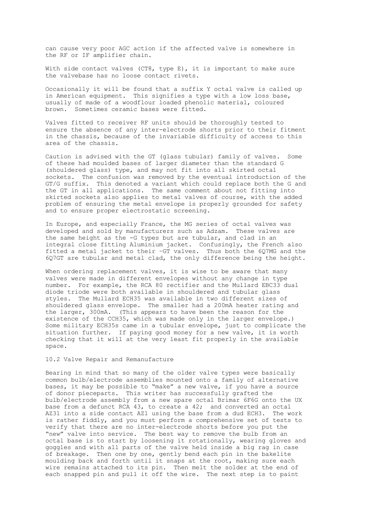can cause very poor AGC action if the affected valve is somewhere in the RF or IF amplifier chain.

With side contact valves (CT8, type E), it is important to make sure the valvebase has no loose contact rivets.

Occasionally it will be found that a suffix Y octal valve is called up in American equipment. This signifies a type with a low loss base, usually of made of a woodflour loaded phenolic material, coloured brown. Sometimes ceramic bases were fitted.

Valves fitted to receiver RF units should be thoroughly tested to ensure the absence of any inter-electrode shorts prior to their fitment in the chassis, because of the invariable difficulty of access to this area of the chassis.

Caution is advised with the GT (glass tubular) family of valves. Some of these had moulded bases of larger diameter than the standard G (shouldered glass) type, and may not fit into all skirted octal sockets. The confusion was removed by the eventual introduction of the GT/G suffix. This denoted a variant which could replace both the G and the GT in all applications. The same comment about not fitting into skirted sockets also applies to metal valves of course, with the added problem of ensuring the metal envelope is properly grounded for safety and to ensure proper electrostatic screening.

In Europe, and especially France, the MG series of octal valves was developed and sold by manufacturers such as Adzam. These valves are the same height as the -G types but are tubular, and clad in an integral close fitting Aluminium jacket. Confusingly, the French also fitted a metal jacket to their –GT valves. Thus both the 6Q7MG and the 6Q7GT are tubular and metal clad, the only difference being the height.

When ordering replacement valves, it is wise to be aware that many valves were made in different envelopes without any change in type number. For example, the RCA 80 rectifier and the Mullard EBC33 dual diode triode were both available in shouldered and tubular glass styles. The Mullard ECH35 was available in two different sizes of shouldered glass envelope. The smaller had a 200mA heater rating and the larger, 300mA. (This appears to have been the reason for the existence of the CCH35, which was made only in the larger envelope.) Some military ECH35s came in a tubular envelope, just to complicate the situation further. If paying good money for a new valve, it is worth checking that it will at the very least fit properly in the available space.

#### 10.2 Valve Repair and Remanufacture

Bearing in mind that so many of the older valve types were basically common bulb/electrode assemblies mounted onto a family of alternative bases, it may be possible to "make" a new valve, if you have a source of donor pieceparts. This writer has successfully grafted the bulb/electrode assembly from a new spare octal Brimar 6F6G onto the UX base from a defunct RCA 43, to create a 42; and converted an octal AZ31 into a side contact AZ1 using the base from a dud ECH3. The work is rather fiddly, and you must perform a comprehensive set of tests to verify that there are no inter-electrode shorts before you put the "new" valve into service. The best way to remove the bulb from an octal base is to start by loosening it rotationally, wearing gloves and goggles and with all parts of the valve held inside a big rag in case of breakage. Then one by one, gently bend each pin in the bakelite moulding back and forth until it snaps at the root, making sure each wire remains attached to its pin. Then melt the solder at the end of each snapped pin and pull it off the wire. The next step is to paint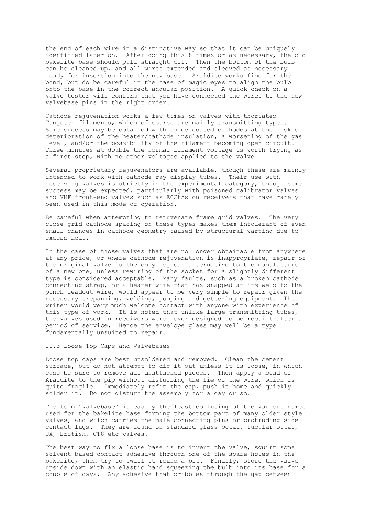the end of each wire in a distinctive way so that it can be uniquely identified later on. After doing this 8 times or as necessary, the old bakelite base should pull straight off. Then the bottom of the bulb can be cleaned up, and all wires extended and sleeved as necessary ready for insertion into the new base. Araldite works fine for the bond, but do be careful in the case of magic eyes to align the bulb onto the base in the correct angular position. A quick check on a valve tester will confirm that you have connected the wires to the new valvebase pins in the right order.

Cathode rejuvenation works a few times on valves with thoriated Tungsten filaments, which of course are mainly transmitting types. Some success may be obtained with oxide coated cathodes at the risk of deterioration of the heater/cathode insulation, a worsening of the gas level, and/or the possibility of the filament becoming open circuit. Three minutes at double the normal filament voltage is worth trying as a first step, with no other voltages applied to the valve.

Several proprietary rejuvenators are available, though these are mainly intended to work with cathode ray display tubes. Their use with receiving valves is strictly in the experimental category, though some success may be expected, particularly with poisoned calibrator valves and VHF front-end valves such as ECC85s on receivers that have rarely been used in this mode of operation.

Be careful when attempting to rejuvenate frame grid valves. The very close grid-cathode spacing on these types makes them intolerant of even small changes in cathode geometry caused by structural warping due to excess heat.

In the case of those valves that are no longer obtainable from anywhere at any price, or where cathode rejuvenation is inappropriate, repair of the original valve is the only logical alternative to the manufacture of a new one, unless rewiring of the socket for a slightly different type is considered acceptable. Many faults, such as a broken cathode connecting strap, or a heater wire that has snapped at its weld to the pinch leadout wire, would appear to be very simple to repair given the necessary trepanning, welding, pumping and gettering equipment. The writer would very much welcome contact with anyone with experience of this type of work. It is noted that unlike large transmitting tubes, the valves used in receivers were never designed to be rebuilt after a period of service. Hence the envelope glass may well be a type fundamentally unsuited to repair.

10.3 Loose Top Caps and Valvebases

Loose top caps are best unsoldered and removed. Clean the cement surface, but do not attempt to dig it out unless it is loose, in which case be sure to remove all unattached pieces. Then apply a bead of Araldite to the pip without disturbing the lie of the wire, which is quite fragile. Immediately refit the cap, push it home and quickly solder it. Do not disturb the assembly for a day or so.

The term "valvebase" is easily the least confusing of the various names used for the bakelite base forming the bottom part of many older style valves, and which carries the male connecting pins or protruding side contact lugs. They are found on standard glass octal, tubular octal, UX, British, CT8 etc valves.

The best way to fix a loose base is to invert the valve, squirt some solvent based contact adhesive through one of the spare holes in the bakelite, then try to swill it round a bit. Finally, store the valve upside down with an elastic band squeezing the bulb into its base for a couple of days. Any adhesive that dribbles through the gap between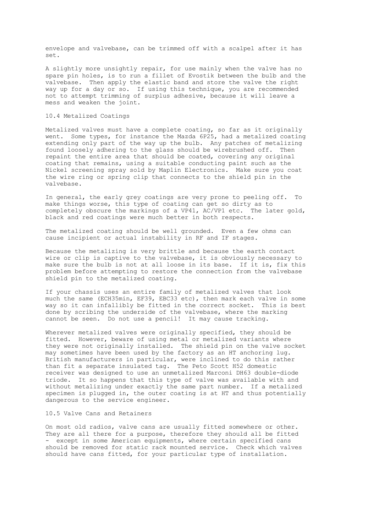envelope and valvebase, can be trimmed off with a scalpel after it has set.

A slightly more unsightly repair, for use mainly when the valve has no spare pin holes, is to run a fillet of Evostik between the bulb and the valvebase. Then apply the elastic band and store the valve the right way up for a day or so. If using this technique, you are recommended not to attempt trimming of surplus adhesive, because it will leave a mess and weaken the joint.

#### 10.4 Metalized Coatings

Metalized valves must have a complete coating, so far as it originally went. Some types, for instance the Mazda 6P25, had a metalized coating extending only part of the way up the bulb. Any patches of metalizing found loosely adhering to the glass should be wirebrushed off. Then repaint the entire area that should be coated, covering any original coating that remains, using a suitable conducting paint such as the Nickel screening spray sold by Maplin Electronics. Make sure you coat the wire ring or spring clip that connects to the shield pin in the valvebase.

In general, the early grey coatings are very prone to peeling off. To make things worse, this type of coating can get so dirty as to completely obscure the markings of a VP41, AC/VP1 etc. The later gold, black and red coatings were much better in both respects.

The metalized coating should be well grounded. Even a few ohms can cause incipient or actual instability in RF and IF stages.

Because the metalizing is very brittle and because the earth contact wire or clip is captive to the valvebase, it is obviously necessary to make sure the bulb is not at all loose in its base. If it is, fix this problem before attempting to restore the connection from the valvebase shield pin to the metalized coating.

If your chassis uses an entire family of metalized valves that look much the same (ECH35min, EF39, EBC33 etc), then mark each valve in some way so it can infallibly be fitted in the correct socket. This is best done by scribing the underside of the valvebase, where the marking cannot be seen. Do not use a pencil! It may cause tracking.

Wherever metalized valves were originally specified, they should be fitted. However, beware of using metal or metalized variants where they were not originally installed. The shield pin on the valve socket may sometimes have been used by the factory as an HT anchoring lug. British manufacturers in particular, were inclined to do this rather than fit a separate insulated tag. The Peto Scott H52 domestic receiver was designed to use an unmetalized Marconi DH63 double-diode triode. It so happens that this type of valve was available with and without metalizing under exactly the same part number. If a metalized specimen is plugged in, the outer coating is at HT and thus potentially dangerous to the service engineer.

## 10.5 Valve Cans and Retainers

On most old radios, valve cans are usually fitted somewhere or other. They are all there for a purpose, therefore they should all be fitted - except in some American equipments, where certain specified cans should be removed for static rack mounted service. Check which valves should have cans fitted, for your particular type of installation.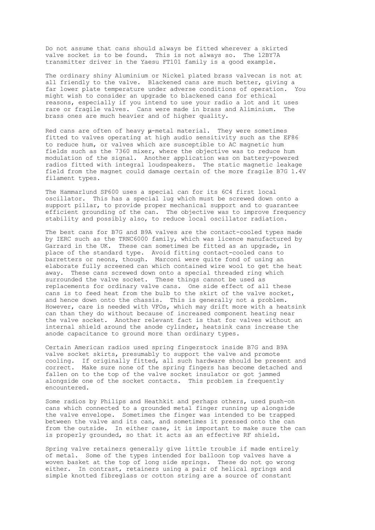Do not assume that cans should always be fitted wherever a skirted valve socket is to be found. This is not always so. The 12BY7A transmitter driver in the Yaesu FT101 family is a good example.

The ordinary shiny Aluminium or Nickel plated brass valvecan is not at all friendly to the valve. Blackened cans are much better, giving a far lower plate temperature under adverse conditions of operation. You might wish to consider an upgrade to blackened cans for ethical reasons, especially if you intend to use your radio a lot and it uses rare or fragile valves. Cans were made in brass and Aliminium. The brass ones are much heavier and of higher quality.

Red cans are often of heavy  $\mu$ -metal material. They were sometimes fitted to valves operating at high audio sensitivity such as the EF86 to reduce hum, or valves which are susceptible to AC magnetic hum fields such as the 7360 mixer, where the objective was to reduce hum modulation of the signal. Another application was on battery-powered radios fitted with integral loudspeakers. The static magnetic leakage field from the magnet could damage certain of the more fragile B7G 1.4V filament types.

The Hammarlund SP600 uses a special can for its 6C4 first local oscillator. This has a special lug which must be screwed down onto a support pillar, to provide proper mechanical support and to guarantee efficient grounding of the can. The objective was to improve frequency stability and possibly also, to reduce local oscillator radiation.

The best cans for B7G and B9A valves are the contact-cooled types made by IERC such as the TRNC6000 family, which was licence manufactured by Garrard in the UK. These can sometimes be fitted as an upgrade, in place of the standard type. Avoid fitting contact-cooled cans to barretters or neons, though. Marconi were quite fond of using an elaborate fully screened can which contained wire wool to get the heat away. These cans screwed down onto a special threaded ring which surrounded the valve socket. These things cannot be used as replacements for ordinary valve cans. One side effect of all these cans is to feed heat from the bulb to the skirt of the valve socket, and hence down onto the chassis. This is generally not a problem. However, care is needed with VFOs, which may drift more with a heatsink can than they do without because of increased component heating near the valve socket. Another relevant fact is that for valves without an internal shield around the anode cylinder, heatsink cans increase the anode capacitance to ground more than ordinary types.

Certain American radios used spring fingerstock inside B7G and B9A valve socket skirts, presumably to support the valve and promote cooling. If originally fitted, all such hardware should be present and correct. Make sure none of the spring fingers has become detached and fallen on to the top of the valve socket insulator or got jammed alongside one of the socket contacts. This problem is frequently encountered.

Some radios by Philips and Heathkit and perhaps others, used push-on cans which connected to a grounded metal finger running up alongside the valve envelope. Sometimes the finger was intended to be trapped between the valve and its can, and sometimes it pressed onto the can from the outside. In either case, it is important to make sure the can is properly grounded, so that it acts as an effective RF shield.

Spring valve retainers generally give little trouble if made entirely of metal. Some of the types intended for balloon top valves have a woven basket at the top of long side springs. These do not go wrong either. In contrast, retainers using a pair of helical springs and simple knotted fibreglass or cotton string are a source of constant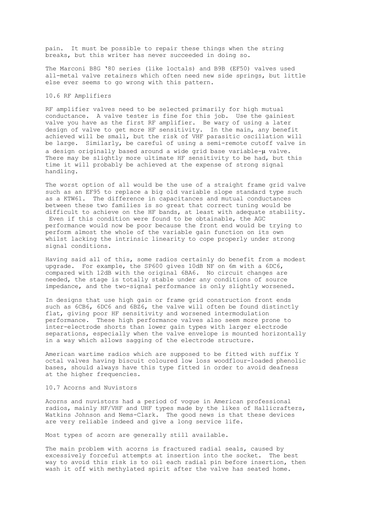pain. It must be possible to repair these things when the string breaks, but this writer has never succeeded in doing so.

The Marconi B8G '80 series (like loctals) and B9B (EF50) valves used all-metal valve retainers which often need new side springs, but little else ever seems to go wrong with this pattern.

# 10.6 RF Amplifiers

RF amplifier valves need to be selected primarily for high mutual conductance. A valve tester is fine for this job. Use the gainiest valve you have as the first RF amplifier. Be wary of using a later design of valve to get more HF sensitivity. In the main, any benefit achieved will be small, but the risk of VHF parasitic oscillation will be large. Similarly, be careful of using a semi-remote cutoff valve in a design originally based around a wide grid base variable-µ valve. There may be slightly more ultimate HF sensitivity to be had, but this time it will probably be achieved at the expense of strong signal handling.

The worst option of all would be the use of a straight frame grid valve such as an EF95 to replace a big old variable slope standard type such as a KTW61. The difference in capacitances and mutual conductances between these two families is so great that correct tuning would be difficult to achieve on the HF bands, at least with adequate stability. Even if this condition were found to be obtainable, the AGC performance would now be poor because the front end would be trying to perform almost the whole of the variable gain function on its own whilst lacking the intrinsic linearity to cope properly under strong signal conditions.

Having said all of this, some radios certainly do benefit from a modest upgrade. For example, the SP600 gives 10dB NF on 6m with a 6DC6, compared with 12dB with the original 6BA6. No circuit changes are needed, the stage is totally stable under any conditions of source impedance, and the two-signal performance is only slightly worsened.

In designs that use high gain or frame grid construction front ends such as 6CB6, 6DC6 and 6BZ6, the valve will often be found distinctly flat, giving poor HF sensitivity and worsened intermodulation performance. These high performance valves also seem more prone to inter-electrode shorts than lower gain types with larger electrode separations, especially when the valve envelope is mounted horizontally in a way which allows sagging of the electrode structure.

American wartime radios which are supposed to be fitted with suffix Y octal valves having biscuit coloured low loss woodflour-loaded phenolic bases, should always have this type fitted in order to avoid deafness at the higher frequencies.

# 10.7 Acorns and Nuvistors

Acorns and nuvistors had a period of vogue in American professional radios, mainly HF/VHF and UHF types made by the likes of Hallicrafters, Watkins Johnson and Nems-Clark. The good news is that these devices are very reliable indeed and give a long service life.

Most types of acorn are generally still available.

The main problem with acorns is fractured radial seals, caused by excessively forceful attempts at insertion into the socket. The best way to avoid this risk is to oil each radial pin before insertion, then wash it off with methylated spirit after the valve has seated home.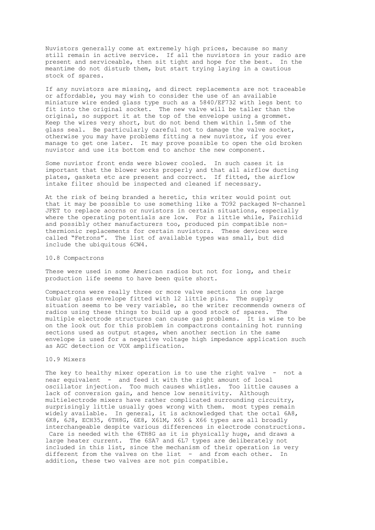Nuvistors generally come at extremely high prices, because so many still remain in active service. If all the nuvistors in your radio are present and serviceable, then sit tight and hope for the best. In the meantime do not disturb them, but start trying laying in a cautious stock of spares.

If any nuvistors are missing, and direct replacements are not traceable or affordable, you may wish to consider the use of an available miniature wire ended glass type such as a 5840/EF732 with legs bent to fit into the original socket. The new valve will be taller than the original, so support it at the top of the envelope using a grommet. Keep the wires very short, but do not bend them within 1.5mm of the glass seal. Be particularly careful not to damage the valve socket, otherwise you may have problems fitting a new nuvistor, if you ever manage to get one later. It may prove possible to open the old broken nuvistor and use its bottom end to anchor the new component.

Some nuvistor front ends were blower cooled. In such cases it is important that the blower works properly and that all airflow ducting plates, gaskets etc are present and correct. If fitted, the airflow intake filter should be inspected and cleaned if necessary.

At the risk of being branded a heretic, this writer would point out that it may be possible to use something like a TO92 packaged N-channel JFET to replace acorns or nuvistors in certain situations, especially where the operating potentials are low. For a little while, Fairchild and possibly other manufacturers too, produced pin compatible nonthermionic replacements for certain nuvistors. These devices were called "Fetrons". The list of available types was small, but did include the ubiquitous 6CW4.

### 10.8 Compactrons

These were used in some American radios but not for long, and their production life seems to have been quite short.

Compactrons were really three or more valve sections in one large tubular glass envelope fitted with 12 little pins. The supply situation seems to be very variable, so the writer recommends owners of radios using these things to build up a good stock of spares. The multiple electrode structures can cause gas problems. It is wise to be on the look out for this problem in compactrons containing hot running sections used as output stages, when another section in the same envelope is used for a negative voltage high impedance application such as AGC detection or VOX amplification.

# 10.9 Mixers

The key to healthy mixer operation is to use the right valve - not a near equivalent - and feed it with the right amount of local oscillator injection. Too much causes whistles. Too little causes a lack of conversion gain, and hence low sensitivity. Although multielectrode mixers have rather complicated surrounding circuitry, surprisingly little usually goes wrong with them. most types remain widely available. In general, it is acknowledged that the octal 6A8, 6K8, 6J8, ECH35, 6TH8G, 6E8, X61M, X65 & X66 types are all broadly interchangeable despite various differences in electrode constructions. Care is needed with the 6TH8G as it is physically huge, and draws a large heater current. The 6SA7 and 6L7 types are deliberately not included in this list, since the mechanism of their operation is very different from the valves on the list - and from each other. In addition, these two valves are not pin compatible.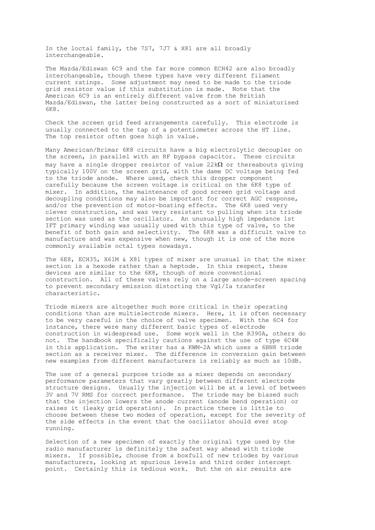In the loctal family, the 7S7, 7J7 & X81 are all broadly interchangeable.

The Mazda/Ediswan 6C9 and the far more common ECH42 are also broadly interchangeable, though these types have very different filament current ratings. Some adjustment may need to be made to the triode grid resistor value if this substitution is made. Note that the American 6C9 is an entirely different valve from the British Mazda/Ediswan, the latter being constructed as a sort of miniaturised 6K8.

Check the screen grid feed arrangements carefully. This electrode is usually connected to the tap of a potentiometer across the HT line. The top resistor often goes high in value.

Many American/Brimar 6K8 circuits have a big electrolytic decoupler on the screen, in parallel with an RF bypass capacitor. These circuits may have a single dropper resistor of value  $22k\Omega$  or thereabouts qiving typically 100V on the screen grid, with the dame DC voltage being fed to the triode anode. Where used, check this dropper component carefully because the screen voltage is critical on the 6K8 type of mixer. In addition, the maintenance of good screen grid voltage and decoupling conditions may also be important for correct AGC response, and/or the prevention of motor-boating effects. The 6K8 used very clever construction, and was very resistant to pulling when its triode section was used as the oscillator. An unusually high impedance 1st IFT primary winding was usually used with this type of valve, to the benefit of both gain and selectivity. The 6K8 was a difficult valve to manufacture and was expensive when new, though it is one of the more commonly available octal types nowadays.

The 6E8, ECH35, X61M & X81 types of mixer are unusual in that the mixer section is a hexode rather than a heptode. In this respect, these devices are similar to the 6K8, though of more conventional construction. All of these valves rely on a large anode-screen spacing to prevent secondary emission distorting the Vg1/Ia transfer characteristic.

Triode mixers are altogether much more critical in their operating conditions than are multielectrode mixers. Here, it is often necessary to be very careful in the choice of valve specimen. With the 6C4 for instance, there were many different basic types of electrode construction in widespread use. Some work well in the R390A, others do not. The handbook specifically cautions against the use of type 6C4W in this application. The writer has a KWM-2A which uses a 6BN8 triode section as a receiver mixer. The difference in conversion gain between new examples from different manufacturers is reliably as much as 10dB.

The use of a general purpose triode as a mixer depends on secondary performance parameters that vary greatly between different electrode structure designs. Usually the injection will be at a level of between 3V and 7V RMS for correct performance. The triode may be biased such that the injection lowers the anode current (anode bend operation) or raises it (leaky grid operation). In practice there is little to choose between these two modes of operation, except for the severity of the side effects in the event that the oscillator should ever stop running.

Selection of a new specimen of exactly the original type used by the radio manufacturer is definitely the safest way ahead with triode mixers. If possible, choose from a boxfull of new triodes by various manufacturers, looking at spurious levels and third order intercept point. Certainly this is tedious work. But the on air results are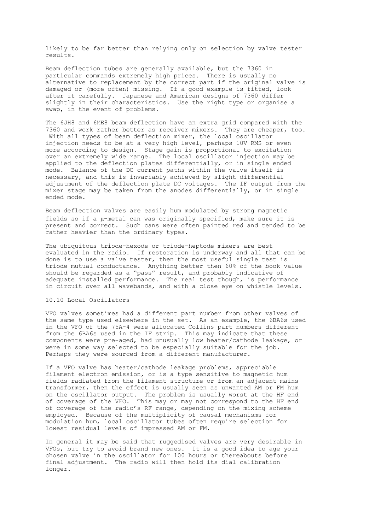likely to be far better than relying only on selection by valve tester results.

Beam deflection tubes are generally available, but the 7360 in particular commands extremely high prices. There is usually no alternative to replacement by the correct part if the original valve is damaged or (more often) missing. If a good example is fitted, look after it carefully. Japanese and American designs of 7360 differ slightly in their characteristics. Use the right type or organise a swap, in the event of problems.

The 6JH8 and 6ME8 beam deflection have an extra grid compared with the 7360 and work rather better as receiver mixers. They are cheaper, too. With all types of beam deflection mixer, the local oscillator injection needs to be at a very high level, perhaps 10V RMS or even more according to design. Stage gain is proportional to excitation over an extremely wide range. The local oscillator injection may be applied to the deflection plates differentially, or in single ended mode. Balance of the DC current paths within the valve itself is necessary, and this is invariably achieved by slight differential adjustment of the deflection plate DC voltages. The IF output from the mixer stage may be taken from the anodes differentially, or in single ended mode.

Beam deflection valves are easily hum modulated by strong magnetic fields so if a µ-metal can was originally specified, make sure it is present and correct. Such cans were often painted red and tended to be rather heavier than the ordinary types.

The ubiquitous triode-hexode or triode-heptode mixers are best evaluated in the radio. If restoration is underway and all that can be done is to use a valve tester, then the most useful single test is triode mutual conductance. Anything better then 60% of the book value should be regarded as a "pass" result, and probably indicative of adequate installed performance. The real test though, is performance in circuit over all wavebands, and with a close eye on whistle levels.

# 10.10 Local Oscillators

VFO valves sometimes had a different part number from other valves of the same type used elsewhere in the set. As an example, the 6BA6s used in the VFO of the 75A-4 were allocated Collins part numbers different from the 6BA6s used in the IF strip. This may indicate that these components were pre-aged, had unusually low heater/cathode leakage, or were in some way selected to be especially suitable for the job. Perhaps they were sourced from a different manufacturer.

If a VFO valve has heater/cathode leakage problems, appreciable filament electron emission, or is a type sensitive to magnetic hum fields radiated from the filament structure or from an adjacent mains transformer, then the effect is usually seen as unwanted AM or FM hum on the oscillator output. The problem is usually worst at the HF end of coverage of the VFO. This may or may not correspond to the HF end of coverage of the radio's RF range, depending on the mixing scheme employed. Because of the multiplicity of causal mechanisms for modulation hum, local oscillator tubes often require selection for lowest residual levels of impressed AM or FM.

In general it may be said that ruggedised valves are very desirable in VFOs, but try to avoid brand new ones. It is a good idea to age your chosen valve in the oscillator for 100 hours or thereabouts before final adjustment. The radio will then hold its dial calibration longer.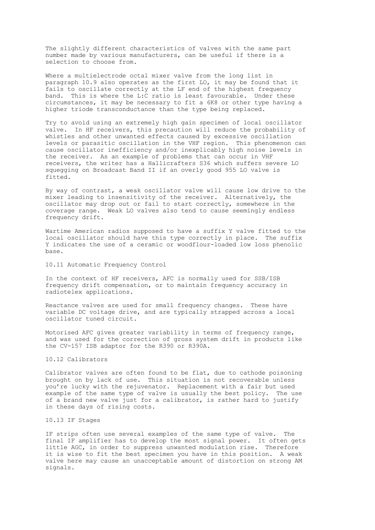The slightly different characteristics of valves with the same part number made by various manufacturers, can be useful if there is a selection to choose from.

Where a multielectrode octal mixer valve from the long list in paragraph 10.9 also operates as the first LO, it may be found that it fails to oscillate correctly at the LF end of the highest frequency band. This is where the L:C ratio is least favourable. Under these circumstances, it may be necessary to fit a 6K8 or other type having a higher triode transconductance than the type being replaced.

Try to avoid using an extremely high gain specimen of local oscillator valve. In HF receivers, this precaution will reduce the probability of whistles and other unwanted effects caused by excessive oscillation levels or parasitic oscillation in the VHF region. This phenomenon can cause oscillator inefficiency and/or inexplicably high noise levels in the receiver. As an example of problems that can occur in VHF receivers, the writer has a Hallicrafters S36 which suffers severe LO squegging on Broadcast Band II if an overly good 955 LO valve is fitted.

By way of contrast, a weak oscillator valve will cause low drive to the mixer leading to insensitivity of the receiver. Alternatively, the oscillator may drop out or fail to start correctly, somewhere in the coverage range. Weak LO valves also tend to cause seemingly endless frequency drift.

Wartime American radios supposed to have a suffix Y valve fitted to the local oscillator should have this type correctly in place. The suffix Y indicates the use of a ceramic or woodflour-loaded low loss phenolic base.

### 10.11 Automatic Frequency Control

In the context of HF receivers, AFC is normally used for SSB/ISB frequency drift compensation, or to maintain frequency accuracy in radiotelex applications.

Reactance valves are used for small frequency changes. These have variable DC voltage drive, and are typically strapped across a local oscillator tuned circuit.

Motorised AFC gives greater variability in terms of frequency range, and was used for the correction of gross system drift in products like the CV-157 ISB adaptor for the R390 or R390A.

# 10.12 Calibrators

Calibrator valves are often found to be flat, due to cathode poisoning brought on by lack of use. This situation is not recoverable unless you're lucky with the rejuvenator. Replacement with a fair but used example of the same type of valve is usually the best policy. The use of a brand new valve just for a calibrator, is rather hard to justify in these days of rising costs.

# 10.13 IF Stages

IF strips often use several examples of the same type of valve. The final IF amplifier has to develop the most signal power. It often gets little AGC, in order to suppress unwanted modulation rise. Therefore it is wise to fit the best specimen you have in this position. A weak valve here may cause an unacceptable amount of distortion on strong AM signals.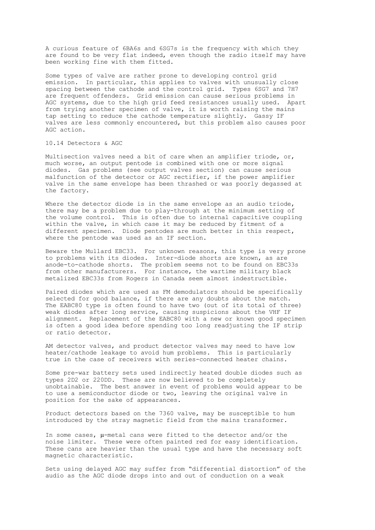A curious feature of 6BA6s and 6SG7s is the frequency with which they are found to be very flat indeed, even though the radio itself may have been working fine with them fitted.

Some types of valve are rather prone to developing control grid emission. In particular, this applies to valves with unusually close spacing between the cathode and the control grid. Types 6SG7 and 7H7 are frequent offenders. Grid emission can cause serious problems in AGC systems, due to the high grid feed resistances usually used. Apart from trying another specimen of valve, it is worth raising the mains tap setting to reduce the cathode temperature slightly. Gassy IF valves are less commonly encountered, but this problem also causes poor AGC action.

### 10.14 Detectors & AGC

Multisection valves need a bit of care when an amplifier triode, or, much worse, an output pentode is combined with one or more signal diodes. Gas problems (see output valves section) can cause serious malfunction of the detector or AGC rectifier, if the power amplifier valve in the same envelope has been thrashed or was poorly degassed at the factory.

Where the detector diode is in the same envelope as an audio triode, there may be a problem due to play-through at the minimum setting of the volume control. This is often due to internal capacitive coupling within the valve, in which case it may be reduced by fitment of a different specimen. Diode pentodes are much better in this respect, where the pentode was used as an IF section.

Beware the Mullard EBC33. For unknown reasons, this type is very prone to problems with its diodes. Inter-diode shorts are known, as are anode-to-cathode shorts. The problem seems not to be found on EBC33s from other manufacturers. For instance, the wartime military black metalized EBC33s from Rogers in Canada seem almost indestructible.

Paired diodes which are used as FM demodulators should be specifically selected for good balance, if there are any doubts about the match. The EABC80 type is often found to have two (out of its total of three) weak diodes after long service, causing suspicions about the VHF IF alignment. Replacement of the EABC80 with a new or known good specimen is often a good idea before spending too long readjusting the IF strip or ratio detector.

AM detector valves, and product detector valves may need to have low heater/cathode leakage to avoid hum problems. This is particularly true in the case of receivers with series-connected heater chains.

Some pre-war battery sets used indirectly heated double diodes such as types 2D2 or 220DD. These are now believed to be completely unobtainable. The best answer in event of problems would appear to be to use a semiconductor diode or two, leaving the original valve in position for the sake of appearances.

Product detectors based on the 7360 valve, may be susceptible to hum introduced by the stray magnetic field from the mains transformer.

In some cases, µ-metal cans were fitted to the detector and/or the noise limiter. These were often painted red for easy identification. These cans are heavier than the usual type and have the necessary soft magnetic characteristic.

Sets using delayed AGC may suffer from "differential distortion" of the audio as the AGC diode drops into and out of conduction on a weak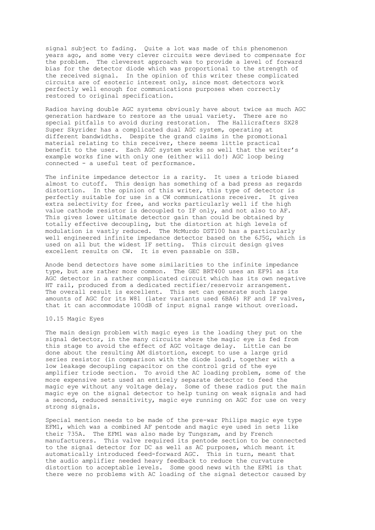signal subject to fading. Quite a lot was made of this phenomenon years ago, and some very clever circuits were devised to compensate for the problem. The cleverest approach was to provide a level of forward bias for the detector diode which was proportional to the strength of the received signal. In the opinion of this writer these complicated circuits are of esoteric interest only, since most detectors work perfectly well enough for communications purposes when correctly restored to original specification.

Radios having double AGC systems obviously have about twice as much AGC generation hardware to restore as the usual variety. There are no special pitfalls to avoid during restoration. The Hallicrafters SX28 Super Skyrider has a complicated dual AGC system, operating at different bandwidths. Despite the grand claims in the promotional material relating to this receiver, there seems little practical benefit to the user. Each AGC system works so well that the writer's example works fine with only one (either will do!) AGC loop being connected - a useful test of performance.

The infinite impedance detector is a rarity. It uses a triode biased almost to cutoff. This design has something of a bad press as regards distortion. In the opinion of this writer, this type of detector is perfectly suitable for use in a CW communications receiver. It gives extra selectivity for free, and works particularly well if the high value cathode resistor is decoupled to IF only, and not also to AF. This gives lower ultimate detector gain than could be obtained by totally effective decoupling, but the distortion at high levels of modulation is vastly reduced. The McMurdo DST100 has a particularly well engineered infinite impedance detector based on the 6J5G, which is used on all but the widest IF setting. This circuit design gives excellent results on CW. It is even passable on SSB.

Anode bend detectors have some similarities to the infinite impedance type, but are rather more common. The GEC BRT400 uses an EF91 as its AGC detector in a rather complicated circuit which has its own negative HT rail, produced from a dedicated rectifier/reservoir arrangement. The overall result is excellent. This set can generate such large amounts of AGC for its W81 (later variants used 6BA6) RF and IF valves, that it can accommodate 100dB of input signal range without overload.

### 10.15 Magic Eyes

The main design problem with magic eyes is the loading they put on the signal detector, in the many circuits where the magic eye is fed from this stage to avoid the effect of AGC voltage delay. Little can be done about the resulting AM distortion, except to use a large grid series resistor (in comparison with the diode load), together with a low leakage decoupling capacitor on the control grid of the eye amplifier triode section. To avoid the AC loading problem, some of the more expensive sets used an entirely separate detector to feed the magic eye without any voltage delay. Some of these radios put the main magic eye on the signal detector to help tuning on weak signals and had a second, reduced sensitivity, magic eye running on AGC for use on very strong signals.

Special mention needs to be made of the pre-war Philips magic eye type EFM1, which was a combined AF pentode and magic eye used in sets like their 735A. The EFM1 was also made by Tungsram, and by French manufacturers. This valve required its pentode section to be connected to the signal detector for DC as well as AC purposes, which meant it automatically introduced feed-forward AGC. This in turn, meant that the audio amplifier needed heavy feedback to reduce the curvature distortion to acceptable levels. Some good news with the EFM1 is that there were no problems with AC loading of the signal detector caused by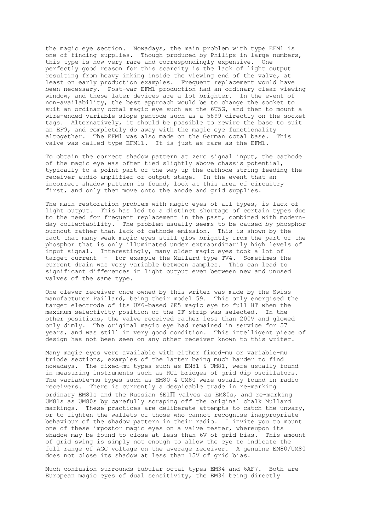the magic eye section. Nowadays, the main problem with type EFM1 is one of finding supplies. Though produced by Philips in large numbers, this type is now very rare and correspondingly expensive. One perfectly good reason for this scarcity is the lack of light output resulting from heavy inking inside the viewing end of the valve, at least on early production examples. Frequent replacement would have been necessary. Post-war EFM1 production had an ordinary clear viewing window, and these later devices are a lot brighter. In the event of non-availability, the best approach would be to change the socket to suit an ordinary octal magic eye such as the 6U5G, and then to mount a wire-ended variable slope pentode such as a 5899 directly on the socket tags. Alternatively, it should be possible to rewire the base to suit an EF9, and completely do away with the magic eye functionality<br>altogether. The EFM1 was also made on the German octal base. This altogether. The EFM1 was also made on the German octal base. valve was called type EFM11. It is just as rare as the EFM1.

To obtain the correct shadow pattern at zero signal input, the cathode of the magic eye was often tied slightly above chassis potential, typically to a point part of the way up the cathode string feeding the receiver audio amplifier or output stage. In the event that an incorrect shadow pattern is found, look at this area of circuitry first, and only then move onto the anode and grid supplies.

The main restoration problem with magic eyes of all types, is lack of light output. This has led to a distinct shortage of certain types due to the need for frequent replacement in the past, combined with modernday collectability. The problem usually seems to be caused by phosphor burnout rather than lack of cathode emission. This is shown by the fact that many weak magic eyes still glow brightly from the part of the phosphor that is only illuminated under extraordinarily high levels of input signal. Interestingly, many older magic eyes took a lot of target current - for example the Mullard type TV4. Sometimes the current drain was very variable between samples. This can lead to significant differences in light output even between new and unused valves of the same type.

One clever receiver once owned by this writer was made by the Swiss manufacturer Paillard, being their model 59. This only energised the target electrode of its UX6-based 6E5 magic eye to full HT when the maximum selectivity position of the IF strip was selected. In the other positions, the valve received rather less than 200V and glowed only dimly. The original magic eye had remained in service for 57 years, and was still in very good condition. This intelligent piece of design has not been seen on any other receiver known to this writer.

Many magic eyes were available with either fixed-mu or variable-mu triode sections, examples of the latter being much harder to find nowadays. The fixed-mu types such as EM81 & UM81, were usually found in measuring instruments such as RCL bridges of grid dip oscillators. The variable-mu types such as EM80 & UM80 were usually found in radio receivers. There is currently a despicable trade in re-marking ordinary EM81s and the Russian 6E1Π valves as EM80s, and re-marking UM81s as UM80s by carefully scraping off the original chalk Mullard markings. These practices are deliberate attempts to catch the unwary, or to lighten the wallets of those who cannot recognise inappropriate behaviour of the shadow pattern in their radio. I invite you to mount one of these impostor magic eyes on a valve tester, whereupon its shadow may be found to close at less than 6V of grid bias. This amount of grid swing is simply not enough to allow the eye to indicate the full range of AGC voltage on the average receiver. A genuine EM80/UM80 does not close its shadow at less than 15V of grid bias.

Much confusion surrounds tubular octal types EM34 and 6AF7. Both are European magic eyes of dual sensitivity, the EM34 being directly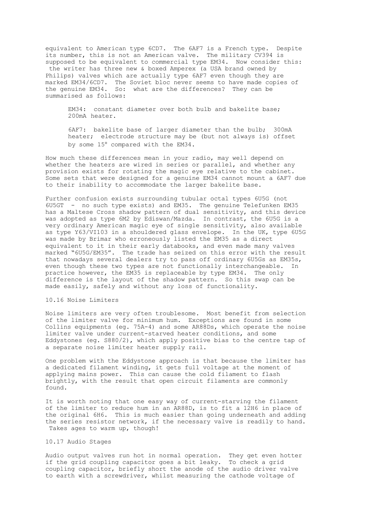equivalent to American type 6CD7. The 6AF7 is a French type. Despite its number, this is not an American valve. The military CV394 is supposed to be equivalent to commercial type EM34. Now consider this: the writer has three new & boxed Amperex (a USA brand owned by Philips) valves which are actually type 6AF7 even though they are marked EM34/6CD7. The Soviet bloc never seems to have made copies of the genuine EM34. So: what are the differences? They can be summarised as follows:

EM34: constant diameter over both bulb and bakelite base; 200mA heater.

6AF7: bakelite base of larger diameter than the bulb; 300mA heater; electrode structure may be (but not always is) offset by some 15° compared with the EM34.

How much these differences mean in your radio, may well depend on whether the heaters are wired in series or parallel, and whether any provision exists for rotating the magic eye relative to the cabinet. Some sets that were designed for a genuine EM34 cannot mount a 6AF7 due to their inability to accommodate the larger bakelite base.

Further confusion exists surrounding tubular octal types 6U5G (not 6U5GT - no such type exists) and EM35. The genuine Telefunken EM35 has a Maltese Cross shadow pattern of dual sensitivity, and this device was adopted as type 6M2 by Ediswan/Mazda. In contrast, the 6U5G is a very ordinary American magic eye of single sensitivity, also available as type Y63/VI103 in a shouldered glass envelope. In the UK, type 6U5G was made by Brimar who erroneously listed the EM35 as a direct equivalent to it in their early databooks, and even made many valves marked "6U5G/EM35". The trade has seized on this error with the result that nowadays several dealers try to pass off ordinary 6U5Gs as EM35s, even though these two types are not functionally interchangeable. In practice however, the EM35 is replaceable by type EM34. The only difference is the layout of the shadow pattern. So this swap can be made easily, safely and without any loss of functionality.

# 10.16 Noise Limiters

Noise limiters are very often troublesome. Most benefit from selection of the limiter valve for minimum hum. Exceptions are found in some Collins equipments (eg. 75A-4) and some AR88Ds, which operate the noise limiter valve under current-starved heater conditions, and some Eddystones (eg. S880/2), which apply positive bias to the centre tap of a separate noise limiter heater supply rail.

One problem with the Eddystone approach is that because the limiter has a dedicated filament winding, it gets full voltage at the moment of applying mains power. This can cause the cold filament to flash brightly, with the result that open circuit filaments are commonly found.

It is worth noting that one easy way of current-starving the filament of the limiter to reduce hum in an AR88D, is to fit a 12H6 in place of the original 6H6. This is much easier than going underneath and adding the series resistor network, if the necessary valve is readily to hand. Takes ages to warm up, though!

# 10.17 Audio Stages

Audio output valves run hot in normal operation. They get even hotter if the grid coupling capacitor goes a bit leaky. To check a grid coupling capacitor, briefly short the anode of the audio driver valve to earth with a screwdriver, whilst measuring the cathode voltage of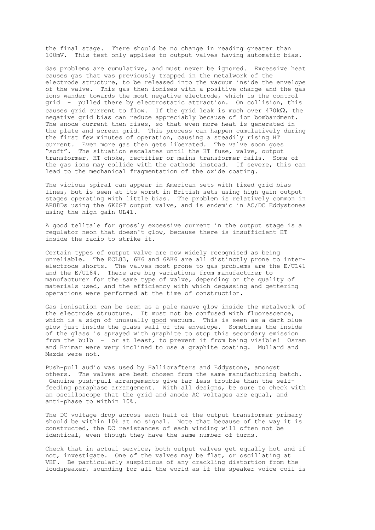the final stage. There should be no change in reading greater than 100mV. This test only applies to output valves having automatic bias.

Gas problems are cumulative, and must never be ignored. Excessive heat causes gas that was previously trapped in the metalwork of the electrode structure, to be released into the vacuum inside the envelope of the valve. This gas then ionises with a positive charge and the gas ions wander towards the most negative electrode, which is the control grid - pulled there by electrostatic attraction. On collision, this causes grid current to flow. If the grid leak is much over  $470\text{k}\Omega$ , the negative grid bias can reduce appreciably because of ion bombardment. The anode current then rises, so that even more heat is generated in the plate and screen grid. This process can happen cumulatively during the first few minutes of operation, causing a steadily rising HT current. Even more gas then gets liberated. The valve soon goes "soft". The situation escalates until the HT fuse, valve, output transformer, HT choke, rectifier or mains transformer fails. Some of the gas ions may collide with the cathode instead. If severe, this can lead to the mechanical fragmentation of the oxide coating.

The vicious spiral can appear in American sets with fixed grid bias lines, but is seen at its worst in British sets using high gain output stages operating with little bias. The problem is relatively common in AR88Ds using the 6K6GT output valve, and is endemic in AC/DC Eddystones using the high gain UL41.

A good telltale for grossly excessive current in the output stage is a regulator neon that doesn't glow, because there is insufficient HT inside the radio to strike it.

Certain types of output valve are now widely recognised as being unreliable. The ECL83, 6K6 and 6AK6 are all distinctly prone to interelectrode shorts. The valves most prone to gas problems are the E/UL41 and the E/UL84. There are big variations from manufacturer to manufacturer for the same type of valve, depending on the quality of materials used, and the efficiency with which degassing and gettering operations were performed at the time of construction.

Gas ionisation can be seen as a pale mauve glow inside the metalwork of the electrode structure. It must not be confused with fluorescence, which is a sign of unusually good vacuum. This is seen as a dark blue glow just inside the glass  $wall$  of the envelope. Sometimes the inside of the glass is sprayed with graphite to stop this secondary emission from the bulb - or at least, to prevent it from being visible! Osram and Brimar were very inclined to use a graphite coating. Mullard and Mazda were not.

Push-pull audio was used by Hallicrafters and Eddystone, amongst others. The valves are best chosen from the same manufacturing batch. Genuine push-pull arrangements give far less trouble than the selffeeding paraphase arrangement. With all designs, be sure to check with an oscilloscope that the grid and anode AC voltages are equal, and anti-phase to within 10%.

The DC voltage drop across each half of the output transformer primary should be within 10% at no signal. Note that because of the way it is constructed, the DC resistances of each winding will often not be identical, even though they have the same number of turns.

Check that in actual service, both output valves get equally hot and if not, investigate. One of the valves may be flat, or oscillating at VHF. Be particularly suspicious of any crackling distortion from the loudspeaker, sounding for all the world as if the speaker voice coil is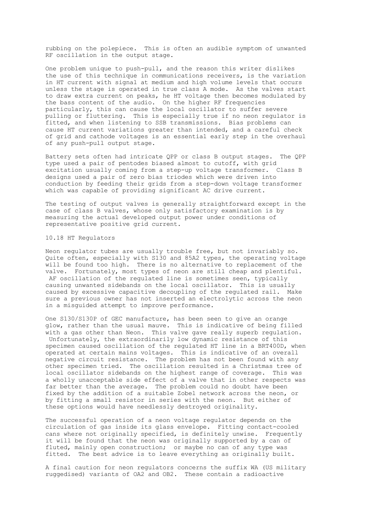rubbing on the polepiece. This is often an audible symptom of unwanted RF oscillation in the output stage.

One problem unique to push-pull, and the reason this writer dislikes the use of this technique in communications receivers, is the variation in HT current with signal at medium and high volume levels that occurs unless the stage is operated in true class A mode. As the valves start to draw extra current on peaks, he HT voltage then becomes modulated by the bass content of the audio. On the higher RF frequencies particularly, this can cause the local oscillator to suffer severe pulling or fluttering. This is especially true if no neon regulator is fitted, and when listening to SSB transmissions. Bias problems can cause HT current variations greater than intended, and a careful check of grid and cathode voltages is an essential early step in the overhaul of any push-pull output stage.

Battery sets often had intricate QPP or class B output stages. The QPP type used a pair of pentodes biased almost to cutoff, with grid excitation usually coming from a step-up voltage transformer. Class B designs used a pair of zero bias triodes which were driven into conduction by feeding their grids from a step-down voltage transformer which was capable of providing significant AC drive current.

The testing of output valves is generally straightforward except in the case of class B valves, whose only satisfactory examination is by measuring the actual developed output power under conditions of representative positive grid current.

# 10.18 HT Regulators

Neon regulator tubes are usually trouble free, but not invariably so. Quite often, especially with S130 and 85A2 types, the operating voltage will be found too high. There is no alternative to replacement of the valve. Fortunately, most types of neon are still cheap and plentiful. AF oscillation of the regulated line is sometimes seen, typically causing unwanted sidebands on the local oscillator. This is usually caused by excessive capacitive decoupling of the regulated rail. Make sure a previous owner has not inserted an electrolytic across the neon in a misguided attempt to improve performance.

One S130/S130P of GEC manufacture, has been seen to give an orange glow, rather than the usual mauve. This is indicative of being filled with a gas other than Neon. This valve gave really superb regulation. Unfortunately, the extraordinarily low dynamic resistance of this specimen caused oscillation of the regulated HT line in a BRT400D, when operated at certain mains voltages. This is indicative of an overall negative circuit resistance. The problem has not been found with any other specimen tried. The oscillation resulted in a Christmas tree of local oscillator sidebands on the highest range of coverage. This was a wholly unacceptable side effect of a valve that in other respects was far better than the average. The problem could no doubt have been fixed by the addition of a suitable Zobel network across the neon, or by fitting a small resistor in series with the neon. But either of these options would have needlessly destroyed originality.

The successful operation of a neon voltage regulator depends on the circulation of gas inside its glass envelope. Fitting contact-cooled cans where not originally specified, is definitely unwise. Frequently it will be found that the neon was originally supported by a can of fluted, mainly open construction; or maybe no can of any type was fitted. The best advice is to leave everything as originally built.

A final caution for neon regulators concerns the suffix WA (US military ruggedised) variants of OA2 and OB2. These contain a radioactive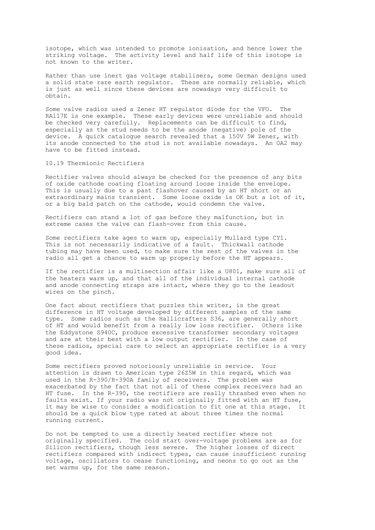isotope, which was intended to promote ionisation, and hence lower the striking voltage. The activity level and half life of this isotope is not known to the writer.

Rather than use inert gas voltage stabilisers, some German designs used a solid state rare earth regulator. These are normally reliable, which is just as well since these devices are nowadays very difficult to obtain.

Some valve radios used a Zener HT regulator diode for the VFO. The RA117E is one example. These early devices were unreliable and should be checked very carefully. Replacements can be difficult to find, especially as the stud needs to be the anode (negative) pole of the device. A quick catalogue search revealed that a 150V 5W Zener, with its anode connected to the stud is not available nowadays. An OA2 may have to be fitted instead.

10.19 Thermionic Rectifiers

Rectifier valves should always be checked for the presence of any bits of oxide cathode coating floating around loose inside the envelope. This is usually due to a past flashover caused by an HT short or an extraordinary mains transient. Some loose oxide is OK but a lot of it, or a big bald patch on the cathode, would condemn the valve.

Rectifiers can stand a lot of gas before they malfunction, but in extreme cases the valve can flash-over from this cause.

Some rectifiers take ages to warm up, especially Mullard type CY1. This is not necessarily indicative of a fault. Thickwall cathode tubing may have been used, to make sure the rest of the valves in the radio all get a chance to warm up properly before the HT appears.

If the rectifier is a multisection affair like a U801, make sure all of the heaters warm up, and that all of the individual internal cathode and anode connecting straps are intact, where they go to the leadout wires on the pinch.

One fact about rectifiers that puzzles this writer, is the great difference in HT voltage developed by different samples of the same type. Some radios such as the Hallicrafters S36, are generally short of HT and would benefit from a really low loss rectifier. Others like the Eddystone S940C, produce excessive transformer secondary voltages and are at their best with a low output rectifier. In the case of these radios, special care to select an appropriate rectifier is a very good idea.

Some rectifiers proved notoriously unreliable in service. Your attention is drawn to American type 26Z5W in this regard, which was used in the R-390/R-390A family of receivers. The problem was exacerbated by the fact that not all of these complex receivers had an HT fuse. In the R-390, the rectifiers are really thrashed even when no faults exist. If your radio was not originally fitted with an HT fuse, it may be wise to consider a modification to fit one at this stage. It should be a quick blow type rated at about three times the normal running current.

Do not be tempted to use a directly heated rectifier where not originally specified. The cold start over-voltage problems are as for Silicon rectifiers, though less severe. The higher losses of direct rectifiers compared with indirect types, can cause insufficient running voltage, oscillators to cease functioning, and neons to go out as the set warms up, for the same reason.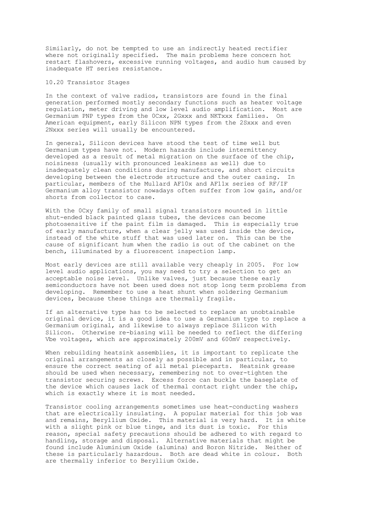Similarly, do not be tempted to use an indirectly heated rectifier where not originally specified. The main problems here concern hot restart flashovers, excessive running voltages, and audio hum caused by inadequate HT series resistance.

# 10.20 Transistor Stages

In the context of valve radios, transistors are found in the final generation performed mostly secondary functions such as heater voltage regulation, meter driving and low level audio amplification. Most are Germanium PNP types from the 0Cxx, 2Gxxx and NKTxxx families. On American equipment, early Silicon NPN types from the 2Sxxx and even 2Nxxx series will usually be encountered.

In general, Silicon devices have stood the test of time well but Germanium types have not. Modern hazards include intermittency developed as a result of metal migration on the surface of the chip, noisiness (usually with pronounced leakiness as well) due to inadequately clean conditions during manufacture, and short circuits developing between the electrode structure and the outer casing. In particular, members of the Mullard AF10x and AF11x series of RF/IF Germanium alloy transistor nowadays often suffer from low gain, and/or shorts from collector to case.

With the 0Cxy family of small signal transistors mounted in little shut-ended black painted glass tubes, the devices can become photosensitive if the paint film is damaged. This is especially true of early manufacture, when a clear jelly was used inside the device, instead of the white stuff that was used later on. This can be the cause of significant hum when the radio is out of the cabinet on the bench, illuminated by a fluorescent inspection lamp.

Most early devices are still available very cheaply in 2005. For low level audio applications, you may need to try a selection to get an acceptable noise level. Unlike valves, just because these early semiconductors have not been used does not stop long term problems from developing. Remember to use a heat shunt when soldering Germanium devices, because these things are thermally fragile.

If an alternative type has to be selected to replace an unobtainable original device, it is a good idea to use a Germanium type to replace a Germanium original, and likewise to always replace Silicon with Silicon. Otherwise re-biasing will be needed to reflect the differing Vbe voltages, which are approximately 200mV and 600mV respectively.

When rebuilding heatsink assemblies, it is important to replicate the original arrangements as closely as possible and in particular, to ensure the correct seating of all metal pieceparts. Heatsink grease should be used when necessary, remembering not to over-tighten the transistor securing screws. Excess force can buckle the baseplate of the device which causes lack of thermal contact right under the chip, which is exactly where it is most needed.

Transistor cooling arrangements sometimes use heat-conducting washers that are electrically insulating. A popular material for this job was and remains, Beryllium Oxide. This material is very hard. It is white with a slight pink or blue tinge, and its dust is toxic. For this reason, special safety precautions should be adhered to with regard to handling, storage and disposal. Alternative materials that might be found include Aluminium Oxide (alumina) and Boron Nitride. Neither of these is particularly hazardous. Both are dead white in colour. Both are thermally inferior to Beryllium Oxide.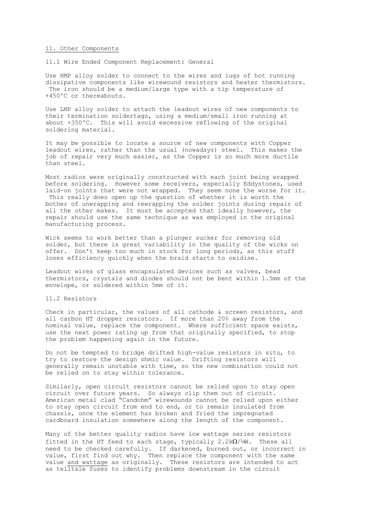#### 11. Other Components

11.1 Wire Ended Component Replacement: General

Use HMP alloy solder to connect to the wires and lugs of hot running dissipative components like wirewound resistors and heater thermistors. The iron should be a medium/large type with a tip temperature of +450ºC or thereabouts.

Use LMP alloy solder to attach the leadout wires of new components to their termination soldertags, using a medium/small iron running at about +350ºC. This will avoid excessive reflowing of the original soldering material.

It may be possible to locate a source of new components with Copper leadout wires, rather than the usual (nowadays) steel. This makes the job of repair very much easier, as the Copper is so much more ductile than steel.

Most radios were originally constructed with each joint being wrapped before soldering. However some receivers, especially Eddystones, used laid-on joints that were not wrapped. They seem none the worse for it. This really does open up the question of whether it is worth the bother of unwrapping and rewrapping the solder joints during repair of all the other makes. It must be accepted that ideally however, the repair should use the same technique as was employed in the original manufacturing process.

Wick seems to work better than a plunger sucker for removing old solder, but there is great variability in the quality of the wicks on offer. Don't keep too much in stock for long periods, as this stuff loses efficiency quickly when the braid starts to oxidise.

Leadout wires of glass encapsulated devices such as valves, bead thermistors, crystals and diodes should not be bent within 1.5mm of the envelope, or soldered within 5mm of it.

#### 11.2 Resistors

Check in particular, the values of all cathode & screen resistors, and all carbon HT dropper resistors. If more than 20% away from the nominal value, replace the component. Where sufficient space exists, use the next power rating up from that originally specified, to stop the problem happening again in the future.

Do not be tempted to bridge drifted high-value resistors in situ, to try to restore the design ohmic value. Drifting resistors will generally remain unstable with time, so the new combination could not be relied on to stay within tolerance.

Similarly, open circuit resistors cannot be relied upon to stay open circuit over future years. So always clip them out of circuit. American metal clad "Candohm" wirewounds cannot be relied upon either to stay open circuit from end to end, or to remain insulated from chassis, once the element has broken and fried the impregnated cardboard insulation somewhere along the length of the component.

Many of the better quality radios have low wattage series resistors fitted in the HT feed to each stage, typically 2.2k $\Omega$ /¼W. These all need to be checked carefully. If darkened, burned out, or incorrect in value, first find out why. Then replace the component with the same value and wattage as originally. These resistors are intended to act as telltale fuses to identify problems downstream in the circuit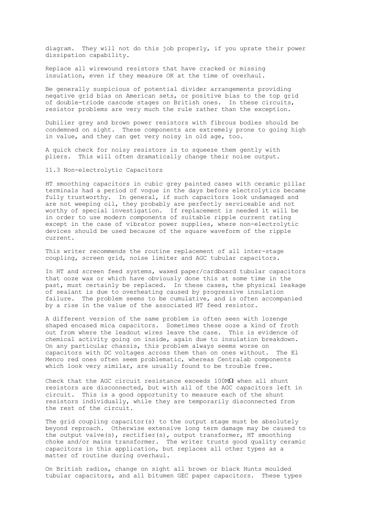diagram. They will not do this job properly, if you uprate their power dissipation capability.

Replace all wirewound resistors that have cracked or missing insulation, even if they measure OK at the time of overhaul.

Be generally suspicious of potential divider arrangements providing negative grid bias on American sets, or positive bias to the top grid of double-triode cascode stages on British ones. In these circuits, resistor problems are very much the rule rather than the exception.

Dubilier grey and brown power resistors with fibrous bodies should be condemned on sight. These components are extremely prone to going high in value, and they can get very noisy in old age, too.

A quick check for noisy resistors is to squeeze them gently with pliers. This will often dramatically change their noise output.

11.3 Non-electrolytic Capacitors

HT smoothing capacitors in cubic grey painted cases with ceramic pillar terminals had a period of vogue in the days before electrolytics became fully trustworthy. In general, if such capacitors look undamaged and are not weeping oil, they probably are perfectly serviceable and not worthy of special investigation. If replacement is needed it will be in order to use modern components of suitable ripple current rating except in the case of vibrator power supplies, where non-electrolytic devices should be used because of the square waveform of the ripple current.

This writer recommends the routine replacement of all inter-stage coupling, screen grid, noise limiter and AGC tubular capacitors.

In HT and screen feed systems, waxed paper/cardboard tubular capacitors that ooze wax or which have obviously done this at some time in the past, must certainly be replaced. In these cases, the physical leakage of sealant is due to overheating caused by progressive insulation failure. The problem seems to be cumulative, and is often accompanied by a rise in the value of the associated HT feed resistor.

A different version of the same problem is often seen with lozenge shaped encased mica capacitors. Sometimes these ooze a kind of froth out from where the leadout wires leave the case. This is evidence of chemical activity going on inside, again due to insulation breakdown. On any particular chassis, this problem always seems worse on capacitors with DC voltages across them than on ones without. The El Menco red ones often seem problematic, whereas Centralab components which look very similar, are usually found to be trouble free.

Check that the AGC circuit resistance exceeds  $100M\Omega$  when all shunt resistors are disconnected, but with all of the AGC capacitors left in circuit. This is a good opportunity to measure each of the shunt resistors individually, while they are temporarily disconnected from the rest of the circuit.

The grid coupling capacitor(s) to the output stage must be absolutely beyond reproach. Otherwise extensive long term damage may be caused to the output valve(s), rectifier(s), output transformer, HT smoothing choke and/or mains transformer. The writer trusts good quality ceramic capacitors in this application, but replaces all other types as a matter of routine during overhaul.

On British radios, change on sight all brown or black Hunts moulded tubular capacitors, and all bitumen GEC paper capacitors. These types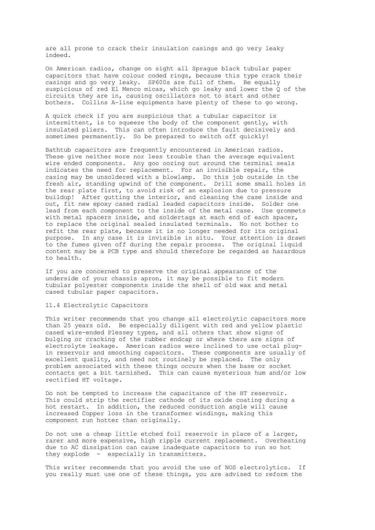are all prone to crack their insulation casings and go very leaky indeed.

On American radios, change on sight all Sprague black tubular paper capacitors that have colour coded rings, because this type crack their casings and go very leaky. SP600s are full of them. Be equally suspicious of red El Menco micas, which go leaky and lower the Q of the circuits they are in, causing oscillators not to start and other bothers. Collins A-line equipments have plenty of these to go wrong.

A quick check if you are suspicious that a tubular capacitor is intermittent, is to squeeze the body of the component gently, with insulated pliers. This can often introduce the fault decisively and sometimes permanently. So be prepared to switch off quickly!

Bathtub capacitors are frequently encountered in American radios. These give neither more nor less trouble than the average equivalent wire ended components. Any goo oozing out around the terminal seals indicates the need for replacement. For an invisible repair, the casing may be unsoldered with a blowlamp. Do this job outside in the fresh air, standing upwind of the component. Drill some small holes in the rear plate first, to avoid risk of an explosion due to pressure buildup! After gutting the interior, and cleaning the case inside and out, fit new epoxy cased radial leaded capacitors inside. Solder one lead from each component to the inside of the metal case. Use grommets with metal spacers inside, and soldertags at each end of each spacer, to replace the original sealed insulated terminals. No not bother to refit the rear plate, because it is no longer needed for its original purpose. In any case it is invisible in situ. Your attention is drawn to the fumes given off during the repair process. The original liquid content may be a PCB type and should therefore be regarded as hazardous to health.

If you are concerned to preserve the original appearance of the underside of your chassis apron, it may be possible to fit modern tubular polyester components inside the shell of old wax and metal cased tubular paper capacitors.

# 11.4 Electrolytic Capacitors

This writer recommends that you change all electrolytic capacitors more than 25 years old. Be especially diligent with red and yellow plastic cased wire-ended Plessey types, and all others that show signs of bulging or cracking of the rubber endcap or where there are signs of electrolyte leakage. American radios were inclined to use octal plugin reservoir and smoothing capacitors. These components are usually of excellent quality, and need not routinely be replaced. The only problem associated with these things occurs when the base or socket contacts get a bit tarnished. This can cause mysterious hum and/or low rectified HT voltage.

Do not be tempted to increase the capacitance of the HT reservoir. This could strip the rectifier cathode of its oxide coating during a hot restart. In addition, the reduced conduction angle will cause increased Copper loss in the transformer windings, making this component run hotter than originally.

Do not use a cheap little etched foil reservoir in place of a larger, rarer and more expensive, high ripple current replacement. Overheating due to AC dissipation can cause inadequate capacitors to run so hot they explode - especially in transmitters.

This writer recommends that you avoid the use of NOS electrolytics. If you really must use one of these things, you are advised to reform the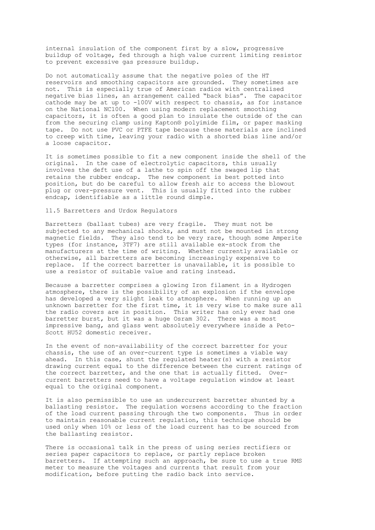internal insulation of the component first by a slow, progressive buildup of voltage, fed through a high value current limiting resistor to prevent excessive gas pressure buildup.

Do not automatically assume that the negative poles of the HT reservoirs and smoothing capacitors are grounded. They sometimes are not. This is especially true of American radios with centralised negative bias lines, an arrangement called "back bias". The capacitor cathode may be at up to -100V with respect to chassis, as for instance on the National NC100. When using modern replacement smoothing capacitors, it is often a good plan to insulate the outside of the can from the securing clamp using Kapton® polyimide film, or paper masking tape. Do not use PVC or PTFE tape because these materials are inclined to creep with time, leaving your radio with a shorted bias line and/or a loose capacitor.

It is sometimes possible to fit a new component inside the shell of the original. In the case of electrolytic capacitors, this usually involves the deft use of a lathe to spin off the swaged lip that retains the rubber endcap. The new component is best potted into position, but do be careful to allow fresh air to access the blowout plug or over-pressure vent. This is usually fitted into the rubber endcap, identifiable as a little round dimple.

11.5 Barretters and Urdox Regulators

Barretters (ballast tubes) are very fragile. They must not be subjected to any mechanical shocks, and must not be mounted in strong magnetic fields. They also tend to be very rare, though some Amperite types (for instance, 3TF7) are still available ex-stock from the manufacturers at the time of writing. Whether currently available or otherwise, all barretters are becoming increasingly expensive to replace. If the correct barretter is unavailable, it is possible to use a resistor of suitable value and rating instead.

Because a barretter comprises a glowing Iron filament in a Hydrogen atmosphere, there is the possibility of an explosion if the envelope has developed a very slight leak to atmosphere. When running up an unknown barretter for the first time, it is very wise to make sure all the radio covers are in position. This writer has only ever had one barretter burst, but it was a huge Osram 302. There was a most impressive bang, and glass went absolutely everywhere inside a Peto-Scott HU52 domestic receiver.

In the event of non-availability of the correct barretter for your chassis, the use of an over-current type is sometimes a viable way ahead. In this case, shunt the regulated heater(s) with a resistor drawing current equal to the difference between the current ratings of the correct barretter, and the one that is actually fitted. Overcurrent barretters need to have a voltage regulation window at least equal to the original component.

It is also permissible to use an undercurrent barretter shunted by a ballasting resistor. The regulation worsens according to the fraction of the load current passing through the two components. Thus in order to maintain reasonable current regulation, this technique should be used only when 10% or less of the load current has to be sourced from the ballasting resistor.

There is occasional talk in the press of using series rectifiers or series paper capacitors to replace, or partly replace broken barretters. If attempting such an approach, be sure to use a true RMS meter to measure the voltages and currents that result from your modification, before putting the radio back into service.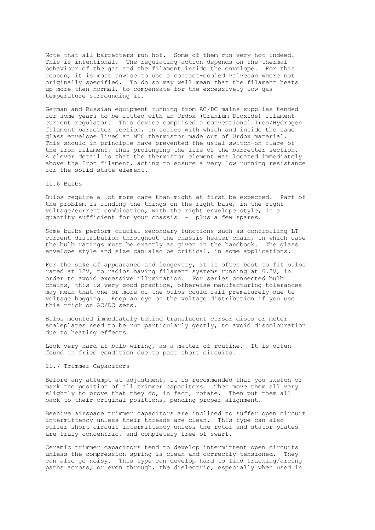Note that all barretters run hot. Some of them run very hot indeed. This is intentional. The regulating action depends on the thermal behaviour of the gas and the filament inside the envelope. For this reason, it is most unwise to use a contact-cooled valvecan where not originally specified. To do so may well mean that the filament heats up more then normal, to compensate for the excessively low gas temperature surrounding it.

German and Russian equipment running from AC/DC mains supplies tended for some years to be fitted with an Urdox (Uranium Dioxide) filament current regulator. This device comprised a conventional Iron/Hydrogen filament barretter section, in series with which and inside the same glass envelope lived an NTC thermistor made out of Urdox material. This should in principle have prevented the usual switch-on flare of the iron filament, thus prolonging the life of the barretter section. A clever detail is that the thermistor element was located immediately above the Iron filament, acting to ensure a very low running resistance for the solid state element.

### 11.6 Bulbs

Bulbs require a lot more care than might at first be expected. Part of the problem is finding the things on the right base, in the right voltage/current combination, with the right envelope style, in a quantity sufficient for your chassis - plus a few spares.

Some bulbs perform crucial secondary functions such as controlling LT current distribution throughout the chassis heater chain, in which case the bulb ratings must be exactly as given in the handbook. The glass envelope style and size can also be critical, in some applications.

For the sake of appearance and longevity, it is often best to fit bulbs rated at 12V, to radios having filament systems running at 6.3V, in order to avoid excessive illumination. For series connected bulb chains, this is very good practice, otherwise manufacturing tolerances may mean that one or more of the bulbs could fail prematurely due to voltage hogging. Keep an eye on the voltage distribution if you use this trick on AC/DC sets.

Bulbs mounted immediately behind translucent cursor discs or meter scaleplates need to be run particularly gently, to avoid discolouration due to heating effects.

Look very hard at bulb wiring, as a matter of routine. It is often found in fried condition due to past short circuits.

## 11.7 Trimmer Capacitors

Before any attempt at adjustment, it is recommended that you sketch or mark the position of all trimmer capacitors. Then move them all very slightly to prove that they do, in fact, rotate. Then put them all back to their original positions, pending proper alignment.

Beehive airspace trimmer capacitors are inclined to suffer open circuit intermittency unless their threads are clean. This type can also suffer short circuit intermittency unless the rotor and stator plates are truly concentric, and completely free of swarf.

Ceramic trimmer capacitors tend to develop intermittent open circuits unless the compression spring is clean and correctly tensioned. They can also go noisy. This type can develop hard to find tracking/arcing paths across, or even through, the dielectric, especially when used in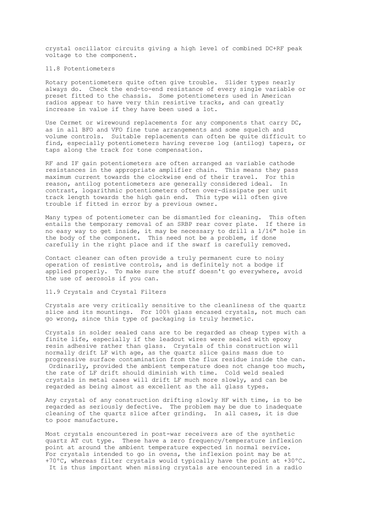crystal oscillator circuits giving a high level of combined DC+RF peak voltage to the component.

### 11.8 Potentiometers

Rotary potentiometers quite often give trouble. Slider types nearly always do. Check the end-to-end resistance of every single variable or preset fitted to the chassis. Some potentiometers used in American radios appear to have very thin resistive tracks, and can greatly increase in value if they have been used a lot.

Use Cermet or wirewound replacements for any components that carry  $DC$ , as in all BFO and VFO fine tune arrangements and some squelch and volume controls. Suitable replacements can often be quite difficult to find, especially potentiometers having reverse log (antilog) tapers, or taps along the track for tone compensation.

RF and IF gain potentiometers are often arranged as variable cathode resistances in the appropriate amplifier chain. This means they pass maximum current towards the clockwise end of their travel. For this reason, antilog potentiometers are generally considered ideal. In contrast, logarithmic potentiometers often over-dissipate per unit track length towards the high gain end. This type will often give trouble if fitted in error by a previous owner.

Many types of potentiometer can be dismantled for cleaning. This often entails the temporary removal of an SRBP rear cover plate. If there is no easy way to get inside, it may be necessary to drill a 1/16" hole in the body of the component. This need not be a problem, if done carefully in the right place and if the swarf is carefully removed.

Contact cleaner can often provide a truly permanent cure to noisy operation of resistive controls, and is definitely not a bodge if applied properly. To make sure the stuff doesn't go everywhere, avoid the use of aerosols if you can.

#### 11.9 Crystals and Crystal Filters

Crystals are very critically sensitive to the cleanliness of the quartz slice and its mountings. For 100% glass encased crystals, not much can go wrong, since this type of packaging is truly hermetic.

Crystals in solder sealed cans are to be regarded as cheap types with a finite life, especially if the leadout wires were sealed with epoxy resin adhesive rather than glass. Crystals of this construction will normally drift LF with age, as the quartz slice gains mass due to progressive surface contamination from the flux residue inside the can. Ordinarily, provided the ambient temperature does not change too much, the rate of LF drift should diminish with time. Cold weld sealed crystals in metal cases will drift LF much more slowly, and can be regarded as being almost as excellent as the all glass types.

Any crystal of any construction drifting slowly HF with time, is to be regarded as seriously defective. The problem may be due to inadequate cleaning of the quartz slice after grinding. In all cases, it is due to poor manufacture.

Most crystals encountered in post-war receivers are of the synthetic quartz AT cut type. These have a zero frequency/temperature inflexion point at around the ambient temperature expected in normal service. For crystals intended to go in ovens, the inflexion point may be at +70ºC, whereas filter crystals would typically have the point at +30ºC. It is thus important when missing crystals are encountered in a radio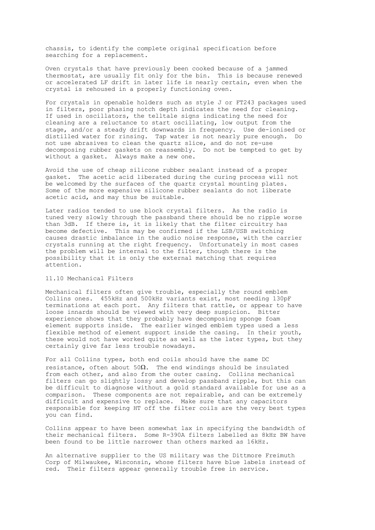chassis, to identify the complete original specification before searching for a replacement.

Oven crystals that have previously been cooked because of a jammed thermostat, are usually fit only for the bin. This is because renewed or accelerated LF drift in later life is nearly certain, even when the crystal is rehoused in a properly functioning oven.

For crystals in openable holders such as style J or FT243 packages used in filters, poor phasing notch depth indicates the need for cleaning. If used in oscillators, the telltale signs indicating the need for cleaning are a reluctance to start oscillating, low output from the stage, and/or a steady drift downwards in frequency. Use de-ionised or distilled water for rinsing. Tap water is not nearly pure enough. Do not use abrasives to clean the quartz slice, and do not re-use decomposing rubber gaskets on reassembly. Do not be tempted to get by without a gasket. Always make a new one.

Avoid the use of cheap silicone rubber sealant instead of a proper gasket. The acetic acid liberated during the curing process will not be welcomed by the surfaces of the quartz crystal mounting plates. Some of the more expensive silicone rubber sealants do not liberate acetic acid, and may thus be suitable.

Later radios tended to use block crystal filters. As the radio is tuned very slowly through the passband there should be no ripple worse than 3dB. If there is, it is likely that the filter circuitry has become defective. This may be confirmed if the LSB/USB switching causes drastic imbalance in the audio noise response, with the carrier crystals running at the right frequency. Unfortunately in most cases the problem will be internal to the filter, though there is the possibility that it is only the external matching that requires attention.

# 11.10 Mechanical Filters

Mechanical filters often give trouble, especially the round emblem Collins ones. 455kHz and 500kHz variants exist, most needing 130pF terminations at each port. Any filters that rattle, or appear to have loose innards should be viewed with very deep suspicion. Bitter experience shows that they probably have decomposing sponge foam element supports inside. The earlier winged emblem types used a less flexible method of element support inside the casing. In their youth, these would not have worked quite as well as the later types, but they certainly give far less trouble nowadays.

For all Collins types, both end coils should have the same DC resistance, often about  $50\Omega$ . The end windings should be insulated from each other, and also from the outer casing. Collins mechanical filters can go slightly lossy and develop passband ripple, but this can be difficult to diagnose without a gold standard available for use as a comparison. These components are not repairable, and can be extremely difficult and expensive to replace. Make sure that any capacitors responsible for keeping HT off the filter coils are the very best types you can find.

Collins appear to have been somewhat lax in specifying the bandwidth of their mechanical filters. Some R-390A filters labelled as 8kHz BW have been found to be little narrower than others marked as 16kHz.

An alternative supplier to the US military was the Dittmore Freimuth Corp of Milwaukee, Wisconsin, whose filters have blue labels instead of red. Their filters appear generally trouble free in service.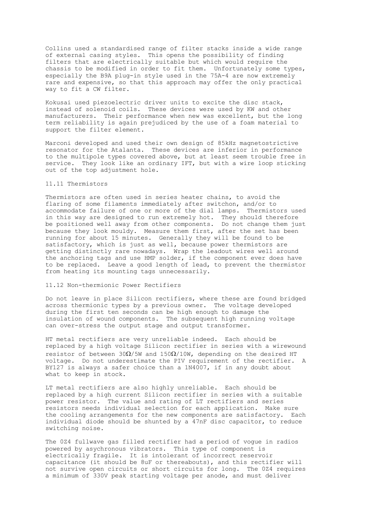Collins used a standardised range of filter stacks inside a wide range of external casing styles. This opens the possibility of finding filters that are electrically suitable but which would require the chassis to be modified in order to fit them. Unfortunately some types, especially the B9A plug-in style used in the 75A-4 are now extremely rare and expensive, so that this approach may offer the only practical way to fit a CW filter.

Kokusai used piezoelectric driver units to excite the disc stack, instead of solenoid coils. These devices were used by KW and other manufacturers. Their performance when new was excellent, but the long term reliability is again prejudiced by the use of a foam material to support the filter element.

Marconi developed and used their own design of 85kHz magnetostrictive resonator for the Atalanta. These devices are inferior in performance to the multipole types covered above, but at least seem trouble free in service. They look like an ordinary IFT, but with a wire loop sticking out of the top adjustment hole.

## 11.11 Thermistors

Thermistors are often used in series heater chains, to avoid the flaring of some filaments immediately after switchon, and/or to accommodate failure of one or more of the dial lamps. Thermistors used in this way are designed to run extremely hot. They should therefore be positioned well away from other components. Do not change them just because they look mouldy. Measure them first, after the set has been running for about 15 minutes. Generally they will be found to be satisfactory, which is just as well, because power thermistors are getting distinctly rare nowadays. Wrap the leadout wires well around the anchoring tags and use HMP solder, if the component ever does have to be replaced. Leave a good length of lead, to prevent the thermistor from heating its mounting tags unnecessarily.

# 11.12 Non-thermionic Power Rectifiers

Do not leave in place Silicon rectifiers, where these are found bridged across thermionic types by a previous owner. The voltage developed during the first ten seconds can be high enough to damage the insulation of wound components. The subsequent high running voltage can over-stress the output stage and output transformer.

HT metal rectifiers are very unreliable indeed. Each should be replaced by a high voltage Silicon rectifier in series with a wirewound resistor of between  $30\Omega/5W$  and  $150\Omega/10W$ , depending on the desired HT voltage. Do not underestimate the PIV requirement of the rectifier. A BY127 is always a safer choice than a 1N4007, if in any doubt about what to keep in stock.

LT metal rectifiers are also highly unreliable. Each should be replaced by a high current Silicon rectifier in series with a suitable power resistor. The value and rating of LT rectifiers and series resistors needs individual selection for each application. Make sure the cooling arrangements for the new components are satisfactory. Each individual diode should be shunted by a 47nF disc capacitor, to reduce switching noise.

The 0Z4 fullwave gas filled rectifier had a period of vogue in radios powered by asychronous vibrators. This type of component is electrically fragile. It is intolerant of incorrect reservoir capacitance (it should be 8uF or thereabouts), and this rectifier will not survive open circuits or short circuits for long. The 0Z4 requires a minimum of 330V peak starting voltage per anode, and must deliver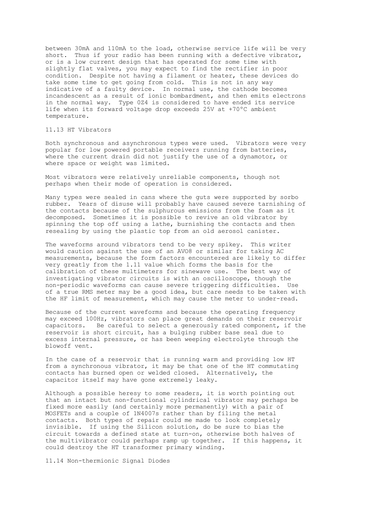between 30mA and 110mA to the load, otherwise service life will be very short. Thus if your radio has been running with a defective vibrator, or is a low current design that has operated for some time with slightly flat valves, you may expect to find the rectifier in poor condition. Despite not having a filament or heater, these devices do take some time to get going from cold. This is not in any way indicative of a faulty device. In normal use, the cathode becomes incandescent as a result of ionic bombardment, and then emits electrons in the normal way. Type 0Z4 is considered to have ended its service life when its forward voltage drop exceeds 25V at +70ºC ambient temperature.

# 11.13 HT Vibrators

Both synchronous and asynchronous types were used. Vibrators were very popular for low powered portable receivers running from batteries, where the current drain did not justify the use of a dynamotor, or where space or weight was limited.

Most vibrators were relatively unreliable components, though not perhaps when their mode of operation is considered.

Many types were sealed in cans where the guts were supported by sorbo rubber. Years of disuse will probably have caused severe tarnishing of the contacts because of the sulphurous emissions from the foam as it decomposed. Sometimes it is possible to revive an old vibrator by spinning the top off using a lathe, burnishing the contacts and then resealing by using the plastic top from an old aerosol canister.

The waveforms around vibrators tend to be very spikey. This writer would caution against the use of an AVO8 or similar for taking AC measurements, because the form factors encountered are likely to differ very greatly from the 1.11 value which forms the basis for the calibration of these multimeters for sinewave use. The best way of investigating vibrator circuits is with an oscilloscope, though the non-periodic waveforms can cause severe triggering difficulties. Use of a true RMS meter may be a good idea, but care needs to be taken with the HF limit of measurement, which may cause the meter to under-read.

Because of the current waveforms and because the operating frequency may exceed 100Hz, vibrators can place great demands on their reservoir capacitors. Be careful to select a generously rated component, if the reservoir is short circuit, has a bulging rubber base seal due to excess internal pressure, or has been weeping electrolyte through the blowoff vent.

In the case of a reservoir that is running warm and providing low HT from a synchronous vibrator, it may be that one of the HT commutating contacts has burned open or welded closed. Alternatively, the capacitor itself may have gone extremely leaky.

Although a possible heresy to some readers, it is worth pointing out that an intact but non-functional cylindrical vibrator may perhaps be fixed more easily (and certainly more permanently) with a pair of MOSFETs and a couple of 1N4007s rather than by filing the metal contacts. Both types of repair could me made to look completely invisible. If using the Silicon solution, do be sure to bias the circuit towards a defined state at turn-on, otherwise both halves of the multivibrator could perhaps ramp up together. If this happens, it could destroy the HT transformer primary winding.

11.14 Non-thermionic Signal Diodes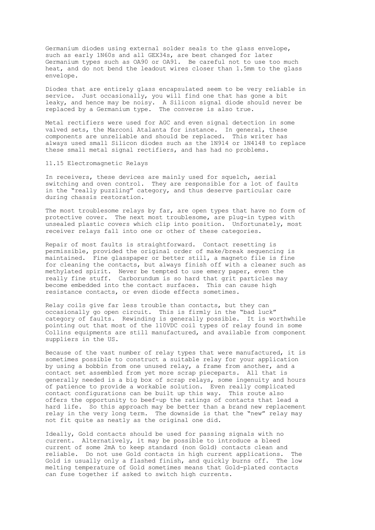Germanium diodes using external solder seals to the glass envelope, such as early 1N60s and all GEX34s, are best changed for later Germanium types such as OA90 or OA91. Be careful not to use too much heat, and do not bend the leadout wires closer than 1.5mm to the glass envelope.

Diodes that are entirely glass encapsulated seem to be very reliable in service. Just occasionally, you will find one that has gone a bit leaky, and hence may be noisy. A Silicon signal diode should never be replaced by a Germanium type. The converse is also true.

Metal rectifiers were used for AGC and even signal detection in some valved sets, the Marconi Atalanta for instance. In general, these components are unreliable and should be replaced. This writer has always used small Silicon diodes such as the 1N914 or 1N4148 to replace these small metal signal rectifiers, and has had no problems.

11.15 Electromagnetic Relays

In receivers, these devices are mainly used for squelch, aerial switching and oven control. They are responsible for a lot of faults in the "really puzzling" category, and thus deserve particular care during chassis restoration.

The most troublesome relays by far, are open types that have no form of protective cover. The next most troublesome, are plug-in types with unsealed plastic covers which clip into position. Unfortunately, most receiver relays fall into one or other of these categories.

Repair of most faults is straightforward. Contact resetting is permissible, provided the original order of make/break sequencing is maintained. Fine glasspaper or better still, a magneto file is fine for cleaning the contacts, but always finish off with a cleaner such as methylated spirit. Never be tempted to use emery paper, even the really fine stuff. Carborundum is so hard that grit particles may become embedded into the contact surfaces. This can cause high resistance contacts, or even diode effects sometimes.

Relay coils give far less trouble than contacts, but they can occasionally go open circuit. This is firmly in the "bad luck" category of faults. Rewinding is generally possible. It is worthwhile pointing out that most of the 110VDC coil types of relay found in some Collins equipments are still manufactured, and available from component suppliers in the US.

Because of the vast number of relay types that were manufactured, it is sometimes possible to construct a suitable relay for your application by using a bobbin from one unused relay, a frame from another, and a contact set assembled from yet more scrap pieceparts. All that is generally needed is a big box of scrap relays, some ingenuity and hours of patience to provide a workable solution. Even really complicated contact configurations can be built up this way. This route also offers the opportunity to beef-up the ratings of contacts that lead a hard life. So this approach may be better than a brand new replacement relay in the very long term. The downside is that the "new" relay may not fit quite as neatly as the original one did.

Ideally, Gold contacts should be used for passing signals with no current. Alternatively, it may be possible to introduce a bleed current of some 2mA to keep standard (non Gold) contacts clean and reliable. Do not use Gold contacts in high current applications. The Gold is usually only a flashed finish, and quickly burns off. The low melting temperature of Gold sometimes means that Gold-plated contacts can fuse together if asked to switch high currents.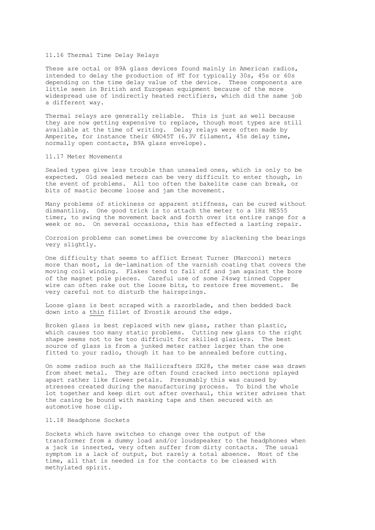### 11.16 Thermal Time Delay Relays

These are octal or B9A glass devices found mainly in American radios, intended to delay the production of HT for typically 30s, 45s or 60s depending on the time delay value of the device. These components are little seen in British and European equipment because of the more widespread use of indirectly heated rectifiers, which did the same job a different way.

Thermal relays are generally reliable. This is just as well because they are now getting expensive to replace, though most types are still available at the time of writing. Delay relays were often made by Amperite, for instance their 6NO45T (6.3V filament, 45s delay time, normally open contacts, B9A glass envelope).

#### 11.17 Meter Movements

Sealed types give less trouble than unsealed ones, which is only to be expected. Old sealed meters can be very difficult to enter though, in the event of problems. All too often the bakelite case can break, or bits of mastic become loose and jam the movement.

Many problems of stickiness or apparent stiffness, can be cured without dismantling. One good trick is to attach the meter to a 1Hz NE555 timer, to swing the movement back and forth over its entire range for a week or so. On several occasions, this has effected a lasting repair.

Corrosion problems can sometimes be overcome by slackening the bearings very slightly.

One difficulty that seems to afflict Ernest Turner (Marconi) meters more than most, is de-lamination of the varnish coating that covers the moving coil winding. Flakes tend to fall off and jam against the bore of the magnet pole pieces. Careful use of some 24swg tinned Copper wire can often rake out the loose bits, to restore free movement. Be very careful not to disturb the hairsprings.

Loose glass is best scraped with a razorblade, and then bedded back down into a thin fillet of Evostik around the edge.

Broken glass is best replaced with new glass, rather than plastic, which causes too many static problems. Cutting new glass to the right shape seems not to be too difficult for skilled glaziers. The best source of glass is from a junked meter rather larger than the one fitted to your radio, though it has to be annealed before cutting.

On some radios such as the Hallicrafters SX28, the meter case was drawn from sheet metal. They are often found cracked into sections splayed apart rather like flower petals. Presumably this was caused by stresses created during the manufacturing process. To bind the whole lot together and keep dirt out after overhaul, this writer advises that the casing be bound with masking tape and then secured with an automotive hose clip.

# 11.18 Headphone Sockets

Sockets which have switches to change over the output of the transformer from a dummy load and/or loudspeaker to the headphones when a jack is inserted, very often suffer from dirty contacts. The usual symptom is a lack of output, but rarely a total absence. Most of the time, all that is needed is for the contacts to be cleaned with methylated spirit.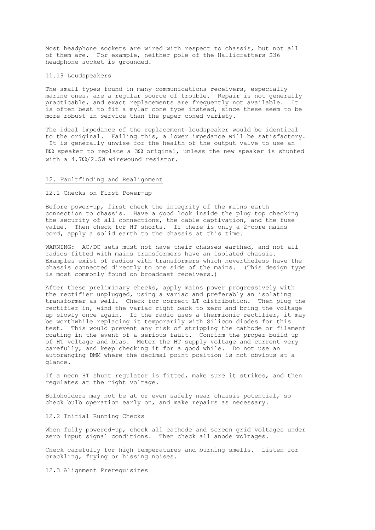Most headphone sockets are wired with respect to chassis, but not all of them are. For example, neither pole of the Hallicrafters S36 headphone socket is grounded.

11.19 Loudspeakers

The small types found in many communications receivers, especially marine ones, are a regular source of trouble. Repair is not generally practicable, and exact replacements are frequently not available. It is often best to fit a mylar cone type instead, since these seem to be more robust in service than the paper coned variety.

The ideal impedance of the replacement loudspeaker would be identical to the original. Failing this, a lower impedance will be satisfactory. It is generally unwise for the health of the output valve to use an 8Ω speaker to replace a 3Ω original, unless the new speaker is shunted with a 4.7 $\Omega/2.5$ W wirewound resistor.

### 12. Faultfinding and Realignment

12.1 Checks on First Power-up

Before power-up, first check the integrity of the mains earth connection to chassis. Have a good look inside the plug top checking the security of all connections, the cable captivation, and the fuse value. Then check for HT shorts. If there is only a 2-core mains cord, apply a solid earth to the chassis at this time.

WARNING: AC/DC sets must not have their chasses earthed, and not all radios fitted with mains transformers have an isolated chassis. Examples exist of radios with transformers which nevertheless have the chassis connected directly to one side of the mains. (This design type is most commonly found on broadcast receivers.)

After these preliminary checks, apply mains power progressively with the rectifier unplugged, using a variac and preferably an isolating transformer as well. Check for correct LT distribution. Then plug the rectifier in, wind the variac right back to zero and bring the voltage up slowly once again. If the radio uses a thermionic rectifier, it may be worthwhile replacing it temporarily with Silicon diodes for this test. This would prevent any risk of stripping the cathode or filament coating in the event of a serious fault. Confirm the proper build up of HT voltage and bias. Meter the HT supply voltage and current very carefully, and keep checking it for a good while. Do not use an autoranging DMM where the decimal point position is not obvious at a glance.

If a neon HT shunt regulator is fitted, make sure it strikes, and then regulates at the right voltage.

Bulbholders may not be at or even safely near chassis potential, so check bulb operation early on, and make repairs as necessary.

12.2 Initial Running Checks

When fully powered-up, check all cathode and screen grid voltages under zero input signal conditions. Then check all anode voltages.

Check carefully for high temperatures and burning smells. Listen for crackling, frying or hissing noises.

12.3 Alignment Prerequisites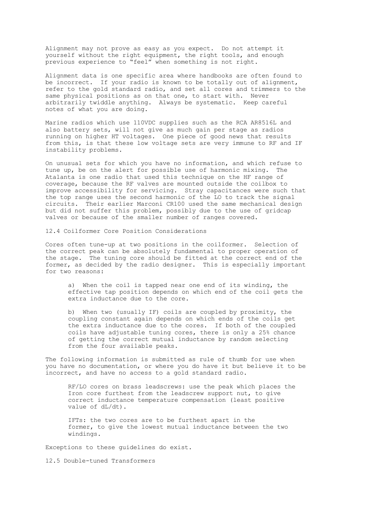Alignment may not prove as easy as you expect. Do not attempt it yourself without the right equipment, the right tools, and enough previous experience to "feel" when something is not right.

Alignment data is one specific area where handbooks are often found to be incorrect. If your radio is known to be totally out of alignment, refer to the gold standard radio, and set all cores and trimmers to the same physical positions as on that one, to start with. Never arbitrarily twiddle anything. Always be systematic. Keep careful notes of what you are doing.

Marine radios which use 110VDC supplies such as the RCA AR8516L and also battery sets, will not give as much gain per stage as radios running on higher HT voltages. One piece of good news that results from this, is that these low voltage sets are very immune to RF and IF instability problems.

On unusual sets for which you have no information, and which refuse to tune up, be on the alert for possible use of harmonic mixing. The Atalanta is one radio that used this technique on the HF range of coverage, because the RF valves are mounted outside the coilbox to improve accessibility for servicing. Stray capacitances were such that the top range uses the second harmonic of the LO to track the signal circuits. Their earlier Marconi CR100 used the same mechanical design but did not suffer this problem, possibly due to the use of gridcap valves or because of the smaller number of ranges covered.

12.4 Coilformer Core Position Considerations

Cores often tune-up at two positions in the coilformer. Selection of the correct peak can be absolutely fundamental to proper operation of the stage. The tuning core should be fitted at the correct end of the former, as decided by the radio designer. This is especially important for two reasons:

a) When the coil is tapped near one end of its winding, the effective tap position depends on which end of the coil gets the extra inductance due to the core.

b) When two (usually IF) coils are coupled by proximity, the coupling constant again depends on which ends of the coils get the extra inductance due to the cores. If both of the coupled coils have adjustable tuning cores, there is only a 25% chance of getting the correct mutual inductance by random selecting from the four available peaks.

The following information is submitted as rule of thumb for use when you have no documentation, or where you do have it but believe it to be incorrect, and have no access to a gold standard radio.

RF/LO cores on brass leadscrews: use the peak which places the Iron core furthest from the leadscrew support nut, to give correct inductance temperature compensation (least positive value of dL/dt).

IFTs: the two cores are to be furthest apart in the former, to give the lowest mutual inductance between the two windings.

Exceptions to these guidelines do exist.

12.5 Double-tuned Transformers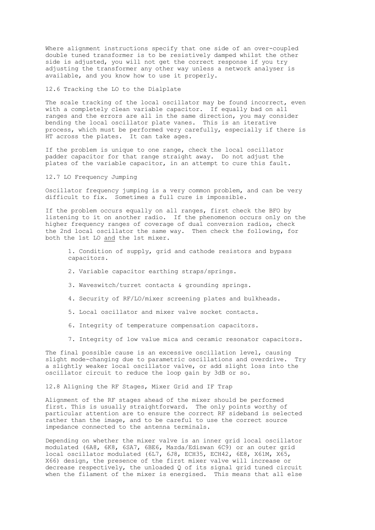Where alignment instructions specify that one side of an over-coupled double tuned transformer is to be resistively damped whilst the other side is adjusted, you will not get the correct response if you try adjusting the transformer any other way unless a network analyser is available, and you know how to use it properly.

12.6 Tracking the LO to the Dialplate

The scale tracking of the local oscillator may be found incorrect, even with a completely clean variable capacitor. If equally bad on all ranges and the errors are all in the same direction, you may consider bending the local oscillator plate vanes. This is an iterative process, which must be performed very carefully, especially if there is HT across the plates. It can take ages.

If the problem is unique to one range, check the local oscillator padder capacitor for that range straight away. Do not adjust the plates of the variable capacitor, in an attempt to cure this fault.

12.7 LO Frequency Jumping

Oscillator frequency jumping is a very common problem, and can be very difficult to fix. Sometimes a full cure is impossible.

If the problem occurs equally on all ranges, first check the BFO by listening to it on another radio. If the phenomenon occurs only on the higher frequency ranges of coverage of dual conversion radios, check the 2nd local oscillator the same way. Then check the following, for both the 1st LO and the 1st mixer.

- 1. Condition of supply, grid and cathode resistors and bypass capacitors.
- 2. Variable capacitor earthing straps/springs.
- 3. Waveswitch/turret contacts & grounding springs.
- 4. Security of RF/LO/mixer screening plates and bulkheads.
- 5. Local oscillator and mixer valve socket contacts.
- 6. Integrity of temperature compensation capacitors.
- 7. Integrity of low value mica and ceramic resonator capacitors.

The final possible cause is an excessive oscillation level, causing<br>slight mode-changing due to parametric oscillations and overdrive. Try slight mode-changing due to parametric oscillations and overdrive. a slightly weaker local oscillator valve, or add slight loss into the oscillator circuit to reduce the loop gain by 3dB or so.

12.8 Aligning the RF Stages, Mixer Grid and IF Trap

Alignment of the RF stages ahead of the mixer should be performed first. This is usually straightforward. The only points worthy of particular attention are to ensure the correct RF sideband is selected rather than the image, and to be careful to use the correct source impedance connected to the antenna terminals.

Depending on whether the mixer valve is an inner grid local oscillator modulated (6A8, 6K8, 6SA7, 6BE6, Mazda/Ediswan 6C9) or an outer grid local oscillator modulated (6L7, 6J8, ECH35, ECH42, 6E8, X61M, X65, X66) design, the presence of the first mixer valve will increase or decrease respectively, the unloaded Q of its signal grid tuned circuit when the filament of the mixer is energised. This means that all else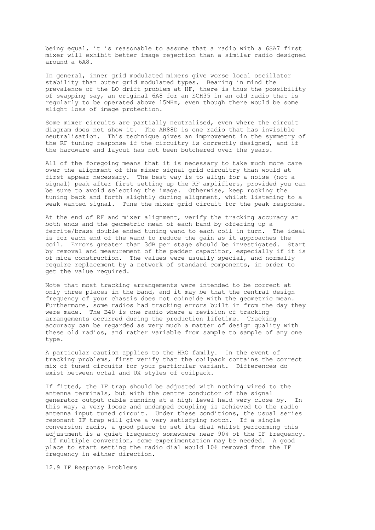being equal, it is reasonable to assume that a radio with a 6SA7 first mixer will exhibit better image rejection than a similar radio designed around a 6A8.

In general, inner grid modulated mixers give worse local oscillator stability than outer grid modulated types. Bearing in mind the prevalence of the LO drift problem at HF, there is thus the possibility of swapping say, an original 6A8 for an ECH35 in an old radio that is regularly to be operated above 15MHz, even though there would be some slight loss of image protection.

Some mixer circuits are partially neutralised, even where the circuit diagram does not show it. The AR88D is one radio that has invisible neutralisation. This technique gives an improvement in the symmetry of the RF tuning response if the circuitry is correctly designed, and if the hardware and layout has not been butchered over the years.

All of the foregoing means that it is necessary to take much more care over the alignment of the mixer signal grid circuitry than would at first appear necessary. The best way is to align for a noise (not a signal) peak after first setting up the RF amplifiers, provided you can be sure to avoid selecting the image. Otherwise, keep rocking the tuning back and forth slightly during alignment, whilst listening to a weak wanted signal. Tune the mixer grid circuit for the peak response.

At the end of RF and mixer alignment, verify the tracking accuracy at both ends and the geometric mean of each band by offering up a ferrite/brass double ended tuning wand to each coil in turn. The ideal is for each end of the wand to reduce the gain as it approaches the coil. Errors greater than 3dB per stage should be investigated. Start by removal and measurement of the padder capacitor, especially if it is of mica construction. The values were usually special, and normally require replacement by a network of standard components, in order to get the value required.

Note that most tracking arrangements were intended to be correct at only three places in the band, and it may be that the central design frequency of your chassis does not coincide with the geometric mean. Furthermore, some radios had tracking errors built in from the day they were made. The B40 is one radio where a revision of tracking arrangements occurred during the production lifetime. Tracking accuracy can be regarded as very much a matter of design quality with these old radios, and rather variable from sample to sample of any one type.

A particular caution applies to the HRO family. In the event of tracking problems, first verify that the coilpack contains the correct mix of tuned circuits for your particular variant. Differences do exist between octal and UX styles of coilpack.

If fitted, the IF trap should be adjusted with nothing wired to the antenna terminals, but with the centre conductor of the signal generator output cable running at a high level held very close by. In this way, a very loose and undamped coupling is achieved to the radio antenna input tuned circuit. Under these conditions, the usual series resonant IF trap will give a very satisfying notch. If a single conversion radio, a good place to set its dial whilst performing this adjustment is a quiet frequency somewhere near 90% of the IF frequency. If multiple conversion, some experimentation may be needed. A good

place to start setting the radio dial would 10% removed from the IF frequency in either direction.

12.9 IF Response Problems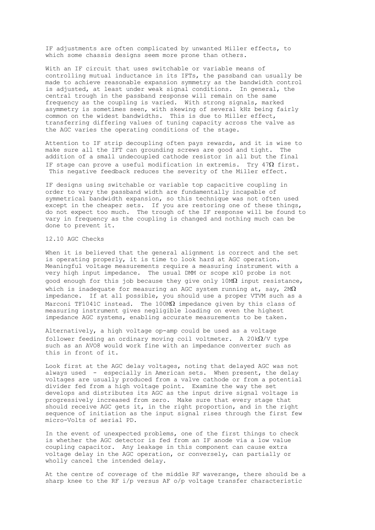IF adjustments are often complicated by unwanted Miller effects, to which some chassis designs seem more prone than others.

With an IF circuit that uses switchable or variable means of controlling mutual inductance in its IFTs, the passband can usually be made to achieve reasonable expansion symmetry as the bandwidth control is adjusted, at least under weak signal conditions. In general, the central trough in the passband response will remain on the same frequency as the coupling is varied. With strong signals, marked asymmetry is sometimes seen, with skewing of several kHz being fairly common on the widest bandwidths. This is due to Miller effect, transferring differing values of tuning capacity across the valve as the AGC varies the operating conditions of the stage.

Attention to IF strip decoupling often pays rewards, and it is wise to make sure all the IFT can grounding screws are good and tight. The addition of a small undecoupled cathode resistor in all but the final IF stage can prove a useful modification in extremis. Try  $47\Omega$  first. This negative feedback reduces the severity of the Miller effect.

IF designs using switchable or variable top capacitive coupling in order to vary the passband width are fundamentally incapable of symmetrical bandwidth expansion, so this technique was not often used except in the cheaper sets. If you are restoring one of these things, do not expect too much. The trough of the IF response will be found to vary in frequency as the coupling is changed and nothing much can be done to prevent it.

# 12.10 AGC Checks

When it is believed that the general alignment is correct and the set is operating properly, it is time to look hard at AGC operation. Meaningful voltage measurements require a measuring instrument with a very high input impedance. The usual DMM or scope x10 probe is not good enough for this job because they give only 10MΩ input resistance, which is inadequate for measuring an AGC system running at, say,  $2M\Omega$ impedance. If at all possible, you should use a proper VTVM such as a Marconi TF1041C instead. The  $100 \text{M}\Omega$  impedance given by this class of measuring instrument gives negligible loading on even the highest impedance AGC systems, enabling accurate measurements to be taken.

Alternatively, a high voltage op-amp could be used as a voltage follower feeding an ordinary moving coil voltmeter. A 20k $\Omega$ /V type such as an AVO8 would work fine with an impedance converter such as this in front of it.

Look first at the AGC delay voltages, noting that delayed AGC was not always used - especially in American sets. When present, the delay voltages are usually produced from a valve cathode or from a potential divider fed from a high voltage point. Examine the way the set develops and distributes its AGC as the input drive signal voltage is progressively increased from zero. Make sure that every stage that should receive AGC gets it, in the right proportion, and in the right sequence of initiation as the input signal rises through the first few micro-Volts of aerial PD.

In the event of unexpected problems, one of the first things to check is whether the AGC detector is fed from an IF anode via a low value coupling capacitor. Any leakage in this component can cause extra voltage delay in the AGC operation, or conversely, can partially or wholly cancel the intended delay.

At the centre of coverage of the middle RF waverange, there should be a sharp knee to the RF i/p versus AF o/p voltage transfer characteristic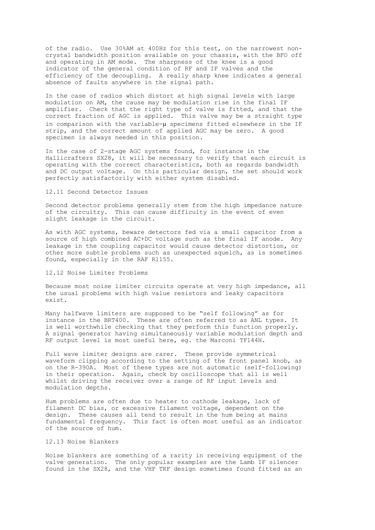of the radio. Use 30%AM at 400Hz for this test, on the narrowest noncrystal bandwidth position available on your chassis, with the BFO off and operating in AM mode. The sharpness of the knee is a good indicator of the general condition of RF and IF valves and the efficiency of the decoupling. A really sharp knee indicates a general absence of faults anywhere in the signal path.

In the case of radios which distort at high signal levels with large modulation on AM, the cause may be modulation rise in the final IF amplifier. Check that the right type of valve is fitted, and that the correct fraction of AGC is applied. This valve may be a straight type in comparison with the variable-µ specimens fitted elsewhere in the IF strip, and the correct amount of applied AGC may be zero. A good specimen is always needed in this position.

In the case of 2-stage AGC systems found, for instance in the Hallicrafters SX28, it will be necessary to verify that each circuit is operating with the correct characteristics, both as regards bandwidth and DC output voltage. On this particular design, the set should work perfectly satisfactorily with either system disabled.

### 12.11 Second Detector Issues

Second detector problems generally stem from the high impedance nature of the circuitry. This can cause difficulty in the event of even slight leakage in the circuit.

As with AGC systems, beware detectors fed via a small capacitor from a source of high combined AC+DC voltage such as the final IF anode. Any leakage in the coupling capacitor would cause detector distortion, or other more subtle problems such as unexpected squelch, as is sometimes found, especially in the RAF R1155.

## 12.12 Noise Limiter Problems

Because most noise limiter circuits operate at very high impedance, all the usual problems with high value resistors and leaky capacitors exist.

Many halfwave limiters are supposed to be "self following" as for instance in the BRT400. These are often referred to as ANL types. It is well worthwhile checking that they perform this function properly. A signal generator having simultaneously variable modulation depth and RF output level is most useful here, eg. the Marconi TF144H.

Full wave limiter designs are rarer. These provide symmetrical waveform clipping according to the setting of the front panel knob, as on the R-390A. Most of these types are not automatic (self-following) in their operation. Again, check by oscilloscope that all is well whilst driving the receiver over a range of RF input levels and modulation depths.

Hum problems are often due to heater to cathode leakage, lack of filament DC bias, or excessive filament voltage, dependent on the design. These causes all tend to result in the hum being at mains fundamental frequency. This fact is often most useful as an indicator of the source of hum.

# 12.13 Noise Blankers

Noise blankers are something of a rarity in receiving equipment of the valve generation. The only popular examples are the Lamb IF silencer found in the SX28, and the VHF TRF design sometimes found fitted as an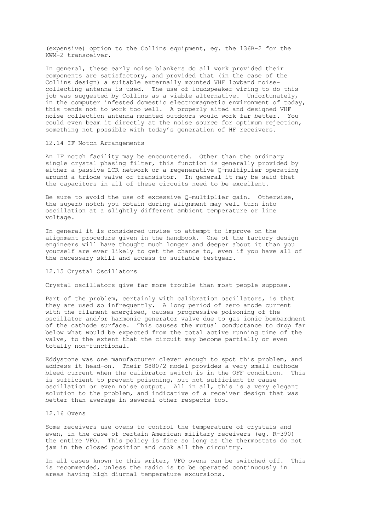(expensive) option to the Collins equipment, eg. the 136B-2 for the KWM-2 transceiver.

In general, these early noise blankers do all work provided their components are satisfactory, and provided that (in the case of the Collins design) a suitable externally mounted VHF lowband noisecollecting antenna is used. The use of loudspeaker wiring to do this job was suggested by Collins as a viable alternative. Unfortunately, in the computer infested domestic electromagnetic environment of today, this tends not to work too well. A properly sited and designed VHF noise collection antenna mounted outdoors would work far better. You could even beam it directly at the noise source for optimum rejection, something not possible with today's generation of HF receivers.

### 12.14 IF Notch Arrangements

An IF notch facility may be encountered. Other than the ordinary single crystal phasing filter, this function is generally provided by either a passive LCR network or a regenerative Q-multiplier operating around a triode valve or transistor. In general it may be said that the capacitors in all of these circuits need to be excellent.

Be sure to avoid the use of excessive  $Q$ -multiplier gain. Otherwise, the superb notch you obtain during alignment may well turn into oscillation at a slightly different ambient temperature or line voltage.

In general it is considered unwise to attempt to improve on the alignment procedure given in the handbook. One of the factory design engineers will have thought much longer and deeper about it than you yourself are ever likely to get the chance to, even if you have all of the necessary skill and access to suitable testgear.

### 12.15 Crystal Oscillators

Crystal oscillators give far more trouble than most people suppose.

Part of the problem, certainly with calibration oscillators, is that they are used so infrequently. A long period of zero anode current with the filament energised, causes progressive poisoning of the oscillator and/or harmonic generator valve due to gas ionic bombardment of the cathode surface. This causes the mutual conductance to drop far below what would be expected from the total active running time of the valve, to the extent that the circuit may become partially or even totally non-functional.

Eddystone was one manufacturer clever enough to spot this problem, and address it head-on. Their S880/2 model provides a very small cathode bleed current when the calibrator switch is in the OFF condition. This is sufficient to prevent poisoning, but not sufficient to cause oscillation or even noise output. All in all, this is a very elegant solution to the problem, and indicative of a receiver design that was better than average in several other respects too.

# 12.16 Ovens

Some receivers use ovens to control the temperature of crystals and even, in the case of certain American military receivers (eg. R-390) the entire VFO. This policy is fine so long as the thermostats do not jam in the closed position and cook all the circuitry.

In all cases known to this writer, VFO ovens can be switched off. This is recommended, unless the radio is to be operated continuously in areas having high diurnal temperature excursions.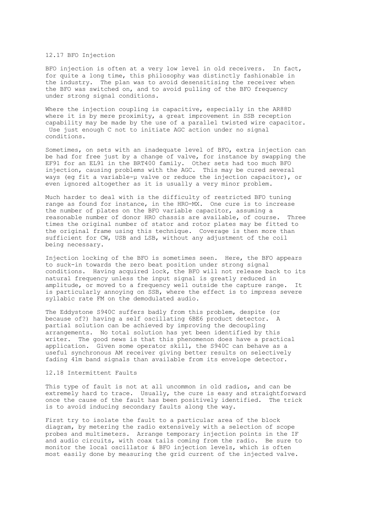## 12.17 BFO Injection

BFO injection is often at a very low level in old receivers. In fact, for quite a long time, this philosophy was distinctly fashionable in the industry. The plan was to avoid desensitising the receiver when the BFO was switched on, and to avoid pulling of the BFO frequency under strong signal conditions.

Where the injection coupling is capacitive, especially in the AR88D where it is by mere proximity, a great improvement in SSB reception capability may be made by the use of a parallel twisted wire capacitor. Use just enough C not to initiate AGC action under no signal conditions.

Sometimes, on sets with an inadequate level of BFO, extra injection can be had for free just by a change of valve, for instance by swapping the EF91 for an EL91 in the BRT400 family. Other sets had too much BFO injection, causing problems with the AGC. This may be cured several ways (eg fit a variable-µ valve or reduce the injection capacitor), or even ignored altogether as it is usually a very minor problem.

Much harder to deal with is the difficulty of restricted BFO tuning range as found for instance, in the HRO-MX. One cure is to increase the number of plates on the BFO variable capacitor, assuming a reasonable number of donor HRO chassis are available, of course. Three times the original number of stator and rotor plates may be fitted to the original frame using this technique. Coverage is then more than sufficient for CW, USB and LSB, without any adjustment of the coil being necessary.

Injection locking of the BFO is sometimes seen. Here, the BFO appears to suck-in towards the zero beat position under strong signal conditions. Having acquired lock, the BFO will not release back to its natural frequency unless the input signal is greatly reduced in amplitude, or moved to a frequency well outside the capture range. It is particularly annoying on SSB, where the effect is to impress severe syllabic rate FM on the demodulated audio.

The Eddystone S940C suffers badly from this problem, despite (or because of?) having a self oscillating 6BE6 product detector. A partial solution can be achieved by improving the decoupling arrangements. No total solution has yet been identified by this writer. The good news is that this phenomenon does have a practical application. Given some operator skill, the S940C can behave as a useful synchronous AM receiver giving better results on selectively fading 41m band signals than available from its envelope detector.

### 12.18 Intermittent Faults

This type of fault is not at all uncommon in old radios, and can be extremely hard to trace. Usually, the cure is easy and straightforward once the cause of the fault has been positively identified. The trick is to avoid inducing secondary faults along the way.

First try to isolate the fault to a particular area of the block diagram, by metering the radio extensively with a selection of scope probes and multimeters. Arrange temporary injection points in the IF and audio circuits, with coax tails coming from the radio. Be sure to monitor the local oscillator & BFO injection levels, which is often most easily done by measuring the grid current of the injected valve.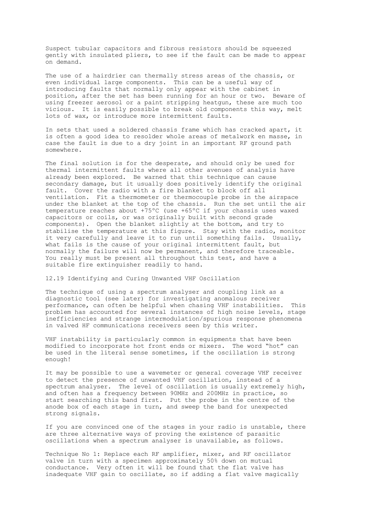Suspect tubular capacitors and fibrous resistors should be squeezed gently with insulated pliers, to see if the fault can be made to appear on demand.

The use of a hairdrier can thermally stress areas of the chassis, or even individual large components. This can be a useful way of introducing faults that normally only appear with the cabinet in position, after the set has been running for an hour or two. Beware of using freezer aerosol or a paint stripping heatgun, these are much too vicious. It is easily possible to break old components this way, melt lots of wax, or introduce more intermittent faults.

In sets that used a soldered chassis frame which has cracked apart, it is often a good idea to resolder whole areas of metalwork en masse, in case the fault is due to a dry joint in an important RF ground path somewhere.

The final solution is for the desperate, and should only be used for thermal intermittent faults where all other avenues of analysis have already been explored. Be warned that this technique can cause secondary damage, but it usually does positively identify the original fault. Cover the radio with a fire blanket to block off all ventilation. Fit a thermometer or thermocouple probe in the airspace under the blanket at the top of the chassis. Run the set until the air temperature reaches about +75ºC (use +65ºC if your chassis uses waxed capacitors or coils, or was originally built with second grade components). Open the blanket slightly at the bottom, and try to stabilise the temperature at this figure. Stay with the radio, monitor it very carefully and leave it to run until something fails. Usually, what fails is the cause of your original intermittent fault, but normally the failure will now be permanent, and therefore traceable. You really must be present all throughout this test, and have a suitable fire extinguisher readily to hand.

12.19 Identifying and Curing Unwanted VHF Oscillation

The technique of using a spectrum analyser and coupling link as a diagnostic tool (see later) for investigating anomalous receiver performance, can often be helpful when chasing VHF instabilities. This problem has accounted for several instances of high noise levels, stage inefficiencies and strange intermodulation/spurious response phenomena in valved HF communications receivers seen by this writer.

VHF instability is particularly common in equipments that have been modified to incorporate hot front ends or mixers. The word "hot" can be used in the literal sense sometimes, if the oscillation is strong enough!

It may be possible to use a wavemeter or general coverage VHF receiver to detect the presence of unwanted VHF oscillation, instead of a spectrum analyser. The level of oscillation is usually extremely high, and often has a frequency between 90MHz and 200MHz in practice, so start searching this band first. Put the probe in the centre of the anode box of each stage in turn, and sweep the band for unexpected strong signals.

If you are convinced one of the stages in your radio is unstable, there are three alternative ways of proving the existence of parasitic oscillations when a spectrum analyser is unavailable, as follows.

Technique No 1: Replace each RF amplifier, mixer, and RF oscillator valve in turn with a specimen approximately 50% down on mutual conductance. Very often it will be found that the flat valve has inadequate VHF gain to oscillate, so if adding a flat valve magically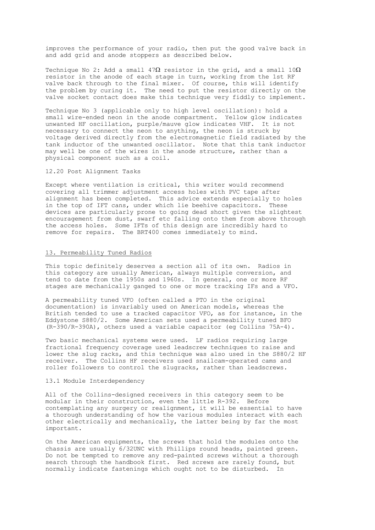improves the performance of your radio, then put the good valve back in and add grid and anode stoppers as described below.

Technique No 2: Add a small 47 $\Omega$  resistor in the grid, and a small 10 $\Omega$ resistor in the anode of each stage in turn, working from the 1st RF valve back through to the final mixer. Of course, this will identify the problem by curing it. The need to put the resistor directly on the valve socket contact does make this technique very fiddly to implement.

Technique No 3 (applicable only to high level oscillation): hold a small wire-ended neon in the anode compartment. Yellow glow indicates unwanted HF oscillation, purple/mauve glow indicates VHF. It is not necessary to connect the neon to anything, the neon is struck by voltage derived directly from the electromagnetic field radiated by the tank inductor of the unwanted oscillator. Note that this tank inductor may well be one of the wires in the anode structure, rather than a physical component such as a coil.

12.20 Post Alignment Tasks

Except where ventilation is critical, this writer would recommend covering all trimmer adjustment access holes with PVC tape after alignment has been completed. This advice extends especially to holes in the top of IFT cans, under which lie beehive capacitors. These devices are particularly prone to going dead short given the slightest encouragement from dust, swarf etc falling onto them from above through the access holes. Some IFTs of this design are incredibly hard to remove for repairs. The BRT400 comes immediately to mind.

## 13. Permeability Tuned Radios

This topic definitely deserves a section all of its own. Radios in this category are usually American, always multiple conversion, and tend to date from the 1950s and 1960s. In general, one or more RF stages are mechanically ganged to one or more tracking IFs and a VFO.

A permeability tuned VFO (often called a PTO in the original documentation) is invariably used on American models, whereas the British tended to use a tracked capacitor VFO, as for instance, in the Eddystone S880/2. Some American sets used a permeability tuned BFO (R-390/R-390A), others used a variable capacitor (eg Collins 75A-4).

Two basic mechanical systems were used. LF radios requiring large fractional frequency coverage used leadscrew techniques to raise and lower the slug racks, and this technique was also used in the S880/2 HF receiver. The Collins HF receivers used snailcam-operated cams and roller followers to control the slugracks, rather than leadscrews.

#### 13.1 Module Interdependency

All of the Collins-designed receivers in this category seem to be modular in their construction, even the little R-392. Before contemplating any surgery or realignment, it will be essential to have a thorough understanding of how the various modules interact with each other electrically and mechanically, the latter being by far the most important.

On the American equipments, the screws that hold the modules onto the chassis are usually 6/32UNC with Phillips round heads, painted green. Do not be tempted to remove any red-painted screws without a thorough search through the handbook first. Red screws are rarely found, but normally indicate fastenings which ought not to be disturbed. In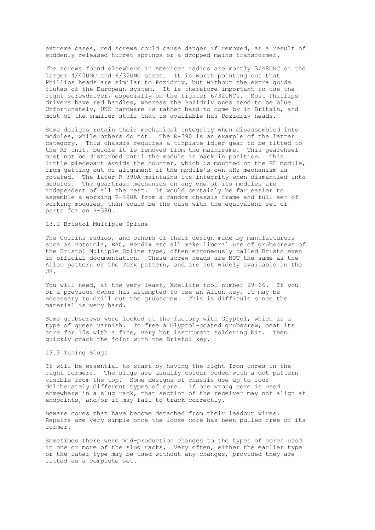extreme cases, red screws could cause danger if removed, as a result of suddenly released turret springs or a dropped mains transformer.

The screws found elsewhere in American radios are mostly 3/48UNC or the larger 4/40UNC and 6/32UNC sizes. It is worth pointing out that Phillips heads are similar to Pozidriv, but without the extra guide flutes of the European system. It is therefore important to use the right screwdriver, especially on the tighter 6/32UNCs. Most Phillips drivers have red handles, whereas the Pozidriv ones tend to be blue. Unfortunately, UNC hardware is rather hard to come by in Britain, and most of the smaller stuff that is available has Pozidriv heads.

Some designs retain their mechanical integrity when disassembled into modules, while others do not. The R-390 is an example of the latter category. This chassis requires a tinplate idler gear to be fitted to the RF unit, before it is removed from the mainframe. This gearwheel must not be disturbed until the module is back in position. This little piecepart avoids the counter, which is mounted on the RF module, from getting out of alignment if the module's own kHz mechanism is rotated. The later R-390A maintains its integrity when dismantled into modules. The geartrain mechanics on any one of its modules are independent of all the rest. It would certainly be far easier to assemble a working R-390A from a random chassis frame and full set of working modules, than would be the case with the equivalent set of parts for an R-390.

### 13.2 Bristol Multiple Spline

The Collins radios, and others of their design made by manufacturers such as Motorola, EAC, Bendix etc all make liberal use of grubscrews of the Bristol Multiple Spline type, often erroneously called Bristo even in official documentation. These screw heads are NOT the same as the Allen pattern or the Torx pattern, and are not widely available in the UK.

You will need, at the very least, Xcellite tool number 99-66. If you or a previous owner has attempted to use an Allen key, it may be necessary to drill out the grubscrew. This is difficult since the material is very hard.

Some grubscrews were locked at the factory with Glyptol, which is a type of green varnish. To free a Glyptol-coated grubscrew, heat its core for 10s with a fine, very hot instrument soldering bit. Then quickly crack the joint with the Bristol key.

#### 13.3 Tuning Slugs

It will be essential to start by having the right Iron cores in the right formers. The slugs are usually colour coded with a dot pattern visible from the top. Some designs of chassis use up to four deliberately different types of core. If one wrong core is used somewhere in a slug rack, that section of the receiver may not align at endpoints, and/or it may fail to track correctly.

Beware cores that have become detached from their leadout wires. Repairs are very simple once the loose core has been pulled free of its former.

Sometimes there were mid-production changes to the types of cores used in one or more of the slug racks. Very often, either the earlier type or the later type may be used without any changes, provided they are fitted as a complete set.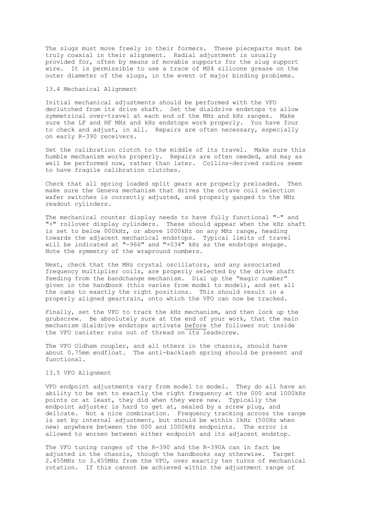The slugs must move freely in their formers. These pieceparts must be truly coaxial in their alignment. Radial adjustment is usually provided for, often by means of movable supports for the slug support wire. It is permissible to use a trace of MS4 silicone grease on the outer diameter of the slugs, in the event of major binding problems.

### 13.4 Mechanical Alignment

Initial mechanical adjustments should be performed with the VFO declutched from its drive shaft. Set the dialdrive endstops to allow symmetrical over-travel at each end of the MHz and kHz ranges. Make sure the LF and HF MHz and kHz endstops work properly. You have four to check and adjust, in all. Repairs are often necessary, especially on early R-390 receivers.

Set the calibration clutch to the middle of its travel. Make sure this humble mechanism works properly. Repairs are often needed, and may as well be performed now, rather than later. Collins-derived radios seem to have fragile calibration clutches.

Check that all spring loaded split gears are properly preloaded. Then make sure the Geneva mechanism that drives the octave coil selection wafer switches is correctly adjusted, and properly ganged to the MHz readout cylinders.

The mechanical counter display needs to have fully functional "-" and "+" rollover display cylinders. These should appear when the kHz shaft is set to below 000kHz, or above 1000kHz on any MHz range, heading towards the adjacent mechanical endstops. Typical limits of travel will be indicated at "-966" and "+034" kHz as the endstops engage. Note the symmetry of the wrapround numbers.

Next, check that the MHz crystal oscillators, and any associated frequency multiplier coils, are properly selected by the drive shaft feeding from the bandchange mechanism. Dial up the "magic number" given in the handbook (this varies from model to model), and set all the cams to exactly the right positions. This should result in a properly aligned geartrain, onto which the VFO can now be tracked.

Finally, set the VFO to track the kHz mechanism, and then lock up the grubscrew. Be absolutely sure at the end of your work, that the main mechanism dialdrive endstops activate before the follower nut inside the VFO canister runs out of thread on its leadscrew.

The VFO Oldham coupler, and all others in the chassis, should have about 0.75mm endfloat. The anti-backlash spring should be present and functional.

### 13.5 VFO Alignment

VFO endpoint adjustments vary from model to model. They do all have an ability to be set to exactly the right frequency at the 000 and 1000kHz points or at least, they did when they were new. Typically the endpoint adjuster is hard to get at, sealed by a screw plug, and delicate. Not a nice combination. Frequency tracking across the range is set by internal adjustment, but should be within 1kHz (500Hz when new) anywhere between the 000 and 1000kHz endpoints. The error is allowed to worsen between either endpoint and its adjacent endstop.

The VFO tuning ranges of the R-390 and the R-390A can in fact be adjusted in the chassis, though the handbooks say otherwise. Target 2.455MHz to 3.455MHz from the VFO, over exactly ten turns of mechanical rotation. If this cannot be achieved within the adjustment range of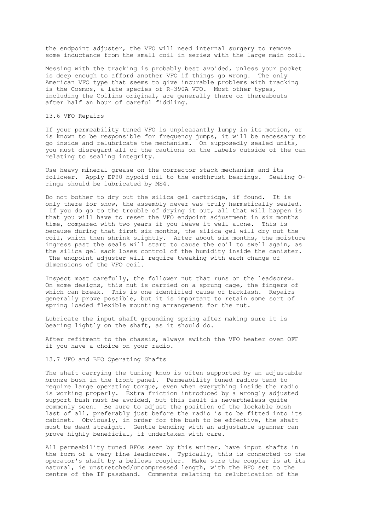the endpoint adjuster, the VFO will need internal surgery to remove some inductance from the small coil in series with the large main coil.

Messing with the tracking is probably best avoided, unless your pocket is deep enough to afford another VFO if things go wrong. The only American VFO type that seems to give incurable problems with tracking is the Cosmos, a late species of R-390A VFO. Most other types, including the Collins original, are generally there or thereabouts after half an hour of careful fiddling.

13.6 VFO Repairs

If your permeability tuned VFO is unpleasantly lumpy in its motion, or is known to be responsible for frequency jumps, it will be necessary to go inside and relubricate the mechanism. On supposedly sealed units, you must disregard all of the cautions on the labels outside of the can relating to sealing integrity.

Use heavy mineral grease on the corrector stack mechanism and its follower. Apply EP90 hypoid oil to the endthrust bearings. Sealing Orings should be lubricated by MS4.

Do not bother to dry out the silica gel cartridge, if found. It is only there for show, the assembly never was truly hermetically sealed. If you do go to the trouble of drying it out, all that will happen is that you will have to reset the VFO endpoint adjustment in six months time, compared with two years if you leave it well alone. This is because during that first six months, the silica gel will dry out the coil, which then shrink slightly. After about six months, the moisture ingress past the seals will start to cause the coil to swell again, as the silica gel sack loses control of the humidity inside the canister. The endpoint adjuster will require tweaking with each change of dimensions of the VFO coil.

Inspect most carefully, the follower nut that runs on the leadscrew. On some designs, this nut is carried on a sprung cage, the fingers of which can break. This is one identified cause of backlash. Repairs generally prove possible, but it is important to retain some sort of spring loaded flexible mounting arrangement for the nut.

Lubricate the input shaft grounding spring after making sure it is bearing lightly on the shaft, as it should do.

After refitment to the chassis, always switch the VFO heater oven OFF if you have a choice on your radio.

# 13.7 VFO and BFO Operating Shafts

The shaft carrying the tuning knob is often supported by an adjustable bronze bush in the front panel. Permeability tuned radios tend to require large operating torque, even when everything inside the radio is working properly. Extra friction introduced by a wrongly adjusted support bush must be avoided, but this fault is nevertheless quite commonly seen. Be sure to adjust the position of the lockable bush last of all, preferably just before the radio is to be fitted into its cabinet. Obviously, in order for the bush to be effective, the shaft must be dead straight. Gentle bending with an adjustable spanner can prove highly beneficial, if undertaken with care.

All permeability tuned BFOs seen by this writer, have input shafts in the form of a very fine leadscrew. Typically, this is connected to the operator's shaft by a bellows coupler. Make sure the coupler is at its natural, ie unstretched/uncompressed length, with the BFO set to the centre of the IF passband. Comments relating to relubrication of the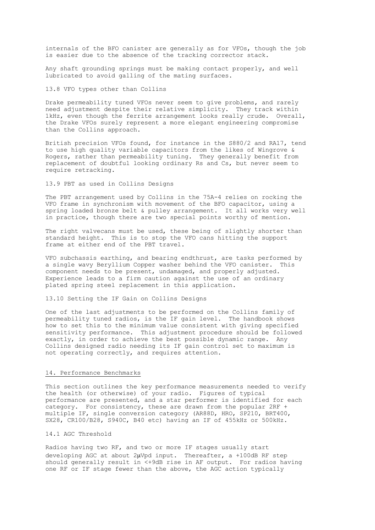internals of the BFO canister are generally as for VFOs, though the job is easier due to the absence of the tracking corrector stack.

Any shaft grounding springs must be making contact properly, and well lubricated to avoid galling of the mating surfaces.

13.8 VFO types other than Collins

Drake permeability tuned VFOs never seem to give problems, and rarely need adjustment despite their relative simplicity. They track within 1kHz, even though the ferrite arrangement looks really crude. Overall, the Drake VFOs surely represent a more elegant engineering compromise than the Collins approach.

British precision VFOs found, for instance in the S880/2 and RA17, tend to use high quality variable capacitors from the likes of Wingrove & Rogers, rather than permeability tuning. They generally benefit from replacement of doubtful looking ordinary Rs and Cs, but never seem to require retracking.

13.9 PBT as used in Collins Designs

The PBT arrangement used by Collins in the 75A-4 relies on rocking the VFO frame in synchronism with movement of the BFO capacitor, using a spring loaded bronze belt & pulley arrangement. It all works very well in practice, though there are two special points worthy of mention.

The right valvecans must be used, these being of slightly shorter than standard height. This is to stop the VFO cans hitting the support frame at either end of the PBT travel.

VFO subchassis earthing, and bearing endthrust, are tasks performed by a single wavy Beryllium Copper washer behind the VFO canister. This component needs to be present, undamaged, and properly adjusted. Experience leads to a firm caution against the use of an ordinary plated spring steel replacement in this application.

13.10 Setting the IF Gain on Collins Designs

One of the last adjustments to be performed on the Collins family of permeability tuned radios, is the IF gain level. The handbook shows how to set this to the minimum value consistent with giving specified sensitivity performance. This adjustment procedure should be followed exactly, in order to achieve the best possible dynamic range. Any Collins designed radio needing its IF gain control set to maximum is not operating correctly, and requires attention.

#### 14. Performance Benchmarks

This section outlines the key performance measurements needed to verify the health (or otherwise) of your radio. Figures of typical performance are presented, and a star performer is identified for each category. For consistency, these are drawn from the popular 2RF + multiple IF, single conversion category (AR88D, HRO, SP210, BRT400, SX28, CR100/B28, S940C, B40 etc) having an IF of 455kHz or 500kHz.

14.1 AGC Threshold

Radios having two RF, and two or more IF stages usually start developing AGC at about  $2\mu Vpd$  input. Thereafter, a +100dB RF step should generally result in <+9dB rise in AF output. For radios having one RF or IF stage fewer than the above, the AGC action typically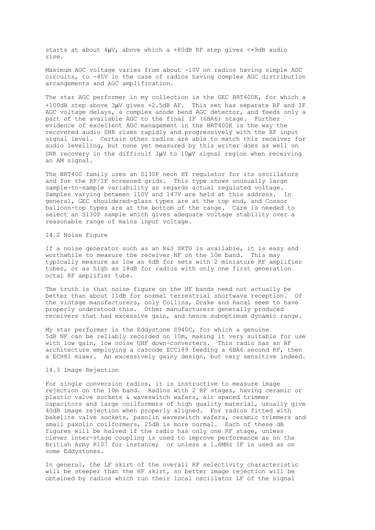starts at about  $4\mu$ V, above which a +80dB RF step gives <+9dB audio rise.

Maximum AGC voltage varies from about -10V on radios having simple AGC circuits, to -45V in the case of radios having complex AGC distribution arrangements and AGC amplification.

The star AGC performer in my collection is the GEC BRT400K, for which a +100dB step above 3µV gives +2.5dB AF. This set has separate RF and IF AGC voltage delays, a complex anode bend AGC detector, and feeds only a part of the available AGC to the final IF (6BA6) stage. Further evidence of excellent AGC management in the BRT400K is the way the recovered audio SNR rises rapidly and progressively with the RF input signal level. Certain other radios are able to match this receiver for audio levelling, but none yet measured by this writer does as well on SNR recovery in the difficult  $1\mu$ V to  $10\mu$ V signal region when receiving an AM signal.

The BRT400 family uses an S130P neon HT regulator for its oscillators and for the RF/IF screened grids. This type shows unusually large sample-to-sample variability as regards actual regulated voltage. Samples varying between 110V and 147V are held at this address. In general, GEC shouldered-glass types are at the top end, and Cossor balloon-top types are at the bottom of the range. Care is needed to select an S130P sample which gives adequate voltage stability over a reasonable range of mains input voltage.

#### 14.2 Noise Figure

If a noise generator such as an R&S SKTU is available, it is easy and worthwhile to measure the receiver NF on the 10m band. This may typically measure as low as 6dB for sets with 2 miniature RF amplifier tubes, or as high as 18dB for radios with only one first generation octal RF amplifier tube.

The truth is that noise figure on the HF bands need not actually be better than about 11dB for normal terrestrial shortwave reception. Of the vintage manufacturers, only Collins, Drake and Racal seem to have properly understood this. Other manufacturers generally produced receivers that had excessive gain, and hence suboptimum dynamic range.

My star performer is the Eddystone S940C, for which a genuine 5dB NF can be reliably recorded on 10m, making it very suitable for use with low gain, low noise UHF down-converters. This radio has an RF architecture employing a cascode ECC189 feeding a 6BA6 second RF, then a ECH81 mixer. An excessively gainy design, but very sensitive indeed.

### 14.3 Image Rejection

For single conversion radios, it is instructive to measure image rejection on the 10m band. Radios with 2 RF stages, having ceramic or plastic valve sockets & waveswitch wafers, air spaced trimmer capacitors and large coilformers of high quality material, usually give 40dB image rejection when properly aligned. For radios fitted with bakelite valve sockets, paxolin waveswitch wafers, ceramic trimmers and small paxolin coilformers, 25dB is more normal. Each of these dB figures will be halved if the radio has only one RF stage, unless clever inter-stage coupling is used to improve performance as on the British Army R107 for instance; or unless a 1.6MHz IF is used as on some Eddystones.

In general, the LF skirt of the overall RF selectivity characteristic will be steeper than the HF skirt, so better image rejection will be obtained by radios which run their local oscillator LF of the signal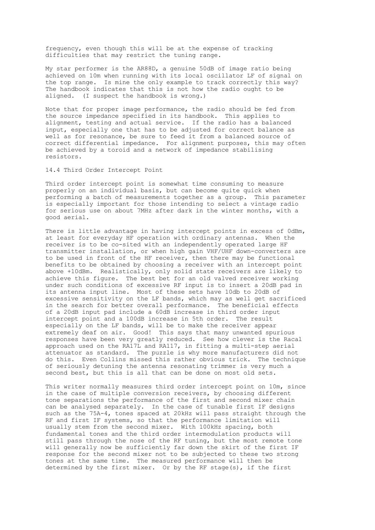frequency, even though this will be at the expense of tracking difficulties that may restrict the tuning range.

My star performer is the AR88D, a genuine 50dB of image ratio being achieved on 10m when running with its local oscillator LF of signal on the top range. Is mine the only example to track correctly this way? The handbook indicates that this is not how the radio ought to be aligned. (I suspect the handbook is wrong.)

Note that for proper image performance, the radio should be fed from the source impedance specified in its handbook. This applies to alignment, testing and actual service. If the radio has a balanced input, especially one that has to be adjusted for correct balance as well as for resonance, be sure to feed it from a balanced source of correct differential impedance. For alignment purposes, this may often be achieved by a toroid and a network of impedance stabilising resistors.

14.4 Third Order Intercept Point

Third order intercept point is somewhat time consuming to measure properly on an individual basis, but can become quite quick when performing a batch of measurements together as a group. This parameter is especially important for those intending to select a vintage radio for serious use on about 7MHz after dark in the winter months, with a good aerial.

There is little advantage in having intercept points in excess of 0dBm, at least for everyday HF operation with ordinary antennas. When the receiver is to be co-sited with an independently operated large HF transmitter installation, or when high gain VHF/UHF down-converters are to be used in front of the HF receiver, then there may be functional benefits to be obtained by choosing a receiver with an intercept point above +10dBm. Realistically, only solid state receivers are likely to achieve this figure. The best bet for an old valved receiver working under such conditions of excessive RF input is to insert a 20dB pad in its antenna input line. Most of these sets have 10db to 20dB of excessive sensitivity on the LF bands, which may as well get sacrificed in the search for better overall performance. The beneficial effects of a 20dB input pad include a 60dB increase in third order input intercept point and a 100dB increase in 5th order. The result especially on the LF bands, will be to make the receiver appear extremely deaf on air. Good! This says that many unwanted spurious responses have been very greatly reduced. See how clever is the Racal approach used on the RA17L and RA117, in fitting a multi-step aerial attenuator as standard. The puzzle is why more manufacturers did not do this. Even Collins missed this rather obvious trick. The technique of seriously detuning the antenna resonating trimmer is very much a second best, but this is all that can be done on most old sets.

This writer normally measures third order intercept point on 10m, since in the case of multiple conversion receivers, by choosing different tone separations the performance of the first and second mixer chain can be analysed separately. In the case of tunable first IF designs such as the 75A-4, tones spaced at 20kHz will pass straight through the RF and first IF systems, so that the performance limitation will usually stem from the second mixer. With 100kHz spacing, both fundamental tones and the third order intermodulation products will still pass through the nose of the RF tuning, but the most remote tone will generally now be sufficiently far down the skirt of the first IF response for the second mixer not to be subjected to these two strong tones at the same time. The measured performance will then be determined by the first mixer. Or by the RF stage(s), if the first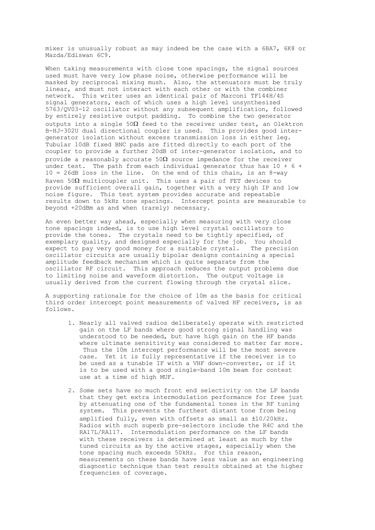mixer is unusually robust as may indeed be the case with a 6BA7, 6K8 or Mazda/Ediswan 6C9.

When taking measurements with close tone spacings, the signal sources used must have very low phase noise, otherwise performance will be masked by reciprocal mixing mush. Also, the attenuators must be truly linear, and must not interact with each other or with the combiner network. This writer uses an identical pair of Marconi TF144H/4S signal generators, each of which uses a high level unsynthesized 5763/QV03-12 oscillator without any subsequent amplification, followed by entirely resistive output padding. To combine the two generator outputs into a single  $50\Omega$  feed to the receiver under test, an Olektron B-HJ-302U dual directional coupler is used. This provides good intergenerator isolation without excess transmission loss in either leg. Tubular 10dB fixed BNC pads are fitted directly to each port of the coupler to provide a further 20dB of inter-generator isolation, and to provide a reasonably accurate  $50\Omega$  source impedance for the receiver under test. The path from each individual generator thus has 10 + 6 + 10 = 26dB loss in the line. On the end of this chain, is an 8-way Raven  $50\Omega$  multicoupler unit. This uses a pair of FET devices to provide sufficient overall gain, together with a very high IP and low noise figure. This test system provides accurate and repeatable results down to 5kHz tone spacings. Intercept points are measurable to beyond +20dBm as and when (rarely) necessary.

An even better way ahead, especially when measuring with very close tone spacings indeed, is to use high level crystal oscillators to provide the tones. The crystals need to be tightly specified, of exemplary quality, and designed especially for the job. You should expect to pay very good money for a suitable crystal. The precision oscillator circuits are usually bipolar designs containing a special amplitude feedback mechanism which is quite separate from the oscillator RF circuit. This approach reduces the output problems due to limiting noise and waveform distortion. The output voltage is usually derived from the current flowing through the crystal slice.

A supporting rationale for the choice of 10m as the basis for critical third order intercept point measurements of valved HF receivers, is as follows.

- 1. Nearly all valved radios deliberately operate with restricted gain on the LF bands where good strong signal handling was understood to be needed, but have high gain on the HF bands where ultimate sensitivity was considered to matter far more. Thus the 10m intercept performance will be the most severe case. Yet it is fully representative if the receiver is to be used as a tunable IF with a VHF down-converter, or if it is to be used with a good single-band 10m beam for contest use at a time of high MUF.
- 2. Some sets have so much front end selectivity on the LF bands that they get extra intermodulation performance for free just by attenuating one of the fundamental tones in the RF tuning system. This prevents the furthest distant tone from being amplified fully, even with offsets as small as ±10/20kHz. Radios with such superb pre-selectors include the R4C and the RA17L/RA117. Intermodulation performance on the LF bands with these receivers is determined at least as much by the tuned circuits as by the active stages, especially when the tone spacing much exceeds 50kHz. For this reason, measurements on these bands have less value as an engineering diagnostic technique than test results obtained at the higher frequencies of coverage.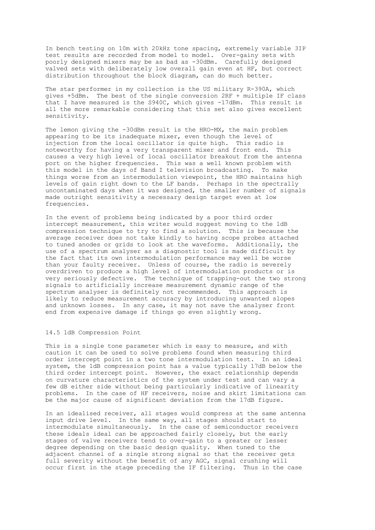In bench testing on 10m with 20kHz tone spacing, extremely variable 3IP test results are recorded from model to model. Over-gainy sets with poorly designed mixers may be as bad as -30dBm. Carefully designed valved sets with deliberately low overall gain even at HF, but correct distribution throughout the block diagram, can do much better.

The star performer in my collection is the US military R-390A, which gives +5dBm. The best of the single conversion 2RF + multiple IF class that I have measured is the S940C, which gives -17dBm. This result is all the more remarkable considering that this set also gives excellent sensitivity.

The lemon giving the -30dBm result is the HRO-MX, the main problem appearing to be its inadequate mixer, even though the level of injection from the local oscillator is quite high. This radio is noteworthy for having a very transparent mixer and front end. This causes a very high level of local oscillator breakout from the antenna port on the higher frequencies. This was a well known problem with this model in the days of Band I television broadcasting. To make things worse from an intermodulation viewpoint, the HRO maintains high levels of gain right down to the LF bands. Perhaps in the spectrally uncontaminated days when it was designed, the smaller number of signals made outright sensitivity a necessary design target even at low frequencies.

In the event of problems being indicated by a poor third order intercept measurement, this writer would suggest moving to the 1dB compression technique to try to find a solution. This is because the average receiver does not take kindly to having scope probes attached to tuned anodes or grids to look at the waveforms. Additionally, the use of a spectrum analyser as a diagnostic tool is made difficult by the fact that its own intermodulation performance may well be worse than your faulty receiver. Unless of course, the radio is severely overdriven to produce a high level of intermodulation products or is very seriously defective. The technique of trapping-out the two strong signals to artificially increase measurement dynamic range of the spectrum analyser is definitely not recommended. This approach is likely to reduce measurement accuracy by introducing unwanted slopes and unknown losses. In any case, it may not save the analyser front end from expensive damage if things go even slightly wrong.

# 14.5 1dB Compression Point

This is a single tone parameter which is easy to measure, and with caution it can be used to solve problems found when measuring third order intercept point in a two tone intermodulation test. In an ideal system, the 1dB compression point has a value typically 17dB below the third order intercept point. However, the exact relationship depends on curvature characteristics of the system under test and can vary a few dB either side without being particularly indicative of linearity problems. In the case of HF receivers, noise and skirt limitations can be the major cause of significant deviation from the 17dB figure.

In an idealised receiver, all stages would compress at the same antenna input drive level. In the same way, all stages should start to intermodulate simultaneously. In the case of semiconductor receivers these ideals ideal can be approached fairly closely, but the early stages of valve receivers tend to over-gain to a greater or lesser degree depending on the basic design quality. When tuned to the adjacent channel of a single strong signal so that the receiver gets full severity without the benefit of any AGC, signal crushing will occur first in the stage preceding the IF filtering. Thus in the case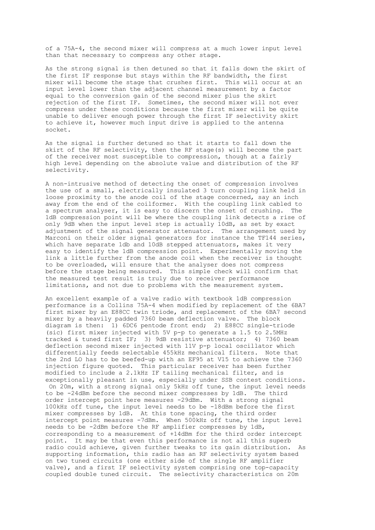of a 75A-4, the second mixer will compress at a much lower input level than that necessary to compress any other stage.

As the strong signal is then detuned so that it falls down the skirt of the first IF response but stays within the RF bandwidth, the first mixer will become the stage that crushes first. This will occur at an input level lower than the adjacent channel measurement by a factor equal to the conversion gain of the second mixer plus the skirt rejection of the first IF. Sometimes, the second mixer will not ever compress under these conditions because the first mixer will be quite unable to deliver enough power through the first IF selectivity skirt to achieve it, however much input drive is applied to the antenna socket.

As the signal is further detuned so that it starts to fall down the skirt of the RF selectivity, then the RF stage(s) will become the part of the receiver most susceptible to compression, though at a fairly high level depending on the absolute value and distribution of the RF selectivity.

A non-intrusive method of detecting the onset of compression involves the use of a small, electrically insulated 3 turn coupling link held in loose proximity to the anode coil of the stage concerned, say an inch away from the end of the coilformer. With the coupling link cabled to a spectrum analyser, it is easy to discern the onset of crushing. The 1dB compression point will be where the coupling link detects a rise of only 9dB when the input level step is actually 10dB, as set by exact adjustment of the signal generator attenuator. The arrangement used by Marconi on their older signal generators for instance the TF144 series, which have separate 1db and 10dB stepped attenuators, makes it very easy to identify the 1dB compression point. Experimentally moving the link a little further from the anode coil when the receiver is thought to be overloaded, will ensure that the analyser does not compress before the stage being measured. This simple check will confirm that the measured test result is truly due to receiver performance limitations, and not due to problems with the measurement system.

An excellent example of a valve radio with textbook 1dB compression performance is a Collins 75A-4 when modified by replacement of the 6BA7 first mixer by an E88CC twin triode, and replacement of the 6BA7 second mixer by a heavily padded 7360 beam deflection valve. The block diagram is then: 1) 6DC6 pentode front end; 2) E88CC single-triode (sic) first mixer injected with 5V p-p to generate a 1.5 to 2.5MHz tracked & tuned first IF; 3) 9dB resistive attenuator; 4) 7360 beam deflection second mixer injected with 11V p-p local oscillator which differentially feeds selectable 455kHz mechanical filters. Note that the 2nd LO has to be beefed-up with an EF95 at V15 to achieve the 7360 injection figure quoted. This particular receiver has been further modified to include a 2.1kHz IF tailing mechanical filter, and is exceptionally pleasant in use, especially under SSB contest conditions. On 20m, with a strong signal only 5kHz off tune, the input level needs to be -24dBm before the second mixer compresses by 1dB. The third order intercept point here measures -29dBm. With a strong signal 100kHz off tune, the input level needs to be -18dBm before the first mixer compresses by 1dB. At this tone spacing, the third order intercept point measures -7dBm. When 500kHz off tune, the input level needs to be -2dBm before the RF amplifier compresses by 1dB, corresponding to a measurement of +14dBm for the third order intercept point. It may be that even this performance is not all this superb radio could achieve, given further tweaks to its gain distribution. As supporting information, this radio has an RF selectivity system based on two tuned circuits (one either side of the single RF amplifier valve), and a first IF selectivity system comprising one top-capacity coupled double tuned circuit. The selectivity characteristics on 20m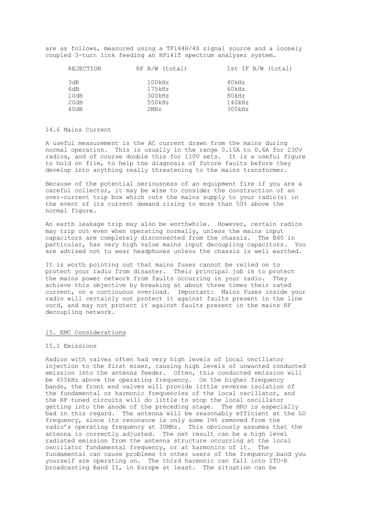are as follows, measured using a TF144H/4S signal source and a loosely coupled 3-turn link feeding an HP141T spectrum analyser system.

| REJECTION | RF B/W (total) | 1st IF B/W (total) |
|-----------|----------------|--------------------|
| 3dB       | 100kHz         | 40kHz              |
| 6dB       | 175kHz         | 60kHz              |
| 10dB      | 300kHz         | 80kHz              |
| 20dB      | 550kHz         | 140kHz             |
| 40dB      | 2MHz           | 300kHz             |

#### 14.6 Mains Current

A useful measurement is the AC current drawn from the mains during normal operation. This is usually in the range 0.15A to 0.6A for 230V radios, and of course double this for 110V sets. It is a useful figure to hold on file, to help the diagnosis of future faults before they develop into anything really threatening to the mains transformer.

Because of the potential seriousness of an equipment fire if you are a careful collector, it may be wise to consider the construction of an over-current trip box which cuts the mains supply to your radio(s) in the event of its current demand rising to more than 50% above the normal figure.

An earth leakage trip may also be worthwhile. However, certain radios may trip out even when operating normally, unless the mains input capacitors are completely disconnected from the chassis. The B40 in particular, has very high value mains input decoupling capacitors. You are advised not to wear headphones unless the chassis is well earthed.

It is worth pointing out that mains fuses cannot be relied on to protect your radio from disaster. Their principal job is to protect the mains power network from faults occurring in your radio. They achieve this objective by breaking at about three times their rated current, on a continuous overload. Important: Mains fuses inside your radio will certainly not protect it against faults present in the line cord, and may not protect it against faults present in the mains RF decoupling network.

#### 15. EMC Considerations

#### 15.1 Emissions

Radios with valves often had very high levels of local oscillator injection to the first mixer, causing high levels of unwanted conducted emission into the antenna feeder. Often, this conducted emission will be 455kHz above the operating frequency. On the higher frequency bands, the front end valves will provide little reverse isolation of the fundamental or harmonic frequencies of the local oscillator, and the RF tuned circuits will do little to stop the local oscillator getting into the anode of the preceding stage. The HRO is especially bad in this regard. The antenna will be reasonably efficient at the LO frequency, since its resonance is only some  $1\frac{1}{2}$  removed from the radio's operating frequency at 30MHz. This obviously assumes that the antenna is correctly adjusted. The net result can be a high level radiated emission from the antenna structure occurring at the local oscillator fundamental frequency, or at harmonics of it. The fundamental can cause problems to other users of the frequency band you yourself are operating on. The third harmonic can fall into ITU-R broadcasting Band II, in Europe at least. The situation can be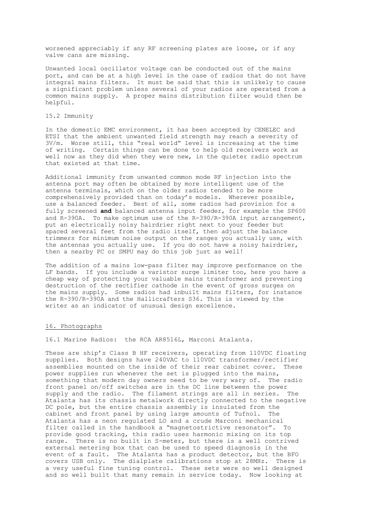worsened appreciably if any RF screening plates are loose, or if any valve cans are missing.

Unwanted local oscillator voltage can be conducted out of the mains port, and can be at a high level in the case of radios that do not have integral mains filters. It must be said that this is unlikely to cause a significant problem unless several of your radios are operated from a common mains supply. A proper mains distribution filter would then be helpful.

15.2 Immunity

In the domestic EMC environment, it has been accepted by CENELEC and ETSI that the ambient unwanted field strength may reach a severity of 3V/m. Worse still, this "real world" level is increasing at the time of writing. Certain things can be done to help old receivers work as well now as they did when they were new, in the quieter radio spectrum that existed at that time.

Additional immunity from unwanted common mode RF injection into the antenna port may often be obtained by more intelligent use of the antenna terminals, which on the older radios tended to be more comprehensively provided than on today's models. Wherever possible, use a balanced feeder. Best of all, some radios had provision for a fully screened **and** balanced antenna input feeder, for example the SP600 and R-390A. To make optimum use of the R-390/R-390A input arrangement, put an electrically noisy hairdrier right next to your feeder but spaced several feet from the radio itself, then adjust the balance trimmers for minimum noise output on the ranges you actually use, with the antennas you actually use. If you do not have a noisy hairdrier, then a nearby PC or SMPU may do this job just as well!

The addition of a mains low-pass filter may improve performance on the LF bands. If you include a varistor surge limiter too, here you have a cheap way of protecting your valuable mains transformer and preventing destruction of the rectifier cathode in the event of gross surges on the mains supply. Some radios had inbuilt mains filters, for instance the R-390/R-390A and the Hallicrafters S36. This is viewed by the writer as an indicator of unusual design excellence.

# 16. Photographs

16.1 Marine Radios: the RCA AR8516L, Marconi Atalanta.

These are ship's Class B HF receivers, operating from 110VDC floating supplies. Both designs have 240VAC to 110VDC transformer/rectifier assemblies mounted on the inside of their rear cabinet cover. These power supplies run whenever the set is plugged into the mains, something that modern day owners need to be very wary of. The radio front panel on/off switches are in the DC line between the power supply and the radio. The filament strings are all in series. The Atalanta has its chassis metalwork directly connected to the negative DC pole, but the entire chassis assembly is insulated from the cabinet and front panel by using large amounts of Tufnol. The Atalanta has a neon regulated LO and a crude Marconi mechanical filter called in the handbook a "magnetostrictive resonator". To provide good tracking, this radio uses harmonic mixing on its top range. There is no built in S-meter, but there is a well contrived external metering box that can be used to speed diagnosis in the event of a fault. The Atalanta has a product detector, but the BFO covers USB only. The dialplate calibrations stop at 28MHz. There is a very useful fine tuning control. These sets were so well designed and so well built that many remain in service today. Now looking at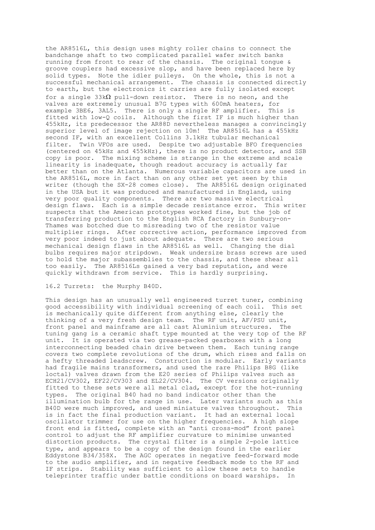the AR8516L, this design uses mighty roller chains to connect the bandchange shaft to two complicated parallel wafer switch banks running from front to rear of the chassis. The original tongue & groove couplers had excessive slop, and have been replaced here by solid types. Note the idler pulleys. On the whole, this is not a successful mechanical arrangement. The chassis is connected directly to earth, but the electronics it carries are fully isolated except for a single 33k $\Omega$  pull-down resistor. There is no neon, and the valves are extremely unusual B7G types with 600mA heaters, for example 3BE6, 3AL5. There is only a single RF amplifier. This is fitted with low-Q coils. Although the first IF is much higher than 455kHz, its predecessor the AR88D nevertheless manages a convincingly superior level of image rejection on 10m! The AR8516L has a 455kHz second IF, with an excellent Collins 3.1kHz tubular mechanical filter. Twin VFOs are used. Despite two adjustable BFO frequencies (centered on 45kHz and 455kHz), there is no product detector, and SSB copy is poor. The mixing scheme is strange in the extreme and scale linearity is inadequate, though readout accuracy is actually far better than on the Atlanta. Numerous variable capacitors are used in the AR8516L, more in fact than on any other set yet seen by this writer (though the SX-28 comes close). The AR8516L design originated in the USA but it was produced and manufactured in England, using very poor quality components. There are two massive electrical design flaws. Each is a simple decade resistance error. This writer suspects that the American prototypes worked fine, but the job of transferring production to the English RCA factory in Sunbury-on-Thames was botched due to misreading two of the resistor value multiplier rings. After corrective action, performance improved from very poor indeed to just about adequate. There are two serious mechanical design flaws in the AR8516L as well. Changing the dial bulbs requires major stripdown. Weak undersize brass screws are used to hold the major subassemblies to the chassis, and these shear all too easily. The AR8516Ls gained a very bad reputation, and were quickly withdrawn from service. This is hardly surprising.

# 16.2 Turrets: the Murphy B40D.

This design has an unusually well engineered turret tuner, combining good accessibility with individual screening of each coil. This set is mechanically quite different from anything else, clearly the thinking of a very fresh design team. The RF unit, AF/PSU unit, front panel and mainframe are all cast Aluminium structures. The tuning gang is a ceramic shaft type mounted at the very top of the RF unit. It is operated via two grease-packed gearboxes with a long interconnecting beaded chain drive between them. Each tuning range covers two complete revolutions of the drum, which rises and falls on a hefty threaded leadscrew. Construction is modular. Early variants had fragile mains transformers, and used the rare Philips B8G (like loctal) valves drawn from the E20 series of Philips valves such as ECH21/CV302, EF22/CV303 and EL22/CV304. The CV versions originally fitted to these sets were all metal clad, except for the hot-running types. The original B40 had no band indicator other than the illumination bulb for the range in use. Later variants such as this B40D were much improved, and used miniature valves throughout. This is in fact the final production variant. It had an external local oscillator trimmer for use on the higher frequencies. A high slope front end is fitted, complete with an "anti cross-mod" front panel control to adjust the RF amplifier curvature to minimise unwanted distortion products. The crystal filter is a simple 2-pole lattice type, and appears to be a copy of the design found in the earlier Eddystone B34/358X. The AGC operates in negative feed-forward mode to the audio amplifier, and in negative feedback mode to the RF and IF strips. Stability was sufficient to allow these sets to handle teleprinter traffic under battle conditions on board warships. In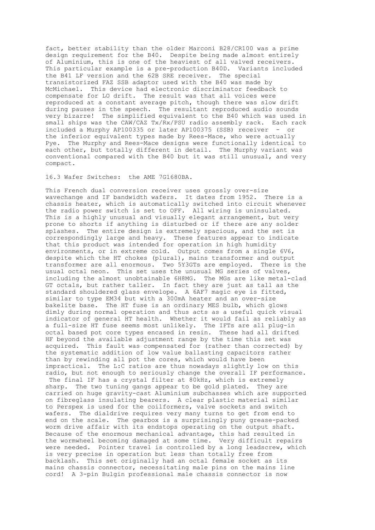fact, better stability than the older Marconi B28/CR100 was a prime design requirement for the B40. Despite being made almost entirely of Aluminium, this is one of the heaviest of all valved receivers. This particular example is a pre-production B40D. Variants included the B41 LF version and the 62B SRE receiver. The special transistorized FAZ SSB adaptor used with the B40 was made by McMichael. This device had electronic discriminator feedback to compensate for LO drift. The result was that all voices were reproduced at a constant average pitch, though there was slow drift during pauses in the speech. The resultant reproduced audio sounds very bizarre! The simplified equivalent to the B40 which was used in small ships was the CAW/CAZ Tx/Rx/PSU radio assembly rack. Each rack included a Murphy AP100335 or later AP100375 (SSB) receiver - or the inferior equivalent types made by Rees-Mace, who were actually Pye. The Murphy and Rees-Mace designs were functionally identical to each other, but totally different in detail. The Murphy variant was conventional compared with the B40 but it was still unusual, and very compact.

#### 16.3 Wafer Switches: the AME 7G1680BA.

This French dual conversion receiver uses grossly over-size wavechange and IF bandwidth wafers. It dates from 1952. There is a chassis heater, which is automatically switched into circuit whenever the radio power switch is set to OFF. All wiring is uninsulated. This is a highly unusual and visually elegant arrangement, but very prone to shorts if anything is disturbed or if there are any solder splashes. The entire design is extremely spacious, and the set is correspondingly large and heavy. These features appear to indicate that this product was intended for operation in high humidity environments, or in extreme cold. Output comes from a single 6V6, despite which the HT chokes (plural), mains transformer and output transformer are all enormous. Two 5Y3GTs are employed. There is the usual octal neon. This set uses the unusual MG series of valves, including the almost unobtainable 6H8MG. The MGs are like metal-clad GT octals, but rather taller. In fact they are just as tall as the standard shouldered glass envelope. A 6AF7 magic eye is fitted, similar to type EM34 but with a 300mA heater and an over-size bakelite base. The HT fuse is an ordinary MES bulb, which glows dimly during normal operation and thus acts as a useful quick visual indicator of general HT health. Whether it would fail as reliably as a full-size HT fuse seems most unlikely. The IFTs are all plug-in octal based pot core types encased in resin. These had all drifted HF beyond the available adjustment range by the time this set was acquired. This fault was compensated for (rather than corrected) by the systematic addition of low value ballasting capacitors rather than by rewinding all pot the cores, which would have been impractical. The L:C ratios are thus nowadays slightly low on this radio, but not enough to seriously change the overall IF performance. The final IF has a crystal filter at 80kHz, which is extremely sharp. The two tuning gangs appear to be gold plated. They are carried on huge gravity-cast Aluminium subchasses which are supported on fibreglass insulating bearers. A clear plastic material similar to Perspex is used for the coilformers, valve sockets and switch wafers. The dialdrive requires very many turns to get from end to end on the scale. The gearbox is a surprisingly puny grease-packed worm drive affair with its endstops operating on the output shaft. Because of the enormous mechanical advantage, this had resulted in the wormwheel becoming damaged at some time. Very difficult repairs were needed. Pointer travel is controlled by a long leadscrew, which is very precise in operation but less than totally free from backlash. This set originally had an octal female socket as its mains chassis connector, necessitating male pins on the mains line cord! A 3-pin Bulgin professional male chassis connector is now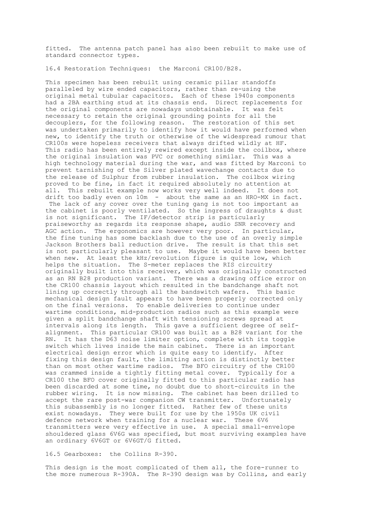fitted. The antenna patch panel has also been rebuilt to make use of standard connector types.

16.4 Restoration Techniques: the Marconi CR100/B28.

This specimen has been rebuilt using ceramic pillar standoffs paralleled by wire ended capacitors, rather than re-using the original metal tubular capacitors. Each of these 1940s components had a 2BA earthing stud at its chassis end. Direct replacements for the original components are nowadays unobtainable. It was felt necessary to retain the original grounding points for all the decouplers, for the following reason. The restoration of this set was undertaken primarily to identify how it would have performed when new, to identify the truth or otherwise of the widespread rumour that CR100s were hopeless receivers that always drifted wildly at HF. This radio has been entirely rewired except inside the coilbox, where the original insulation was PVC or something similar. This was a high technology material during the war, and was fitted by Marconi to prevent tarnishing of the Silver plated wavechange contacts due to the release of Sulphur from rubber insulation. The coilbox wiring proved to be fine, in fact it required absolutely no attention at all. This rebuilt example now works very well indeed. It does not drift too badly even on 10m - about the same as an HRO-MX in fact. The lack of any cover over the tuning gang is not too important as the cabinet is poorly ventilated. So the ingress of draughts & dust is not significant. The IF/detector strip is particularly praiseworthy as regards its response shape, audio SNR recovery and AGC action. The ergonomics are however very poor. In particular, the fine tuning has some backlash due to the use of an overly simple Jackson Brothers ball reduction drive. The result is that this set is not particularly pleasant to use. Maybe it would have been better when new. At least the kHz/revolution figure is quite low, which helps the situation. The S-meter replaces the RIS circuitry originally built into this receiver, which was originally constructed as an RN B28 production variant. There was a drawing office error on the CR100 chassis layout which resulted in the bandchange shaft not lining up correctly through all the bandswitch wafers. This basic mechanical design fault appears to have been properly corrected only on the final versions. To enable deliveries to continue under wartime conditions, mid-production radios such as this example were given a split bandchange shaft with tensioning screws spread at intervals along its length. This gave a sufficient degree of selfalignment. This particular CR100 was built as a B28 variant for the RN. It has the D63 noise limiter option, complete with its toggle switch which lives inside the main cabinet. There is an important electrical design error which is quite easy to identify. After fixing this design fault, the limiting action is distinctly better than on most other wartime radios. The BFO circuitry of the CR100 was crammed inside a tightly fitting metal cover. Typically for a CR100 the BFO cover originally fitted to this particular radio has been discarded at some time, no doubt due to short-circuits in the rubber wiring. It is now missing. The cabinet has been drilled to accept the rare post-war companion CW transmitter. Unfortunately this subassembly is no longer fitted. Rather few of these units exist nowadays. They were built for use by the 1950s UK civil defence network when training for a nuclear war. These 6V6 transmitters were very effective in use. A special small-envelope shouldered glass 6V6G was specified, but most surviving examples have an ordinary 6V6GT or 6V6GT/G fitted.

16.5 Gearboxes: the Collins R-390.

This design is the most complicated of them all, the fore-runner to the more numerous R-390A. The R-390 design was by Collins, and early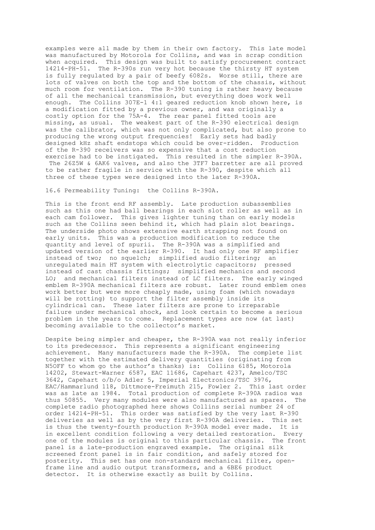examples were all made by them in their own factory. This late model was manufactured by Motorola for Collins, and was in scrap condition when acquired. This design was built to satisfy procurement contract 14214-PH-51. The R-390s run very hot because the thirsty HT system is fully regulated by a pair of beefy 6082s. Worse still, there are lots of valves on both the top and the bottom of the chassis, without much room for ventilation. The R-390 tuning is rather heavy because of all the mechanical transmission, but everything does work well enough. The Collins 307E-1 4:1 geared reduction knob shown here, is a modification fitted by a previous owner, and was originally a costly option for the 75A-4. The rear panel fitted tools are missing, as usual. The weakest part of the R-390 electrical design was the calibrator, which was not only complicated, but also prone to producing the wrong output frequencies! Early sets had badly designed kHz shaft endstops which could be over-ridden. Production of the R-390 receivers was so expensive that a cost reduction exercise had to be instigated. This resulted in the simpler R-390A. The 26Z5W & 6AK6 valves, and also the 3TF7 barretter are all proved to be rather fragile in service with the R-390, despite which all three of these types were designed into the later R-390A.

# 16.6 Permeability Tuning: the Collins R-390A.

This is the front end RF assembly. Late production subassemblies such as this one had ball bearings in each slot roller as well as in each cam follower. This gives lighter tuning than on early models such as the Collins seen behind it, which had plain slot bearings. The underside photo shows extensive earth strapping not found on early units. This was a production modification to reduce the quantity and level of spurii. The R-390A was a simplified and updated version of the earlier R-390. It had only one RF amplifier instead of two; no squelch; simplified audio filtering; an unregulated main HT system with electrolytic capacitors; pressed instead of cast chassis fittings; simplified mechanics and second LO; and mechanical filters instead of LC filters. The early winged emblem R-390A mechanical filters are robust. Later round emblem ones work better but were more cheaply made, using foam (which nowadays will be rotting) to support the filter assembly inside its cylindrical can. These later filters are prone to irreparable failure under mechanical shock, and look certain to become a serious problem in the years to come. Replacement types are now (at last) becoming available to the collector's market.

Despite being simpler and cheaper, the R-390A was not really inferior to its predecessor. This represents a significant engineering achievement. Many manufacturers made the R-390A. The complete list together with the estimated delivery quantities (originating from N5OFF to whom go the author's thanks) is: Collins 6185, Motorola 14202, Stewart-Warner 6587, EAC 11686, Capehart 4237, Amelco/TSC 3642, Capehart o/b/o Adler 5, Imperial Electronics/TSC 3976, EAC/Hammarlund 118, Dittmore-Freimuth 215, Fowler 2. This last order was as late as 1984. Total production of complete R-390A radios was thus 50855. Very many modules were also manufactured as spares. The complete radio photographed here shows Collins serial number 24 of order 14214-PH-51. This order was satisfied by the very last R-390 deliveries as well as by the very first R-390A deliveries. This set is thus the twenty-fourth production R-390A model ever made. It is in excellent condition following a very detailed restoration. Every one of the modules is original to this particular chassis. The front panel is a late-production engraved example. The original silk screened front panel is in fair condition, and safely stored for posterity. This set has one non-standard mechanical filter, openframe line and audio output transformers, and a 6BE6 product detector. It is otherwise exactly as built by Collins.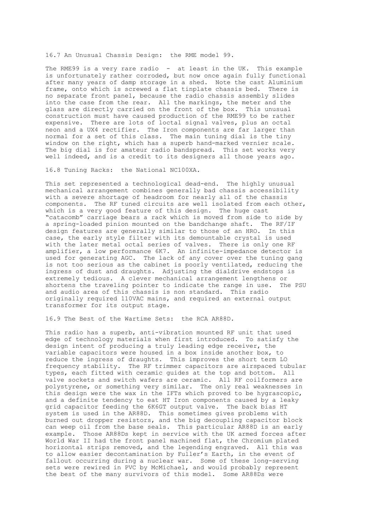16.7 An Unusual Chassis Design: the RME model 99.

The RME99 is a very rare radio - at least in the UK. This example is unfortunately rather corroded, but now once again fully functional after many years of damp storage in a shed. Note the cast Aluminium frame, onto which is screwed a flat tinplate chassis bed. There is no separate front panel, because the radio chassis assembly slides into the case from the rear. All the markings, the meter and the glass are directly carried on the front of the box. This unusual construction must have caused production of the RME99 to be rather expensive. There are lots of loctal signal valves, plus an octal neon and a UX4 rectifier. The Iron components are far larger than normal for a set of this class. The main tuning dial is the tiny window on the right, which has a superb hand-marked vernier scale. The big dial is for amateur radio bandspread. This set works very well indeed, and is a credit to its designers all those years ago.

16.8 Tuning Racks: the National NC100XA.

This set represented a technological dead-end. The highly unusual mechanical arrangement combines generally bad chassis accessibility with a severe shortage of headroom for nearly all of the chassis components. The RF tuned circuits are well isolated from each other, which is a very good feature of this design. The huge cast "catacomb" carriage bears a rack which is moved from side to side by a spring-loaded pinion mounted on the bandchange shaft. The RF/IF design features are generally similar to those of an HRO. In this case, the early style filter with its demountable crystal is used with the later metal octal series of valves. There is only one RF amplifier, a low performance 6K7. An infinite-impedance detector is used for generating AGC. The lack of any cover over the tuning gang is not too serious as the cabinet is poorly ventilated, reducing the ingress of dust and draughts. Adjusting the dialdrive endstops is extremely tedious. A clever mechanical arrangement lengthens or shortens the traveling pointer to indicate the range in use. The PSU and audio area of this chassis is non standard. This radio originally required 110VAC mains, and required an external output transformer for its output stage.

16.9 The Best of the Wartime Sets: the RCA AR88D.

This radio has a superb, anti-vibration mounted RF unit that used edge of technology materials when first introduced. To satisfy the design intent of producing a truly leading edge receiver, the variable capacitors were housed in a box inside another box, to reduce the ingress of draughts. This improves the short term LO frequency stability. The RF trimmer capacitors are airspaced tubular types, each fitted with ceramic guides at the top and bottom. All valve sockets and switch wafers are ceramic. All RF coilformers are polystyrene, or something very similar. The only real weaknesses in this design were the wax in the IFTs which proved to be hygrascopic, and a definite tendency to eat HT Iron components caused by a leaky grid capacitor feeding the 6K6GT output valve. The back bias HT system is used in the AR88D. This sometimes gives problems with burned out dropper resistors, and the big decoupling capacitor block can weep oil from the base seals. This particular AR88D is an early example. Those AR88Ds kept in service with the UK armed forces after World War II had the front panel machined flat, the Chromium plated horizontal strips removed, and the legending engraved. All this was to allow easier decontamination by Fuller's Earth, in the event of fallout occurring during a nuclear war. Some of these long-serving sets were rewired in PVC by McMichael, and would probably represent the best of the many survivors of this model. Some AR88Ds were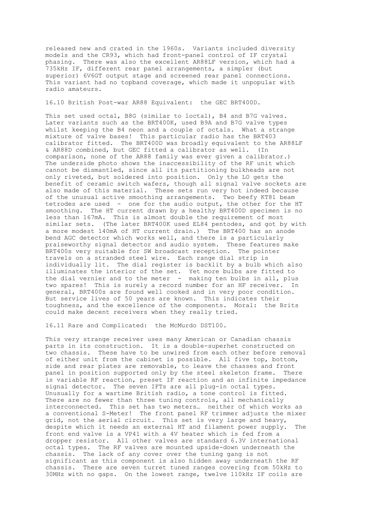released new and crated in the 1960s. Variants included diversity models and the CR93, which had front-panel control of IF crystal phasing. There was also the excellent AR88LF version, which had a 735kHz IF, different rear panel arrangements, a simpler (but superior) 6V6GT output stage and screened rear panel connections. This variant had no topband coverage, which made it unpopular with radio amateurs.

16.10 British Post-war AR88 Equivalent: the GEC BRT400D.

This set used octal, B8G (similar to loctal), B4 and B7G valves. Later variants such as the BRT400K, used B9A and B7G valve types whilst keeping the B4 neon and a couple of octals. What a strange mixture of valve bases! This particular radio has the BRT403 calibrator fitted. The BRT400D was broadly equivalent to the AR88LF & AR88D combined, but GEC fitted a calibrator as well. (In comparison, none of the AR88 family was ever given a calibrator.) The underside photo shows the inaccessibility of the RF unit which cannot be dismantled, since all its partitioning bulkheads are not only riveted, but soldered into position. Only the LO gets the benefit of ceramic switch wafers, though all signal valve sockets are also made of this material. These sets run very hot indeed because of the unusual active smoothing arrangements. Two beefy KT81 beam tetrodes are used - one for the audio output, the other for the HT smoothing. The HT current drawn by a healthy BRT400D specimen is no less than 167mA. This is almost double the requirement of most similar sets. (The later BRT400K used EL84 pentodes, and got by with a more modest 140mA of HT current drain.) The BRT400 has an anode bend AGC detector which works well, and there is a particularly praiseworthy signal detector and audio system. These features make BRT400s very suitable for SW broadcast reception. The pointer travels on a stranded steel wire. Each range dial strip is individually lit. The dial register is backlit by a bulb which also illuminates the interior of the set. Yet more bulbs are fitted to Iffuminates the interior of the set. The more buils are fitted to<br>the dial vernier and to the meter - making ten bulbs in all, plus two spares! This is surely a record number for an HF receiver. In general, BRT400s are found well cooked and in very poor condition. But service lives of 50 years are known. This indicates their toughness, and the excellence of the components. Moral: the Brits could make decent receivers when they really tried.

16.11 Rare and Complicated: the McMurdo DST100.

This very strange receiver uses many American or Canadian chassis parts in its construction. It is a double-superhet constructed on two chassis. These have to be unwired from each other before removal of either unit from the cabinet is possible. All five top, bottom, side and rear plates are removable, to leave the chasses and front panel in position supported only by the steel skeleton frame. There is variable RF reaction, preset IF reaction and an infinite impedance signal detector. The seven IFTs are all plug-in octal types. Unusually for a wartime British radio, a tone control is fitted. There are no fewer than three tuning controls, all mechanically interconnected. This set has two meters… neither of which works as a conventional S-Meter! The front panel RF trimmer adjusts the mixer grid, not the aerial circuit. This set is very large and heavy, despite which it needs an external HT and filament power supply. The front end valve is a VP41 with a 4V heater which is fed from a dropper resistor. All other valves are standard 6.3V international octal types. The RF valves are mounted upside-down underneath the chassis. The lack of any cover over the tuning gang is not significant as this component is also hidden away underneath the RF chassis. There are seven turret tuned ranges covering from 50kHz to 30MHz with no gaps. On the lowest range, twelve 110kHz IF coils are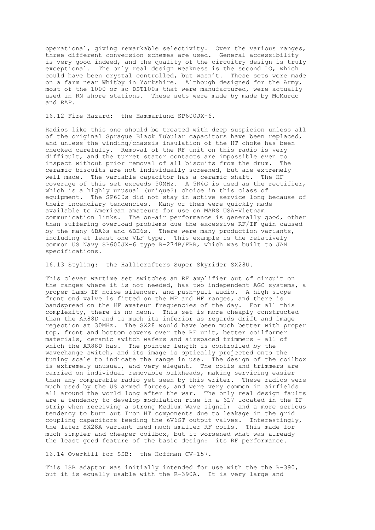operational, giving remarkable selectivity. Over the various ranges, three different conversion schemes are used. General accessibility is very good indeed, and the quality of the circuitry design is truly exceptional. The only real design weakness is the second LO, which could have been crystal controlled, but wasn't. These sets were made on a farm near Whitby in Yorkshire. Although designed for the Army, most of the 1000 or so DST100s that were manufactured, were actually used in RN shore stations. These sets were made by made by McMurdo and RAP.

# 16.12 Fire Hazard: the Hammarlund SP600JX-6.

Radios like this one should be treated with deep suspicion unless all of the original Sprague Black Tubular capacitors have been replaced, and unless the winding/chassis insulation of the HT choke has been checked carefully. Removal of the RF unit on this radio is very difficult, and the turret stator contacts are impossible even to inspect without prior removal of all biscuits from the drum. The ceramic biscuits are not individually screened, but are extremely well made. The variable capacitor has a ceramic shaft. The HF coverage of this set exceeds 50MHz. A 5R4G is used as the rectifier, which is a highly unusual (unique?) choice in this class of equipment. The SP600s did not stay in active service long because of their incendiary tendencies. Many of them were quickly made available to American amateurs for use on MARS USA-Vietnam communication links. The on-air performance is generally good, other than suffering overload problems due the excessive RF/IF gain caused by the many 6BA6s and 6BE6s. There were many production variants, including at least one VLF type. This example is the relatively common US Navy SP600JX-6 type R-274B/FRR, which was built to JAN specifications.

16.13 Styling: the Hallicrafters Super Skyrider SX28U.

This clever wartime set switches an RF amplifier out of circuit on the ranges where it is not needed, has two independent AGC systems, a proper Lamb IF noise silencer, and push-pull audio. A high slope front end valve is fitted on the MF and HF ranges, and there is bandspread on the HF amateur frequencies of the day. For all this complexity, there is no neon. This set is more cheaply constructed than the AR88D and is much its inferior as regards drift and image rejection at 30MHz. The SX28 would have been much better with proper top, front and bottom covers over the RF unit, better coilformer materials, ceramic switch wafers and airspaced trimmers - all of which the AR88D has. The pointer length is controlled by the wavechange switch, and its image is optically projected onto the tuning scale to indicate the range in use. The design of the coilbox is extremely unusual, and very elegant. The coils and trimmers are carried on individual removable bulkheads, making servicing easier than any comparable radio yet seen by this writer. These radios were much used by the US armed forces, and were very common in airfields all around the world long after the war. The only real design faults are a tendency to develop modulation rise in a 6L7 located in the IF strip when receiving a strong Medium Wave signal; and a more serious tendency to burn out Iron HT components due to leakage in the grid coupling capacitors feeding the 6V6GT output valves. Interestingly, the later SX28A variant used much smaller RF coils. This made for much simpler and cheaper coilbox, but it worsened what was already the least good feature of the basic design: its RF performance.

16.14 Overkill for SSB: the Hoffman CV-157.

This ISB adaptor was initially intended for use with the the R-390, but it is equally usable with the R-390A. It is very large and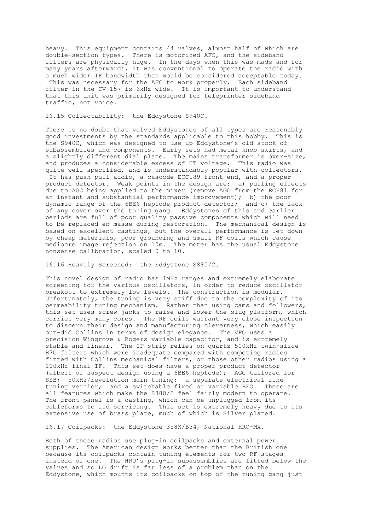heavy. This equipment contains 44 valves, almost half of which are double-section types. There is motorized AFC, and the sideband filters are physically huge. In the days when this was made and for many years afterwards, it was conventional to operate the radio with a much wider IF bandwidth than would be considered acceptable today. This was necessary for the AFC to work properly. Each sideband filter in the CV-157 is 6kHz wide. It is important to understand that this unit was primarily designed for teleprinter sideband traffic, not voice.

# 16.15 Collectability: the Eddystone S940C.

There is no doubt that valved Eddystones of all types are reasonably good investments by the standards applicable to this hobby. This is the S940C, which was designed to use up Eddystone's old stock of subassemblies and components. Early sets had metal knob skirts, and a slightly different dial plate. The mains transformer is over-size, and produces a considerable excess of HT voltage. This radio was quite well specified, and is understandably popular with collectors. It has push-pull audio, a cascode ECC189 front end, and a proper product detector. Weak points in the design are: a) pulling effects due to AGC being applied to the mixer (remove AGC from the ECH81 for an instant and substantial performance improvement); b) the poor dynamic range of the 6BE6 heptode product detector; and c) the lack of any cover over the tuning gang. Eddystones of this and earlier periods are full of poor quality passive components which will need to be replaced en masse during restoration. The mechanical design is based on excellent castings, but the overall performance is let down by cheap materials, poor grounding and small RF coils which cause mediocre image rejection on 10m. The meter has the usual Eddystone nonsense calibration, scaled 0 to 10.

#### 16.16 Heavily Screened: the Eddystone S880/2.

This novel design of radio has 1MHz ranges and extremely elaborate screening for the various oscillators, in order to reduce oscillator breakout to extremely low levels. The construction is modular. Unfortunately, the tuning is very stiff due to the complexity of its permeability tuning mechanism. Rather than using cams and followers, this set uses screw jacks to raise and lower the slug platform, which carries very many cores. The RF coils warrant very close inspection to discern their design and manufacturing cleverness, which easily out-did Collins in terms of design elegance. The VFO uses a precision Wingrove & Rogers variable capacitor, and is extremely stable and linear. The IF strip relies on quartz 500kHz twin-slice B7G filters which were inadequate compared with competing radios fitted with Collins mechanical filters, or those other radios using a 100kHz final IF. This set does have a proper product detector (albeit of suspect design using a 6BE6 heptode); AGC tailored for SSB; 50kHz/revolution main tuning; a separate electrical fine tuning vernier; and a switchable fixed or variable BFO. These are all features which make the S880/2 feel fairly modern to operate. The front panel is a casting, which can be unplugged from its cableforms to aid servicing. This set is extremely heavy due to its extensive use of brass plate, much of which is Silver plated.

16.17 Coilpacks: the Eddystone 358X/B34, National HRO-MX.

Both of these radios use plug-in coilpacks and external power supplies. The American design works better than the British one because its coilpacks contain tuning elements for two RF stages instead of one. The HRO's plug-in subassemblies are fitted below the valves and so LO drift is far less of a problem than on the Eddystone, which mounts its coilpacks on top of the tuning gang just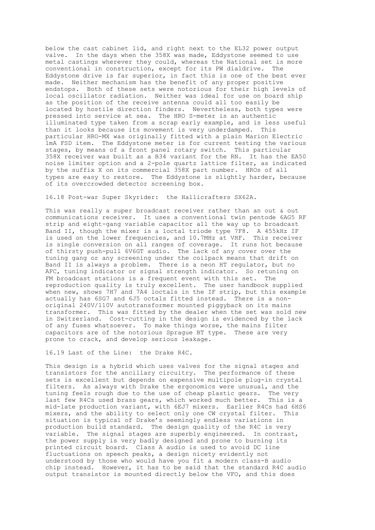below the cast cabinet lid, and right next to the EL32 power output valve. In the days when the 358X was made, Eddystone seemed to use metal castings wherever they could, whereas the National set is more conventional in construction, except for its PW dialdrive. The Eddystone drive is far superior, in fact this is one of the best ever made. Neither mechanism has the benefit of any proper positive endstops. Both of these sets were notorious for their high levels of local oscillator radiation. Neither was ideal for use on board ship as the position of the receive antenna could all too easily be located by hostile direction finders. Nevertheless, both types were pressed into service at sea. The HRO S-meter is an authentic illuminated type taken from a scrap early example, and is less useful than it looks because its movement is very underdamped. This particular HRO-MX was originally fitted with a plain Marion Electric 1mA FSD item. The Eddystone meter is for current testing the various stages, by means of a front panel rotary switch. This particular 358X receiver was built as a B34 variant for the RN. It has the EA50 noise limiter option and a 2-pole quartz lattice filter, as indicated by the suffix X on its commercial 358X part number. HROs of all types are easy to restore. The Eddystone is slightly harder, because of its overcrowded detector screening box.

# 16.18 Post-war Super Skyrider: the Hallicrafters SX62A.

This was really a super broadcast receiver rather than an out & out communications receiver. It uses a conventional twin pentode 6AG5 RF strip and eight-gang variable capacitor all the way up to broadcast Band II, though the mixer is a loctal triode type 7F8. A 455kHz IF is used on the lower frequencies, and 10.7MHz at VHF. This receiver is single conversion on all ranges of coverage. It runs hot because of thirsty push-pull 6V6GT audio. The lack of any cover over the tuning gang or any screening under the coilpack means that drift on Band II is always a problem. There is a neon HT regulator, but no AFC, tuning indicator or signal strength indicator. So retuning on FM broadcast stations is a frequent event with this set. The reproduction quality is truly excellent. The user handbook supplied when new, shows 7H7 and 7A4 loctals in the IF strip, but this example actually has 6SG7 and 6J5 octals fitted instead. There is a nonoriginal 240V/110V autotransformer mounted piggyback on its mains transformer. This was fitted by the dealer when the set was sold new in Switzerland. Cost-cutting in the design is evidenced by the lack of any fuses whatsoever. To make things worse, the mains filter capacitors are of the notorious Sprague BT type. These are very prone to crack, and develop serious leakage.

16.19 Last of the Line: the Drake R4C.

This design is a hybrid which uses valves for the signal stages and transistors for the ancillary circuitry. The performance of these sets is excellent but depends on expensive multipole plug-in crystal filters. As always with Drake the ergonomics were unusual, and the tuning feels rough due to the use of cheap plastic gears. The very last few R4Cs used brass gears, which worked much better. This is a mid-late production variant, with 6EJ7 mixers. Earlier R4Cs had 6HS6 mixers, and the ability to select only one CW crystal filter. This situation is typical of Drake's seemingly endless variations in production build standard. The design quality of the R4C is very variable. The signal stages are superbly engineered. In contrast, the power supply is very badly designed and prone to burning its printed circuit board. Class A audio is used to avoid DC line fluctuations on speech peaks, a design nicety evidently not understood by those who would have you fit a modern class-B audio chip instead. However, it has to be said that the standard R4C audio output transistor is mounted directly below the VFO, and this does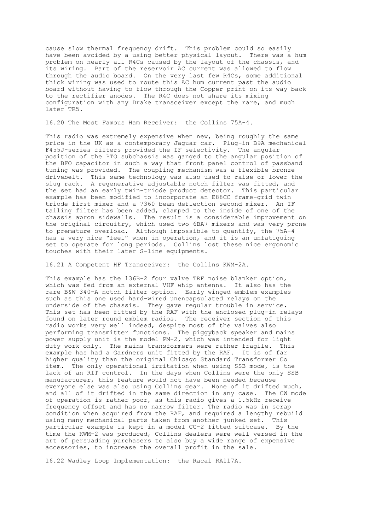cause slow thermal frequency drift. This problem could so easily have been avoided by a using better physical layout. There was a hum problem on nearly all R4Cs caused by the layout of the chassis, and its wiring. Part of the reservoir AC current was allowed to flow through the audio board. On the very last few R4Cs, some additional thick wiring was used to route this AC hum current past the audio board without having to flow through the Copper print on its way back to the rectifier anodes. The R4C does not share its mixing configuration with any Drake transceiver except the rare, and much later TR5.

16.20 The Most Famous Ham Receiver: the Collins 75A-4.

This radio was extremely expensive when new, being roughly the same price in the UK as a contemporary Jaguar car. Plug-in B9A mechanical F455J-series filters provided the IF selectivity. The angular position of the PTO subchassis was ganged to the angular position of the BFO capacitor in such a way that front panel control of passband tuning was provided. The coupling mechanism was a flexible bronze drivebelt. This same technology was also used to raise or lower the slug rack. A regenerative adjustable notch filter was fitted, and the set had an early twin-triode product detector. This particular example has been modified to incorporate an E88CC frame-grid twin triode first mixer and a 7360 beam deflection second mixer. An IF tailing filter has been added, clamped to the inside of one of the chassis apron sidewalls. The result is a considerable improvement on the original circuitry, which used two 6BA7 mixers and was very prone to premature overload. Although impossible to quantify, the 75A-4 has a very nice "feel" when in operation, and it is an unfatiguing set to operate for long periods. Collins lost these nice ergonomic touches with their later S-line equipments.

16.21 A Competent HF Transceiver: the Collins KWM-2A.

This example has the 136B-2 four valve TRF noise blanker option, which was fed from an external VHF whip antenna. It also has the rare B&W 340-A notch filter option. Early winged emblem examples such as this one used hard-wired unencapsulated relays on the underside of the chassis. They gave regular trouble in service. This set has been fitted by the RAF with the enclosed plug-in relays found on later round emblem radios. The receiver section of this radio works very well indeed, despite most of the valves also performing transmitter functions. The piggyback speaker and mains power supply unit is the model PM-2, which was intended for light duty work only. The mains transformers were rather fragile. This example has had a Gardners unit fitted by the RAF. It is of far higher quality than the original Chicago Standard Transformer Co item. The only operational irritation when using SSB mode, is the lack of an RIT control. In the days when Collins were the only SSB manufacturer, this feature would not have been needed because everyone else was also using Collins gear. None of it drifted much, and all of it drifted in the same direction in any case. The CW mode of operation is rather poor, as this radio gives a 1.5kHz receive frequency offset and has no narrow filter. The radio was in scrap condition when acquired from the RAF, and required a lengthy rebuild using many mechanical parts taken from another junked set. This particular example is kept in a model CC-2 fitted suitcase. By the time the KWM-2 was produced, Collins dealers were well versed in the art of persuading purchasers to also buy a wide range of expensive accessories, to increase the overall profit in the sale.

16.22 Wadley Loop Implementation: the Racal RA117A.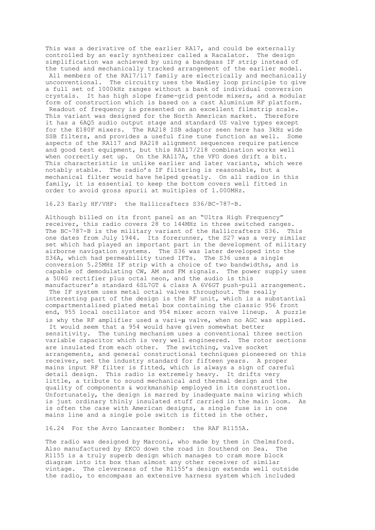This was a derivative of the earlier RA17, and could be externally controlled by an early synthesizer called a Racalator. The design simplification was achieved by using a bandpass IF strip instead of the tuned and mechanically tracked arrangement of the earlier model. All members of the RA17/117 family are electrically and mechanically unconventional. The circuitry uses the Wadley loop principle to give a full set of 1000kHz ranges without a bank of individual conversion crystals. It has high slope frame-grid pentode mixers, and a modular form of construction which is based on a cast Aluminium RF platform. Readout of frequency is presented on an excellent filmstrip scale. This variant was designed for the North American market. Therefore it has a 6AQ5 audio output stage and standard US valve types except for the E180F mixers. The RA218 ISB adaptor seen here has 3kHz wide SSB filters, and provides a useful fine tune function as well. Some aspects of the RA117 and RA218 alignment sequences require patience and good test equipment, but this RA117/218 combination works well when correctly set up. On the RA117A, the VFO does drift a bit. This characteristic is unlike earlier and later variants, which were notably stable. The radio's IF filtering is reasonable, but a mechanical filter would have helped greatly. On all radios in this family, it is essential to keep the bottom covers well fitted in order to avoid gross spurii at multiples of 1.000MHz.

16.23 Early HF/VHF: the Hallicrafters S36/BC-787-B.

Although billed on its front panel as an "Ultra High Frequency" receiver, this radio covers 28 to 144MHz in three switched ranges. The BC-787-B is the military variant of the Hallicrafters S36. This one dates from July 1944. Its forerunner, the S27 was a very similar set which had played an important part in the development of military airborne navigation systems. The S36 was later developed into the S36A, which had permeability tuned IFTs. The S36 uses a single conversion 5.25MHz IF strip with a choice of two bandwidths, and is capable of demodulating CW, AM and FM signals. The power supply uses a 5U4G rectifier plus octal neon, and the audio is this manufacturer's standard 6SL7GT & class A 6V6GT push-pull arrangement. The IF system uses metal octal valves throughout. The really interesting part of the design is the RF unit, which is a substantial compartmentalised plated metal box containing the classic 956 front end, 955 local oscillator and 954 mixer acorn valve lineup. A puzzle is why the RF amplifier used a vari-µ valve, when no AGC was applied. It would seem that a 954 would have given somewhat better sensitivity. The tuning mechanism uses a conventional three section variable capacitor which is very well engineered. The rotor sections are insulated from each other. The switching, valve socket arrangements, and general constructional techniques pioneered on this receiver, set the industry standard for fifteen years. A proper mains input RF filter is fitted, which is always a sign of careful detail design. This radio is extremely heavy. It drifts very little, a tribute to sound mechanical and thermal design and the quality of components & workmanship employed in its construction. Unfortunately, the design is marred by inadequate mains wiring which is just ordinary thinly insulated stuff carried in the main loom. As is often the case with American designs, a single fuse is in one mains line and a single pole switch is fitted in the other.

16.24 For the Avro Lancaster Bomber: the RAF R1155A.

The radio was designed by Marconi, who made by them in Chelmsford. Also manufactured by EKCO down the road in Southend on Sea. The R1155 is a truly superb design which manages to cram more block diagram into its box than almost any other receiver of similar vintage. The cleverness of the R1155's design extends well outside the radio, to encompass an extensive harness system which included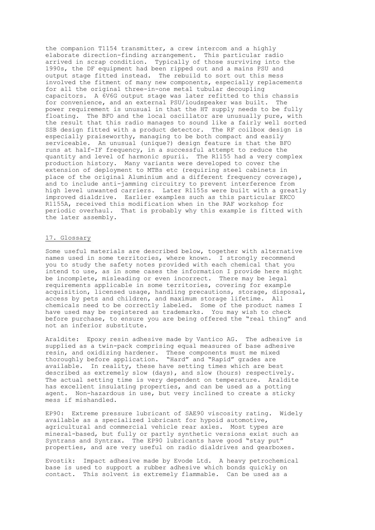the companion T1154 transmitter, a crew intercom and a highly elaborate direction-finding arrangement. This particular radio arrived in scrap condition. Typically of those surviving into the 1990s, the DF equipment had been ripped out and a mains PSU and output stage fitted instead. The rebuild to sort out this mess involved the fitment of many new components, especially replacements for all the original three-in-one metal tubular decoupling capacitors. A 6V6G output stage was later refitted to this chassis for convenience, and an external PSU/loudspeaker was built. The power requirement is unusual in that the HT supply needs to be fully floating. The BFO and the local oscillator are unusually pure, with the result that this radio manages to sound like a fairly well sorted SSB design fitted with a product detector. The RF coilbox design is especially praiseworthy, managing to be both compact and easily serviceable. An unusual (unique?) design feature is that the BFO runs at half-IF frequency, in a successful attempt to reduce the quantity and level of harmonic spurii. The R1155 had a very complex production history. Many variants were developed to cover the extension of deployment to MTBs etc (requiring steel cabinets in place of the original Aluminium and a different frequency coverage), and to include anti-jamming circuitry to prevent interference from high level unwanted carriers. Later R1155s were built with a greatly improved dialdrive. Earlier examples such as this particular EKCO R1155A, received this modification when in the RAF workshop for periodic overhaul. That is probably why this example is fitted with the later assembly.

# 17. Glossary

Some useful materials are described below, together with alternative names used in some territories, where known. I strongly recommend you to study the safety notes provided with each chemical that you intend to use, as in some cases the information I provide here might be incomplete, misleading or even incorrect. There may be legal requirements applicable in some territories, covering for example acquisition, licensed usage, handling precautions, storage, disposal, access by pets and children, and maximum storage lifetime. All chemicals need to be correctly labeled. Some of the product names I have used may be registered as trademarks. You may wish to check before purchase, to ensure you are being offered the "real thing" and not an inferior substitute.

Araldite: Epoxy resin adhesive made by Vantico AG. The adhesive is supplied as a twin-pack comprising equal measures of base adhesive resin, and oxidizing hardener. These components must me mixed thoroughly before application. "Hard" and "Rapid" grades are available. In reality, these have setting times which are best described as extremely slow (days), and slow (hours) respectively. The actual setting time is very dependent on temperature. Araldite has excellent insulating properties, and can be used as a potting agent. Non-hazardous in use, but very inclined to create a sticky mess if mishandled.

EP90: Extreme pressure lubricant of SAE90 viscosity rating. Widely available as a specialized lubricant for hypoid automotive, agricultural and commercial vehicle rear axles. Most types are mineral-based, but fully or partly synthetic versions exist such as Syntrans and Syntrax. The EP90 lubricants have good "stay put" properties, and are very useful on radio dialdrives and gearboxes.

Evostik: Impact adhesive made by Evode Ltd. A heavy petrochemical base is used to support a rubber adhesive which bonds quickly on contact. This solvent is extremely flammable. Can be used as a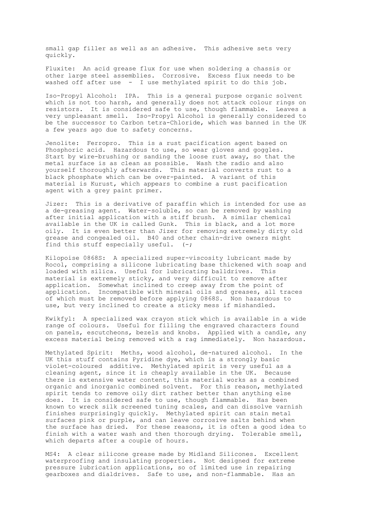small gap filler as well as an adhesive. This adhesive sets very quickly.

Fluxite: An acid grease flux for use when soldering a chassis or other large steel assemblies. Corrosive. Excess flux needs to be washed off after use - I use methylated spirit to do this job.

Iso-Propyl Alcohol: IPA. This is a general purpose organic solvent which is not too harsh, and generally does not attack colour rings on resistors. It is considered safe to use, though flammable. Leaves a very unpleasant smell. Iso-Propyl Alcohol is generally considered to be the successor to Carbon tetra-Chloride, which was banned in the UK a few years ago due to safety concerns.

Jenolite: Ferropro. This is a rust pacification agent based on Phosphoric acid. Hazardous to use, so wear gloves and goggles. Start by wire-brushing or sanding the loose rust away, so that the metal surface is as clean as possible. Wash the radio and also yourself thoroughly afterwards. This material converts rust to a black phosphate which can be over-painted. A variant of this material is Kurust, which appears to combine a rust pacification agent with a grey paint primer.

Jizer: This is a derivative of paraffin which is intended for use as a de-greasing agent. Water-soluble, so can be removed by washing after initial application with a stiff brush. A similar chemical available in the UK is called Gunk. This is black, and a lot more oily. It is even better than Jizer for removing extremely dirty old grease and congealed oil. B40 and other chain-drive owners might find this stuff especially useful.  $(-;$ 

Kilopoise 0868S: A specialized super-viscosity lubricant made by Rocol, comprising a silicone lubricating base thickened with soap and loaded with silica. Useful for lubricating balldrives. This material is extremely sticky, and very difficult to remove after application. Somewhat inclined to creep away from the point of application. Incompatible with mineral oils and greases, all traces of which must be removed before applying 0868S. Non hazardous to use, but very inclined to create a sticky mess if mishandled.

Kwikfyl: A specialized wax crayon stick which is available in a wide range of colours. Useful for filling the engraved characters found on panels, escutcheons, bezels and knobs. Applied with a candle, any excess material being removed with a rag immediately. Non hazardous.

Methylated Spirit: Meths, wood alcohol, de-natured alcohol. In the UK this stuff contains Pyridine dye, which is a strongly basic violet-coloured additive. Methylated spirit is very useful as a cleaning agent, since it is cheaply available in the UK. Because there is extensive water content, this material works as a combined organic and inorganic combined solvent. For this reason, methylated spirit tends to remove oily dirt rather better than anything else does. It is considered safe to use, though flammable. Has been known to wreck silk screened tuning scales, and can dissolve varnish finishes surprisingly quickly. Methylated spirit can stain metal surfaces pink or purple, and can leave corrosive salts behind when the surface has dried. For these reasons, it is often a good idea to finish with a water wash and then thorough drying. Tolerable smell, which departs after a couple of hours.

MS4: A clear silicone grease made by Midland Silicones. Excellent waterproofing and insulating properties. Not designed for extreme pressure lubrication applications, so of limited use in repairing gearboxes and dialdrives. Safe to use, and non-flammable. Has an